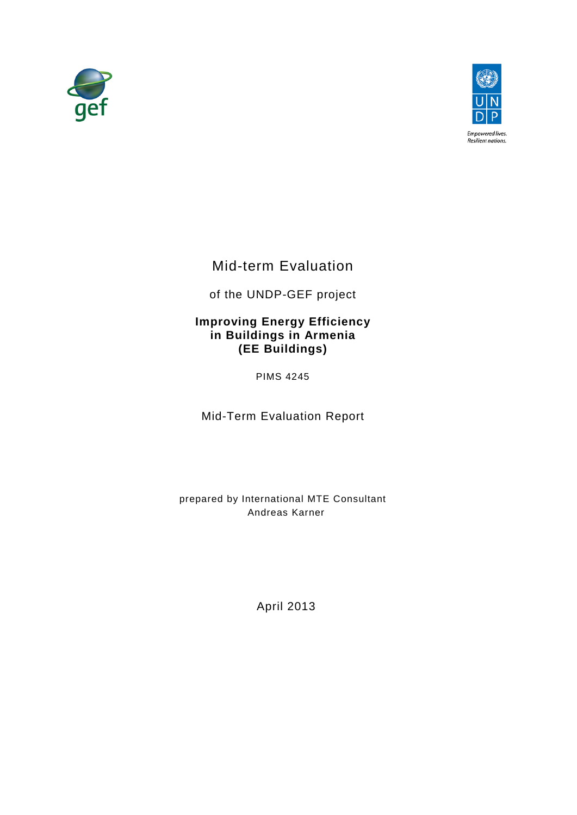



Mid-term Evaluation

of the UNDP-GEF project

# **Improving Energy Efficiency in Buildings in Armenia (EE Buildings)**

PIMS 4245

Mid-Term Evaluation Report

<span id="page-0-0"></span>prepared by International MTE Consultant Andreas Karner

April 2013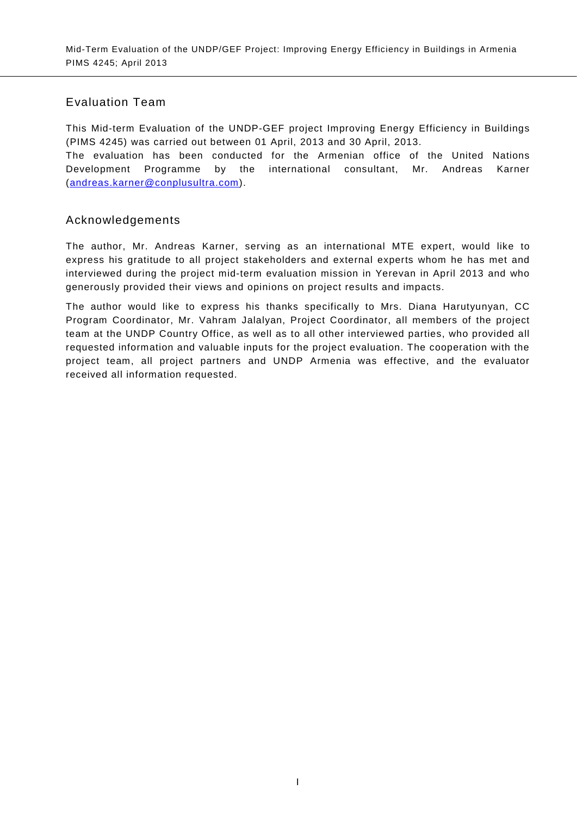# Evaluation Team

This Mid-term Evaluation of the UNDP-GEF project Improving Energy Efficiency in Buildings (PIMS 4245) was carried out between 01 April, 2013 and 30 April, 2013.

The evaluation has been conducted for the Armenian office of the United Nations Development Programme by the international consultant, Mr. Andreas Karner [\(andreas.karner@conplusultra.com\)](mailto:andreas.karner@conplusultra.com).

# Acknowledgements

The author, Mr. Andreas Karner, serving as an international MTE expert, would like to express his gratitude to all project stakeholders and external experts whom he has met and interviewed during the project mid-term evaluation mission in Yerevan in April 2013 and who generously provided their views and opinions on project results and impacts.

The author would like to express his thanks specifically to Mrs. Diana Harutyunyan, CC Program Coordinator, Mr. Vahram Jalalyan, Project Coordinator, all members of the project team at the UNDP Country Office, as well as to all other interviewed parties, who provided all requested information and valuable inputs for the project evaluation. The cooperation with the project team, all project partners and UNDP Armenia was effective, and the evaluator received all information requested.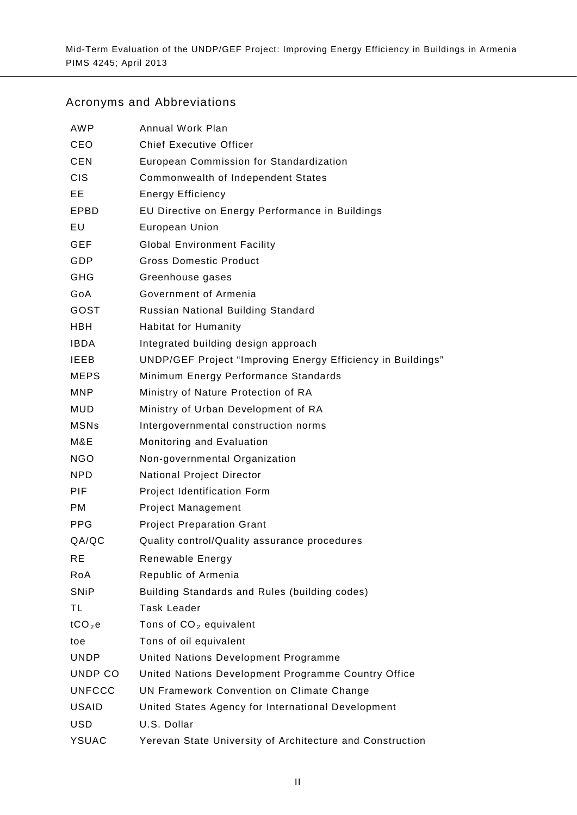# Acronyms and Abbreviations

| <b>AWP</b>         | Annual Work Plan                                            |
|--------------------|-------------------------------------------------------------|
| CEO                | <b>Chief Executive Officer</b>                              |
| <b>CEN</b>         | European Commission for Standardization                     |
| <b>CIS</b>         | Commonwealth of Independent States                          |
| EE.                | <b>Energy Efficiency</b>                                    |
| EPBD               | EU Directive on Energy Performance in Buildings             |
| EU                 | European Union                                              |
| <b>GEF</b>         | <b>Global Environment Facility</b>                          |
| GDP                | <b>Gross Domestic Product</b>                               |
| GHG                | Greenhouse gases                                            |
| GoA                | Government of Armenia                                       |
| GOST               | Russian National Building Standard                          |
| <b>HBH</b>         | <b>Habitat for Humanity</b>                                 |
| <b>IBDA</b>        | Integrated building design approach                         |
| <b>IEEB</b>        | UNDP/GEF Project "Improving Energy Efficiency in Buildings" |
| <b>MEPS</b>        | Minimum Energy Performance Standards                        |
| <b>MNP</b>         | Ministry of Nature Protection of RA                         |
| MUD                | Ministry of Urban Development of RA                         |
| <b>MSNs</b>        | Intergovernmental construction norms                        |
| M&E                | Monitoring and Evaluation                                   |
| <b>NGO</b>         | Non-governmental Organization                               |
| NPD.               | <b>National Project Director</b>                            |
| PIF.               | Project Identification Form                                 |
| <b>PM</b>          | <b>Project Management</b>                                   |
| PPG                | <b>Project Preparation Grant</b>                            |
| QA/QC              | Quality control/Quality assurance procedures                |
| RЕ                 | Renewable Energy                                            |
| RoA                | Republic of Armenia                                         |
| <b>SNiP</b>        | Building Standards and Rules (building codes)               |
| TL                 | <b>Task Leader</b>                                          |
| tCO <sub>2</sub> e | Tons of $CO2$ equivalent                                    |
| toe                | Tons of oil equivalent                                      |
| <b>UNDP</b>        | United Nations Development Programme                        |
| UNDP CO            | United Nations Development Programme Country Office         |
| <b>UNFCCC</b>      | UN Framework Convention on Climate Change                   |
| <b>USAID</b>       | United States Agency for International Development          |
| <b>USD</b>         | U.S. Dollar                                                 |
| <b>YSUAC</b>       | Yerevan State University of Architecture and Construction   |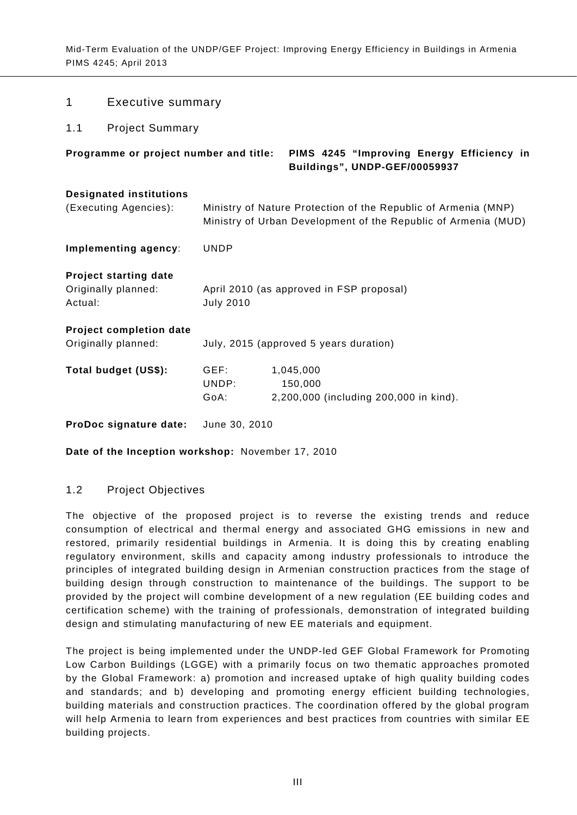| Programme or project number and title:                  |                       | PIMS 4245 "Improving Energy Efficiency in<br>Buildings", UNDP-GEF/00059937 |  |
|---------------------------------------------------------|-----------------------|----------------------------------------------------------------------------|--|
| <b>Designated institutions</b><br>(Executing Agencies): |                       | Ministry of Nature Protection of the Republic of Armenia (MNP)             |  |
| Implementing agency:                                    | <b>UNDP</b>           | Ministry of Urban Development of the Republic of Armenia (MUD)             |  |
| <b>Project starting date</b>                            |                       |                                                                            |  |
| Originally planned:<br>Actual:                          | <b>July 2010</b>      | April 2010 (as approved in FSP proposal)                                   |  |
| Project completion date<br>Originally planned:          |                       | July, 2015 (approved 5 years duration)                                     |  |
| Total budget (US\$):                                    | GEF:<br>UNDP:<br>GoA: | 1,045,000<br>150,000<br>2,200,000 (including 200,000 in kind).             |  |
| ProDoc signature date:                                  | June 30, 2010         |                                                                            |  |

**Date of the Inception workshop:** November 17, 2010

# <span id="page-3-2"></span>1.2 Project Objectives

<span id="page-3-0"></span>1 Executive summary

<span id="page-3-1"></span>1.1 Project Summary

The objective of the proposed project is to reverse the existing trends and reduce consumption of electrical and thermal energy and associated GHG emissions in new and restored, primarily residential buildings in Armenia. It is doing this by creating enabling regulatory environment, skills and capacity among industry professionals to introduce the principles of integrated building design in Armenian construction practices from the stage of building design through construction to maintenance of the buildings. The support to be provided by the project will combine development of a new regulation (EE building codes and certification scheme) with the training of professionals, demonstration of integrated building design and stimulating manufacturing of new EE materials and equipment.

The project is being implemented under the UNDP-led GEF Global Framework for Promoting Low Carbon Buildings (LGGE) with a primarily focus on two thematic approaches promoted by the Global Framework: a) promotion and increased uptake of high quality building codes and standards; and b) developing and promoting energy efficient building technologies, building materials and construction practices. The coordination offered by the global program will help Armenia to learn from experiences and best practices from countries with similar EE building projects.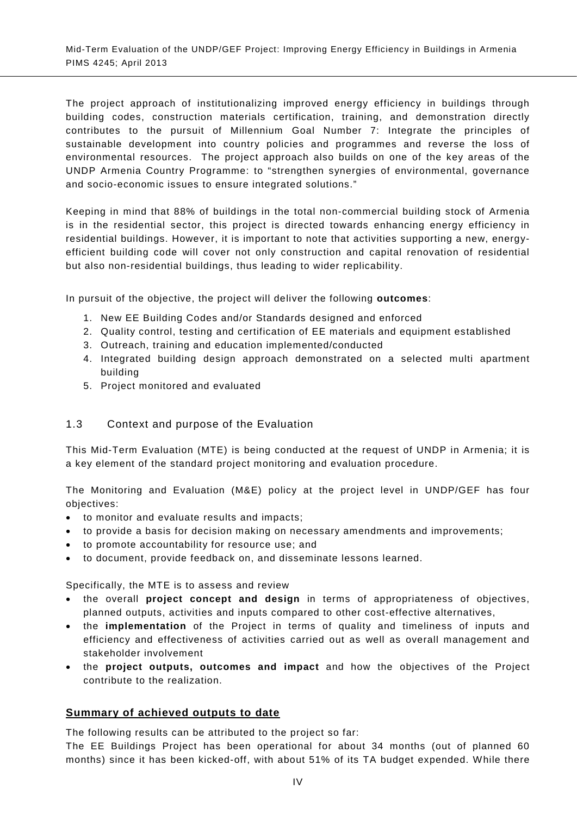The project approach of institutionalizing improved energy efficiency in buildings through building codes, construction materials certification, training, and demonstration directly contributes to the pursuit of Millennium Goal Number 7: Integrate the principles of sustainable development into country policies and programmes and reverse the loss of environmental resources. The project approach also builds on one of the key areas of the UNDP Armenia Country Programme: to "strengthen synergies of environmental, governance and socio-economic issues to ensure integrated solutions."

Keeping in mind that 88% of buildings in the total non-commercial building stock of Armenia is in the residential sector, this project is directed towards enhancing energy efficiency in residential buildings. However, it is important to note that activities supporting a new, energyefficient building code will cover not only construction and capital renovation of residential but also non-residential buildings, thus leading to wider replicability.

In pursuit of the objective, the project will deliver the following **outcomes**:

- 1. New EE Building Codes and/or Standards designed and enforced
- 2. Quality control, testing and certification of EE materials and equipment established
- 3. Outreach, training and education implemented/conducted
- 4. Integrated building design approach demonstrated on a selected multi apartment building
- 5. Project monitored and evaluated

# <span id="page-4-0"></span>1.3 Context and purpose of the Evaluation

This Mid-Term Evaluation (MTE) is being conducted at the request of UNDP in Armenia; it is a key element of the standard project monitoring and evaluation procedure.

The Monitoring and Evaluation (M&E) policy at the project level in UNDP/GEF has four objectives:

- to monitor and evaluate results and impacts;
- to provide a basis for decision making on necessary amendments and improvements;
- to promote accountability for resource use; and
- to document, provide feedback on, and disseminate lessons learned.

Specifically, the MTE is to assess and review

- the overall **project concept and design** in terms of appropriateness of objectives, planned outputs, activities and inputs compared to other cost-effective alternatives,
- the **implementation** of the Project in terms of quality and timeliness of inputs and efficiency and effectiveness of activities carried out as well as overall management and stakeholder involvement
- the **project outputs, outcomes and impact** and how the objectives of the Project contribute to the realization.

# **Summary of achieved outputs to date**

The following results can be attributed to the project so far:

The EE Buildings Project has been operational for about 34 months (out of planned 60 months) since it has been kicked-off, with about 51% of its TA budget expended. While there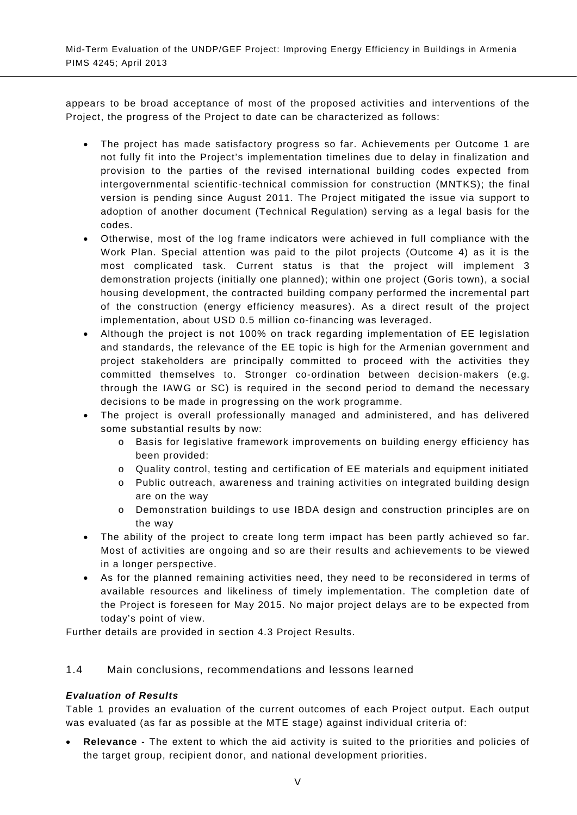appears to be broad acceptance of most of the proposed activities and interventions of the Project, the progress of the Project to date can be characterized as follows:

- The project has made satisfactory progress so far. Achievements per Outcome 1 are not fully fit into the Project's implementation timelines due to delay in finalization and provision to the parties of the revised international building codes expected from intergovernmental scientific-technical commission for construction (MNTKS); the final version is pending since August 2011. The Project mitigated the issue via support to adoption of another document (Technical Regulation) serving as a legal basis for the codes.
- Otherwise, most of the log frame indicators were achieved in full compliance with the Work Plan. Special attention was paid to the pilot projects (Outcome 4) as it is the most complicated task. Current status is that the project will implement 3 demonstration projects (initially one planned); within one project (Goris town), a social housing development, the contracted building company performed the incremental part of the construction (energy efficiency measures). As a direct result of the project implementation, about USD 0.5 million co-financing was leveraged.
- Although the project is not 100% on track regarding implementation of EE legislation and standards, the relevance of the EE topic is high for the Armenian government and project stakeholders are principally committed to proceed with the activities they committed themselves to. Stronger co-ordination between decision-makers (e.g. through the IAWG or SC) is required in the second period to demand the necessary decisions to be made in progressing on the work programme.
- The project is overall professionally managed and administered, and has delivered some substantial results by now:
	- o Basis for legislative framework improvements on building energy efficiency has been provided:
	- o Quality control, testing and certification of EE materials and equipment initiated
	- o Public outreach, awareness and training activities on integrated building design are on the way
	- o Demonstration buildings to use IBDA design and construction principles are on the way
- The ability of the project to create long term impact has been partly achieved so far. Most of activities are ongoing and so are their results and achievements to be viewed in a longer perspective.
- As for the planned remaining activities need, they need to be reconsidered in terms of available resources and likeliness of timely implementation. The completion date of the Project is foreseen for May 2015. No major project delays are to be expected from today's point of view.

Further details are provided in section [4.3](#page-41-0) Project Results.

# <span id="page-5-0"></span>1.4 Main conclusions, recommendations and lessons learned

# *Evaluation of Results*

[Table 1](#page-7-0) provides an evaluation of the current outcomes of each Project output. Each output was evaluated (as far as possible at the MTE stage) against individual criteria of:

• **Relevance** - The extent to which the aid activity is suited to the priorities and policies of the target group, recipient donor, and national development priorities.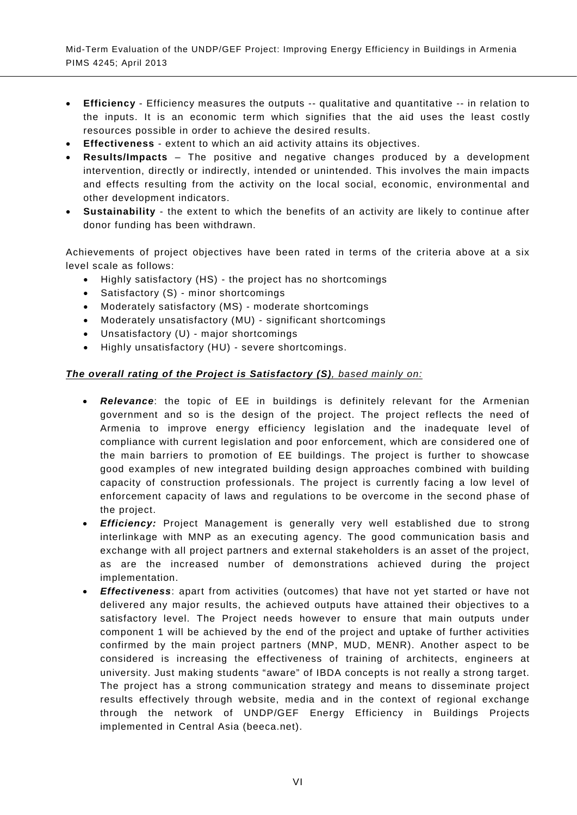- **Efficiency** Efficiency measures the outputs -- qualitative and quantitative -- in relation to the inputs. It is an economic term which signifies that the aid uses the least costly resources possible in order to achieve the desired results.
- **Effectiveness** extent to which an aid activity attains its objectives.
- **Results/Impacts** The positive and negative changes produced by a development intervention, directly or indirectly, intended or unintended. This involves the main impacts and effects resulting from the activity on the local social, economic, environmental and other development indicators.
- **Sustainability**  the extent to which the benefits of an activity are likely to continue after donor funding has been withdrawn.

Achievements of project objectives have been rated in terms of the criteria above at a six level scale as follows:

- Highly satisfactory (HS) the project has no shortcomings
- Satisfactory (S) minor shortcomings
- Moderately satisfactory (MS) moderate shortcomings
- Moderately unsatisfactory (MU) significant shortcomings
- Unsatisfactory (U) major shortcomings
- Highly unsatisfactory (HU) severe shortcomings.

# *The overall rating of the Project is Satisfactory (S), based mainly on:*

- *Relevance*: the topic of EE in buildings is definitely relevant for the Armenian government and so is the design of the project. The project reflects the need of Armenia to improve energy efficiency legislation and the inadequate level of compliance with current legislation and poor enforcement, which are considered one of the main barriers to promotion of EE buildings. The project is further to showcase good examples of new integrated building design approaches combined with building capacity of construction professionals. The project is currently facing a low level of enforcement capacity of laws and regulations to be overcome in the second phase of the project.
- *Efficiency:* Project Management is generally very well established due to strong interlinkage with MNP as an executing agency. The good communication basis and exchange with all project partners and external stakeholders is an asset of the project, as are the increased number of demonstrations achieved during the project implementation.
- *Effectiveness*: apart from activities (outcomes) that have not yet started or have not delivered any major results, the achieved outputs have attained their objectives to a satisfactory level. The Project needs however to ensure that main outputs under component 1 will be achieved by the end of the project and uptake of further activities confirmed by the main project partners (MNP, MUD, MENR). Another aspect to be considered is increasing the effectiveness of training of architects, engineers at university. Just making students "aware" of IBDA concepts is not really a strong target. The project has a strong communication strategy and means to disseminate project results effectively through website, media and in the context of regional exchange through the network of UNDP/GEF Energy Efficiency in Buildings Projects implemented in Central Asia (beeca.net).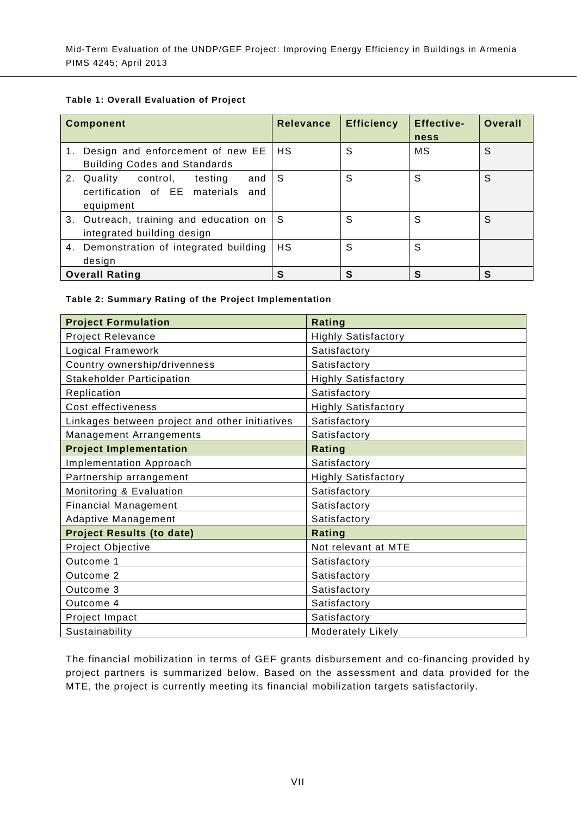#### <span id="page-7-0"></span>**Table 1: Overall Evaluation of Project**

| <b>Component</b>                                                                          | <b>Relevance</b> | <b>Efficiency</b> | <b>Effective-</b><br>ness | Overall |
|-------------------------------------------------------------------------------------------|------------------|-------------------|---------------------------|---------|
| 1. Design and enforcement of new EE<br><b>Building Codes and Standards</b>                | <b>HS</b>        | S                 | МS                        | S       |
| 2. Quality control,<br>and I<br>testing<br>certification of EE materials and<br>equipment | ∣S.              | S                 | S                         | S       |
| 3. Outreach, training and education on<br>integrated building design                      | ∣S.              | S                 | S                         | S       |
| 4. Demonstration of integrated building<br>design                                         | HS.              | S                 | S                         |         |
| <b>Overall Rating</b>                                                                     | S                | S                 | S                         | S       |

#### <span id="page-7-1"></span>**Table 2: Summary Rating of the Project Implementation**

| <b>Project Formulation</b>                     | Rating                     |
|------------------------------------------------|----------------------------|
| Project Relevance                              | <b>Highly Satisfactory</b> |
| Logical Framework                              | Satisfactory               |
| Country ownership/drivenness                   | Satisfactory               |
| <b>Stakeholder Participation</b>               | Highly Satisfactory        |
| Replication                                    | Satisfactory               |
| Cost effectiveness                             | <b>Highly Satisfactory</b> |
| Linkages between project and other initiatives | Satisfactory               |
| <b>Management Arrangements</b>                 | Satisfactory               |
| <b>Project Implementation</b>                  | Rating                     |
| <b>Implementation Approach</b>                 | Satisfactory               |
| Partnership arrangement                        | <b>Highly Satisfactory</b> |
| Monitoring & Evaluation                        | Satisfactory               |
| <b>Financial Management</b>                    | Satisfactory               |
| <b>Adaptive Management</b>                     | Satisfactory               |
| <b>Project Results (to date)</b>               | Rating                     |
| Project Objective                              | Not relevant at MTE        |
| Outcome 1                                      | Satisfactory               |
| Outcome 2                                      | Satisfactory               |
| Outcome 3                                      | Satisfactory               |
| Outcome 4                                      | Satisfactory               |
| Project Impact                                 | Satisfactory               |
| Sustainability                                 | <b>Moderately Likely</b>   |

The financial mobilization in terms of GEF grants disbursement and co-financing provided by project partners is summarized below. Based on the assessment and data provided for the MTE, the project is currently meeting its financial mobilization targets satisfactorily.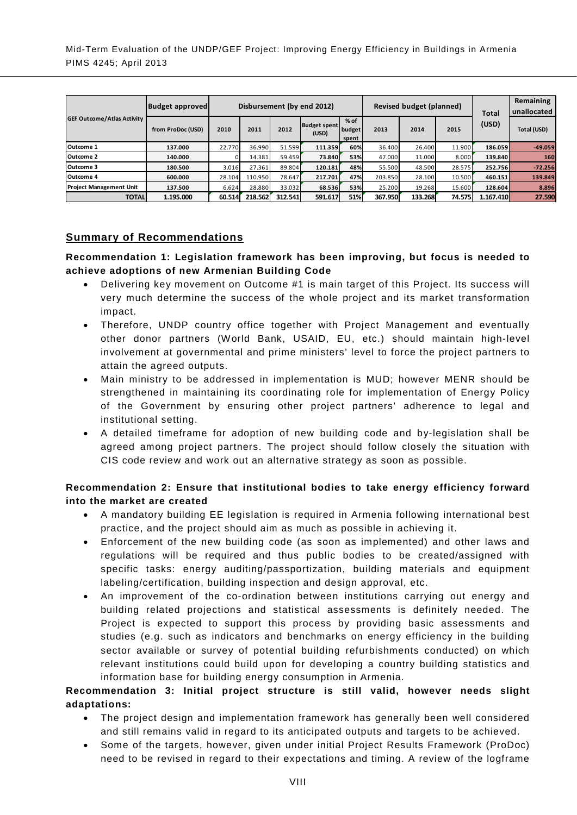| <b>GEF Outcome/Atlas Activity</b> | <b>Budget approved</b> | <b>Revised budget (planned)</b><br>Disbursement (by end 2012) |         |         |                              |                           |         | Total   | Remaining<br>unallocated |           |             |
|-----------------------------------|------------------------|---------------------------------------------------------------|---------|---------|------------------------------|---------------------------|---------|---------|--------------------------|-----------|-------------|
|                                   | from ProDoc (USD)      | 2010                                                          | 2011    | 2012    | <b>Budget spent</b><br>(USD) | $%$ of<br>budget<br>spent | 2013    | 2014    | 2015                     | (USD)     | Total (USD) |
| Outcome 1                         | 137.000                | 22.770                                                        | 36.990  | 51.599  | 111.359                      | 60%                       | 36.400  | 26.400  | 11.900                   | 186.059   | $-49.059$   |
| Outcome 2                         | 140.000                |                                                               | 14.381  | 59.459  | 73.840                       | 53%                       | 47.000  | 11.000  | 8.000                    | 139.840   | 160         |
| Outcome 3                         | 180.500                | 3.016                                                         | 27.361  | 89.804  | 120.181                      | 48%                       | 55.500  | 48.500  | 28.575                   | 252.756   | $-72.256$   |
| <b>Outcome 4</b>                  | 600.000                | 28.104                                                        | 110.950 | 78.647  | 217.701                      | 47%                       | 203.850 | 28.100  | 10.500                   | 460.151   | 139.849     |
| <b>Project Management Unit</b>    | 137.500                | 6.624                                                         | 28.880  | 33.032  | 68.536                       | 53%                       | 25.200  | 19.268  | 15.600                   | 128.604   | 8.896       |
| <b>TOTAL</b>                      | 1.195.000              | 60.514                                                        | 218.562 | 312.541 | 591.617                      | 51%                       | 367.950 | 133.268 | 74.575                   | 1.167.410 | 27.590      |

# **Summary of Recommendations**

**Recommendation 1: Legislation framework has been improving, but focus is needed to achieve adoptions of new Armenian Building Code**

- Delivering key movement on Outcome #1 is main target of this Project. Its success will very much determine the success of the whole project and its market transformation impact.
- Therefore, UNDP country office together with Project Management and eventually other donor partners (World Bank, USAID, EU, etc.) should maintain high-level involvement at governmental and prime ministers' level to force the project partners to attain the agreed outputs.
- Main ministry to be addressed in implementation is MUD; however MENR should be strengthened in maintaining its coordinating role for implementation of Energy Policy of the Government by ensuring other project partners' adherence to legal and institutional setting.
- A detailed timeframe for adoption of new building code and by-legislation shall be agreed among project partners. The project should follow closely the situation with CIS code review and work out an alternative strategy as soon as possible.

# **Recommendation 2: Ensure that institutional bodies to take energy efficiency forward into the market are created**

- A mandatory building EE legislation is required in Armenia following international best practice, and the project should aim as much as possible in achieving it.
- Enforcement of the new building code (as soon as implemented) and other laws and regulations will be required and thus public bodies to be created/assigned with specific tasks: energy auditing/passportization, building materials and equipment labeling/certification, building inspection and design approval, etc.
- An improvement of the co-ordination between institutions carrying out energy and building related projections and statistical assessments is definitely needed. The Project is expected to support this process by providing basic assessments and studies (e.g. such as indicators and benchmarks on energy efficiency in the building sector available or survey of potential building refurbishments conducted) on which relevant institutions could build upon for developing a country building statistics and information base for building energy consumption in Armenia.

# **Recommendation 3: Initial project structure is still valid, however needs slight adaptations:**

- The project design and implementation framework has generally been well considered and still remains valid in regard to its anticipated outputs and targets to be achieved.
- Some of the targets, however, given under initial Project Results Framework (ProDoc) need to be revised in regard to their expectations and timing. A review of the logframe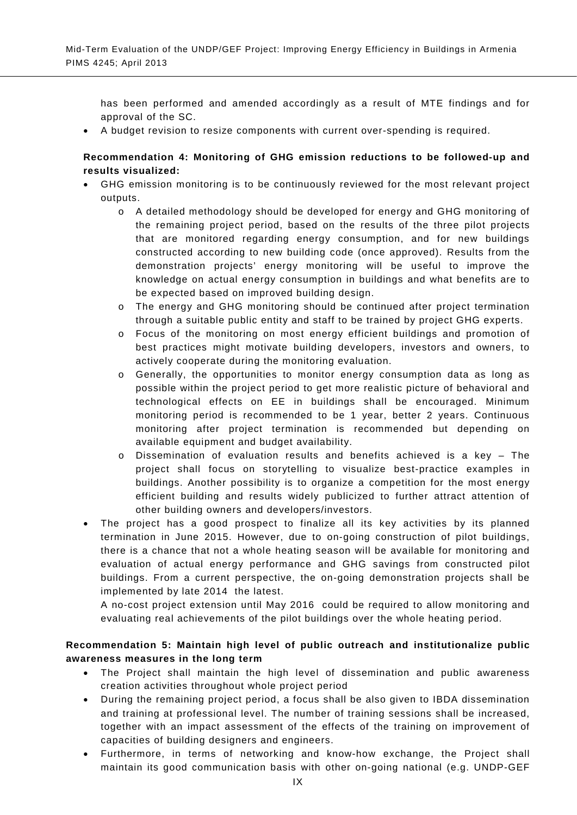has been performed and amended accordingly as a result of MTE findings and for approval of the SC.

• A budget revision to resize components with current over-spending is required.

## **Recommendation 4: Monitoring of GHG emission reductions to be followed-up and results visualized:**

- GHG emission monitoring is to be continuously reviewed for the most relevant project outputs.
	- o A detailed methodology should be developed for energy and GHG monitoring of the remaining project period, based on the results of the three pilot projects that are monitored regarding energy consumption, and for new buildings constructed according to new building code (once approved). Results from the demonstration projects' energy monitoring will be useful to improve the knowledge on actual energy consumption in buildings and what benefits are to be expected based on improved building design.
	- o The energy and GHG monitoring should be continued after project termination through a suitable public entity and staff to be trained by project GHG experts.
	- o Focus of the monitoring on most energy efficient buildings and promotion of best practices might motivate building developers, investors and owners, to actively cooperate during the monitoring evaluation.
	- o Generally, the opportunities to monitor energy consumption data as long as possible within the project period to get more realistic picture of behavioral and technological effects on EE in buildings shall be encouraged. Minimum monitoring period is recommended to be 1 year, better 2 years. Continuous monitoring after project termination is recommended but depending on available equipment and budget availability.
	- o Dissemination of evaluation results and benefits achieved is a key The project shall focus on storytelling to visualize best-practice examples in buildings. Another possibility is to organize a competition for the most energy efficient building and results widely publicized to further attract attention of other building owners and developers/investors.
- The project has a good prospect to finalize all its key activities by its planned termination in June 2015. However, due to on-going construction of pilot buildings, there is a chance that not a whole heating season will be available for monitoring and evaluation of actual energy performance and GHG savings from constructed pilot buildings. From a current perspective, the on-going demonstration projects shall be implemented by late 2014 the latest.

A no-cost project extension until May 2016 could be required to allow monitoring and evaluating real achievements of the pilot buildings over the whole heating period.

# **Recommendation 5: Maintain high level of public outreach and institutionalize public awareness measures in the long term**

- The Project shall maintain the high level of dissemination and public awareness creation activities throughout whole project period
- During the remaining project period, a focus shall be also given to IBDA dissemination and training at professional level. The number of training sessions shall be increased, together with an impact assessment of the effects of the training on improvement of capacities of building designers and engineers.
- Furthermore, in terms of networking and know-how exchange, the Project shall maintain its good communication basis with other on-going national (e.g. UNDP-GEF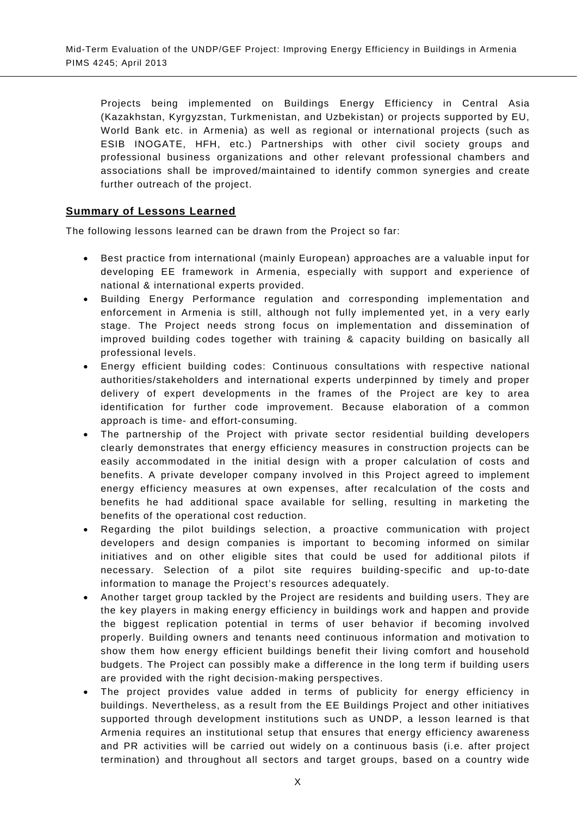Projects being implemented on Buildings Energy Efficiency in Central Asia (Kazakhstan, Kyrgyzstan, Turkmenistan, and Uzbekistan) or projects supported by EU, World Bank etc. in Armenia) as well as regional or international projects (such as ESIB INOGATE, HFH, etc.) Partnerships with other civil society groups and professional business organizations and other relevant professional chambers and associations shall be improved/maintained to identify common synergies and create further outreach of the project.

# **Summary of Lessons Learned**

The following lessons learned can be drawn from the Project so far:

- Best practice from international (mainly European) approaches are a valuable input for developing EE framework in Armenia, especially with support and experience of national & international experts provided.
- Building Energy Performance regulation and corresponding implementation and enforcement in Armenia is still, although not fully implemented yet, in a very early stage. The Project needs strong focus on implementation and dissemination of improved building codes together with training & capacity building on basically all professional levels.
- Energy efficient building codes: Continuous consultations with respective national authorities/stakeholders and international experts underpinned by timely and proper delivery of expert developments in the frames of the Project are key to area identification for further code improvement. Because elaboration of a common approach is time- and effort-consuming.
- The partnership of the Project with private sector residential building developers clearly demonstrates that energy efficiency measures in construction projects can be easily accommodated in the initial design with a proper calculation of costs and benefits. A private developer company involved in this Project agreed to implement energy efficiency measures at own expenses, after recalculation of the costs and benefits he had additional space available for selling, resulting in marketing the benefits of the operational cost reduction.
- Regarding the pilot buildings selection, a proactive communication with project developers and design companies is important to becoming informed on similar initiatives and on other eligible sites that could be used for additional pilots if necessary. Selection of a pilot site requires building-specific and up-to-date information to manage the Project's resources adequately.
- Another target group tackled by the Project are residents and building users. They are the key players in making energy efficiency in buildings work and happen and provide the biggest replication potential in terms of user behavior if becoming involved properly. Building owners and tenants need continuous information and motivation to show them how energy efficient buildings benefit their living comfort and household budgets. The Project can possibly make a difference in the long term if building users are provided with the right decision-making perspectives.
- The project provides value added in terms of publicity for energy efficiency in buildings. Nevertheless, as a result from the EE Buildings Project and other initiatives supported through development institutions such as UNDP, a lesson learned is that Armenia requires an institutional setup that ensures that energy efficiency awareness and PR activities will be carried out widely on a continuous basis (i.e. after project termination) and throughout all sectors and target groups, based on a country wide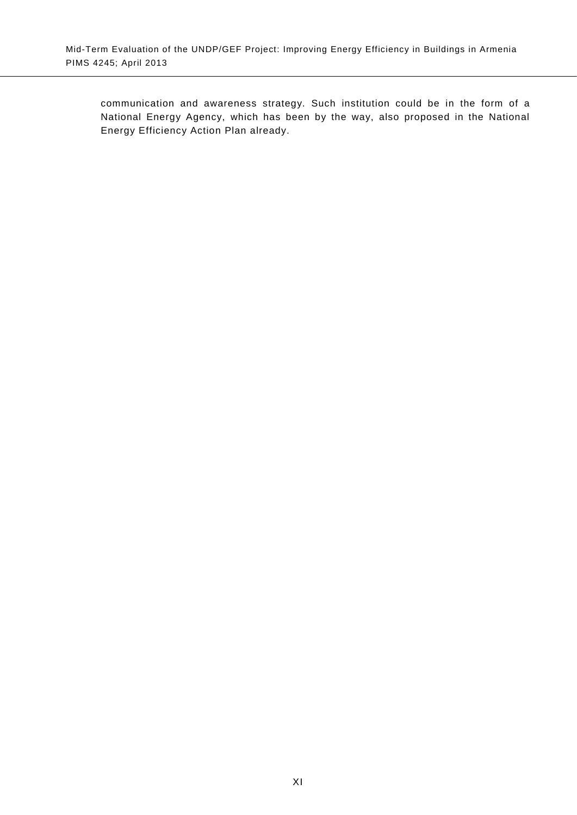communication and awareness strategy. Such institution could be in the form of a National Energy Agency, which has been by the way, also proposed in the National Energy Efficiency Action Plan already.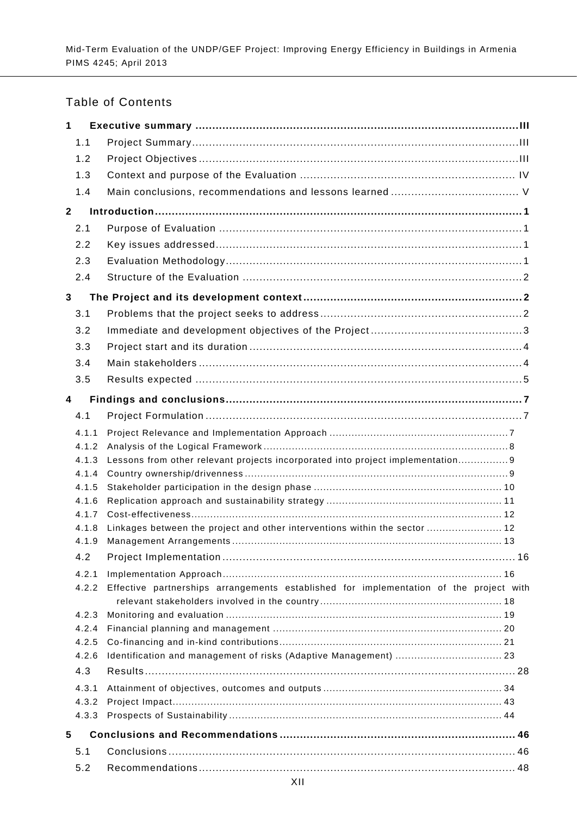# Table of Contents

| $\mathbf 1$             |                |                                                                                        |
|-------------------------|----------------|----------------------------------------------------------------------------------------|
|                         | 1.1            |                                                                                        |
|                         | 1.2            |                                                                                        |
|                         | 1.3            |                                                                                        |
|                         | 1.4            |                                                                                        |
| $\mathbf{2}$            |                |                                                                                        |
|                         | 2.1            |                                                                                        |
|                         | 2.2            |                                                                                        |
|                         | 2.3            |                                                                                        |
|                         | 2.4            |                                                                                        |
| 3                       |                |                                                                                        |
|                         | 3.1            |                                                                                        |
|                         | 3.2            |                                                                                        |
|                         | 3.3            |                                                                                        |
|                         | 3.4            |                                                                                        |
|                         | 3.5            |                                                                                        |
| $\overline{\mathbf{4}}$ |                |                                                                                        |
|                         | 4.1            |                                                                                        |
|                         | 4.1.1          |                                                                                        |
|                         | 4.1.2          |                                                                                        |
|                         | 4.1.3          | Lessons from other relevant projects incorporated into project implementation 9        |
|                         | 4.1.4          |                                                                                        |
|                         | 4.1.5          |                                                                                        |
|                         | 4.1.6          |                                                                                        |
|                         | 4.1.7<br>4.1.8 | Linkages between the project and other interventions within the sector  12             |
|                         | 4.1.9          |                                                                                        |
|                         | 4.2            |                                                                                        |
|                         | 4.2.1          |                                                                                        |
|                         | 4.2.2          | Effective partnerships arrangements established for implementation of the project with |
|                         |                |                                                                                        |
|                         | 4.2.3          |                                                                                        |
|                         | 4.2.4          |                                                                                        |
|                         | 4.2.5<br>4.2.6 | Identification and management of risks (Adaptive Management)  23                       |
|                         | 4.3            |                                                                                        |
|                         | 4.3.1          |                                                                                        |
|                         | 4.3.2          |                                                                                        |
|                         | 4.3.3          |                                                                                        |
| 5                       |                |                                                                                        |
|                         | 5.1            |                                                                                        |
|                         | 5.2            |                                                                                        |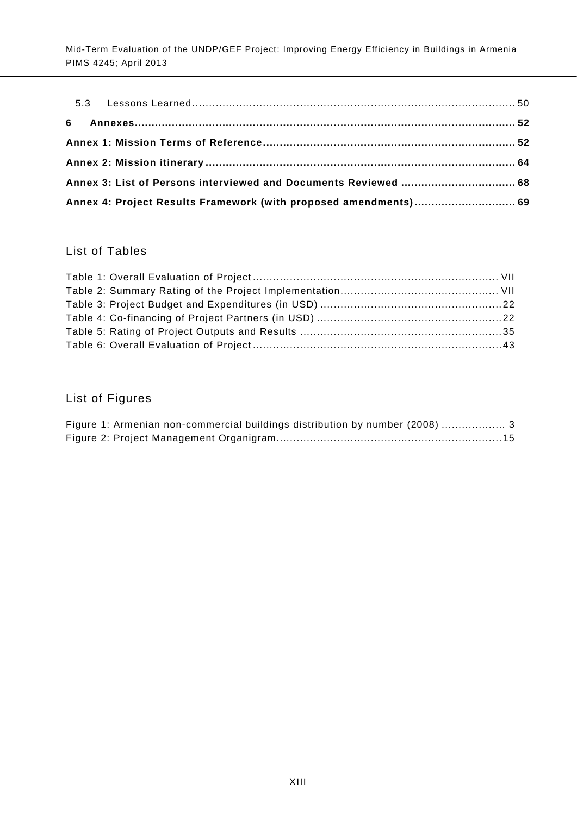|  | Annex 4: Project Results Framework (with proposed amendments) 69 |  |
|--|------------------------------------------------------------------|--|

# List of Tables

# List of Figures

|  | Figure 1: Armenian non-commercial buildings distribution by number (2008)  3 |  |  |  |
|--|------------------------------------------------------------------------------|--|--|--|
|  |                                                                              |  |  |  |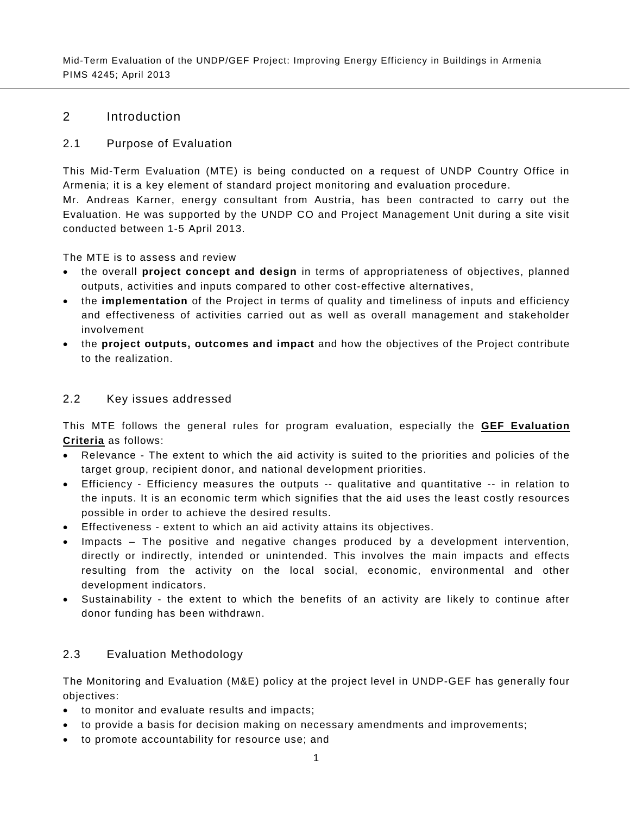# 2 Introduction

## 2.1 Purpose of Evaluation

<span id="page-14-0"></span>This Mid-Term Evaluation (MTE) is being conducted on a request of UNDP Country Office in Armenia; it is a key element of standard project monitoring and evaluation procedure.

<span id="page-14-1"></span>Mr. Andreas Karner, energy consultant from Austria, has been contracted to carry out the Evaluation. He was supported by the UNDP CO and Project Management Unit during a site visit conducted between 1-5 April 2013.

The MTE is to assess and review

- the overall **project concept and design** in terms of appropriateness of objectives, planned outputs, activities and inputs compared to other cost-effective alternatives,
- the **implementation** of the Project in terms of quality and timeliness of inputs and efficiency and effectiveness of activities carried out as well as overall management and stakeholder involvement
- the **project outputs, outcomes and impact** and how the objectives of the Project contribute to the realization.

# 2.2 Key issues addressed

<span id="page-14-2"></span>This MTE follows the general rules for program evaluation, especially the **GEF Evaluation Criteria** as follows:

- Relevance The extent to which the aid activity is suited to the priorities and policies of the target group, recipient donor, and national development priorities.
- Efficiency Efficiency measures the outputs -- qualitative and quantitative -- in relation to the inputs. It is an economic term which signifies that the aid uses the least costly resources possible in order to achieve the desired results.
- Effectiveness extent to which an aid activity attains its objectives.
- Impacts The positive and negative changes produced by a development intervention, directly or indirectly, intended or unintended. This involves the main impacts and effects resulting from the activity on the local social, economic, environmental and other development indicators.
- Sustainability the extent to which the benefits of an activity are likely to continue after donor funding has been withdrawn.

# 2.3 Evaluation Methodology

<span id="page-14-3"></span>The Monitoring and Evaluation (M&E) policy at the project level in UNDP-GEF has generally four objectives:

- to monitor and evaluate results and impacts;
- to provide a basis for decision making on necessary amendments and improvements;
- to promote accountability for resource use; and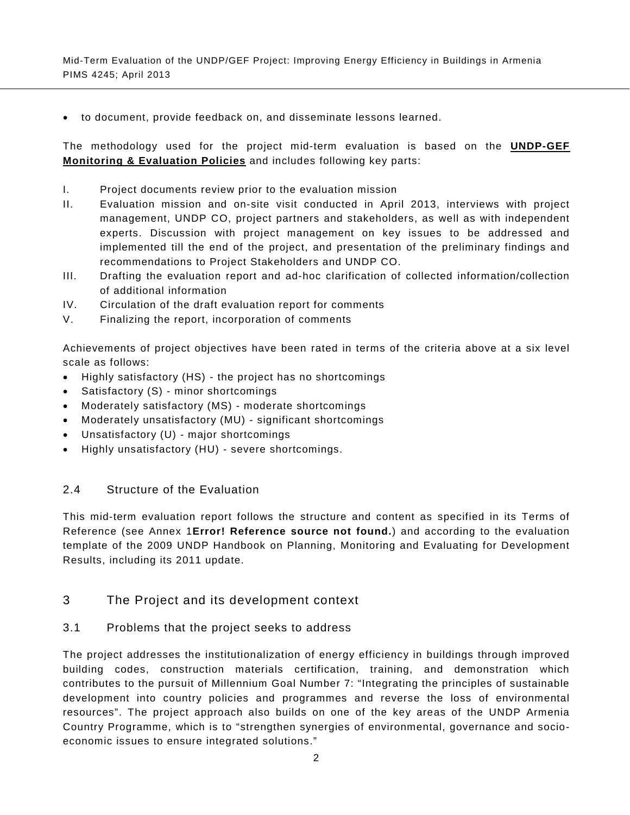• to document, provide feedback on, and disseminate lessons learned.

The methodology used for the project mid-term evaluation is based on the **UNDP-GEF Monitoring & Evaluation Policies** and includes following key parts:

- I. Project documents review prior to the evaluation mission
- II. Evaluation mission and on-site visit conducted in April 2013, interviews with project management, UNDP CO, project partners and stakeholders, as well as with independent experts. Discussion with project management on key issues to be addressed and implemented till the end of the project, and presentation of the preliminary findings and recommendations to Project Stakeholders and UNDP CO.
- III. Drafting the evaluation report and ad-hoc clarification of collected information/collection of additional information
- IV. Circulation of the draft evaluation report for comments
- V. Finalizing the report, incorporation of comments

Achievements of project objectives have been rated in terms of the criteria above at a six level scale as follows:

- Highly satisfactory (HS) the project has no shortcomings
- Satisfactory (S) minor shortcomings
- Moderately satisfactory (MS) moderate shortcomings
- Moderately unsatisfactory (MU) significant shortcomings
- Unsatisfactory (U) major shortcomings
- Highly unsatisfactory (HU) severe shortcomings.

#### 2.4 Structure of the Evaluation

<span id="page-15-0"></span>This mid-term evaluation report follows the structure and content as specified in its Terms of Reference (see Annex 1**Error! Reference source not found.**) and according to the evaluation template of the 2009 UNDP Handbook on Planning, Monitoring and Evaluating for Development Results, including its 2011 update.

## 3 The Project and its development context

#### <span id="page-15-1"></span>3.1 Problems that the project seeks to address

<span id="page-15-2"></span>The project addresses the institutionalization of energy efficiency in buildings through improved building codes, construction materials certification, training, and demonstration which contributes to the pursuit of Millennium Goal Number 7: "Integrating the principles of sustainable development into country policies and programmes and reverse the loss of environmental resources". The project approach also builds on one of the key areas of the UNDP Armenia Country Programme, which is to "strengthen synergies of environmental, governance and socioeconomic issues to ensure integrated solutions."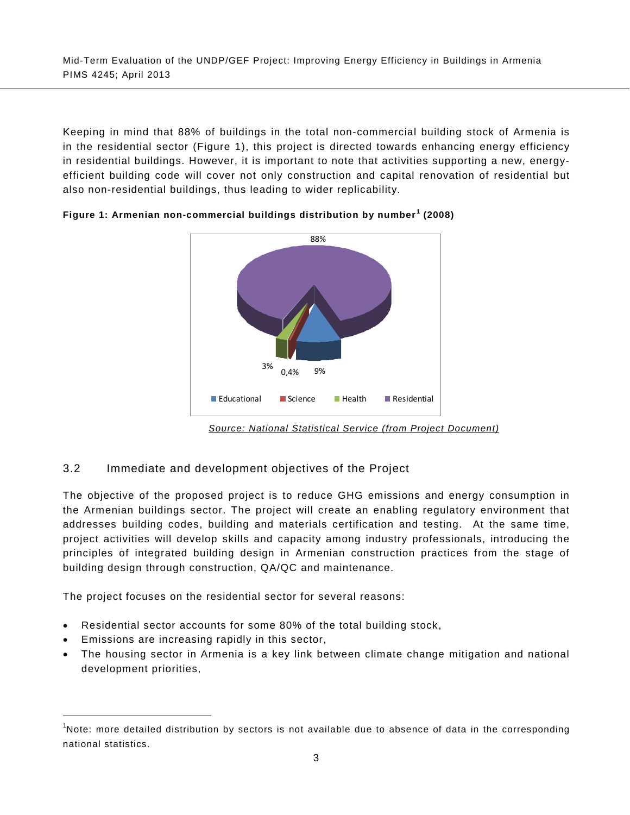Keeping in mind that 88% of buildings in the total non-commercial building stock of Armenia is in the residential sector [\(Figure 1\)](#page-16-2), this project is directed towards enhancing energy efficiency in residential buildings. However, it is important to note that activities supporting a new, energyefficient building code will cover not only construction and capital renovation of residential but also non-residential buildings, thus leading to wider replicability.



<span id="page-16-2"></span><span id="page-16-1"></span>**Figure 1: Armenian non-commercial buildings distribution by number [1](#page-0-0) (2008)**

*Source: National Statistical Service (from Project Document)*

# 3.2 Immediate and development objectives of the Project

<span id="page-16-0"></span>The objective of the proposed project is to reduce GHG emissions and energy consumption in the Armenian buildings sector. The project will create an enabling regulatory environment that addresses building codes, building and materials certification and testing. At the same time, project activities will develop skills and capacity among industry professionals, introducing the principles of integrated building design in Armenian construction practices from the stage of building design through construction, QA/QC and maintenance.

The project focuses on the residential sector for several reasons:

- Residential sector accounts for some 80% of the total building stock,
- Emissions are increasing rapidly in this sector,
- <span id="page-16-3"></span>• The housing sector in Armenia is a key link between climate change mitigation and national development priorities,

<sup>-&</sup>lt;br>1  $<sup>1</sup>$ Note: more detailed distribution by sectors is not available due to absence of data in the corresponding</sup> national statistics.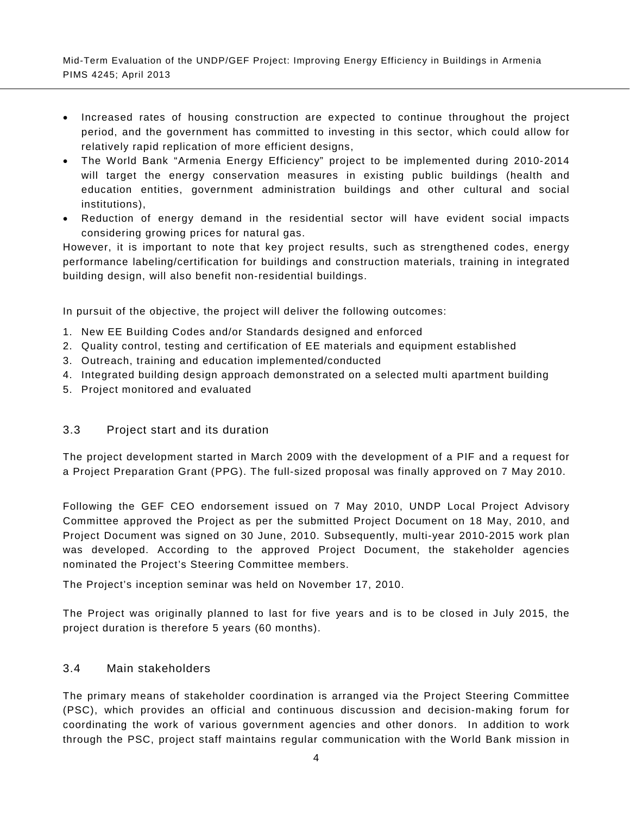- Increased rates of housing construction are expected to continue throughout the project period, and the government has committed to investing in this sector, which could allow for relatively rapid replication of more efficient designs,
- The World Bank "Armenia Energy Efficiency" project to be implemented during 2010-2014 will target the energy conservation measures in existing public buildings (health and education entities, government administration buildings and other cultural and social institutions),
- Reduction of energy demand in the residential sector will have evident social impacts considering growing prices for natural gas.

However, it is important to note that key project results, such as strengthened codes, energy performance labeling/certification for buildings and construction materials, training in integrated building design, will also benefit non-residential buildings.

In pursuit of the objective, the project will deliver the following outcomes:

- 1. New EE Building Codes and/or Standards designed and enforced
- 2. Quality control, testing and certification of EE materials and equipment established
- 3. Outreach, training and education implemented/conducted
- 4. Integrated building design approach demonstrated on a selected multi apartment building
- 5. Project monitored and evaluated

# 3.3 Project start and its duration

<span id="page-17-0"></span>The project development started in March 2009 with the development of a PIF and a request for a Project Preparation Grant (PPG). The full-sized proposal was finally approved on 7 May 2010.

Following the GEF CEO endorsement issued on 7 May 2010, UNDP Local Project Advisory Committee approved the Project as per the submitted Project Document on 18 May, 2010, and Project Document was signed on 30 June, 2010. Subsequently, multi-year 2010-2015 work plan was developed. According to the approved Project Document, the stakeholder agencies nominated the Project's Steering Committee members.

The Project's inception seminar was held on November 17, 2010.

The Project was originally planned to last for five years and is to be closed in July 2015, the project duration is therefore 5 years (60 months).

#### 3.4 Main stakeholders

<span id="page-17-1"></span>The primary means of stakeholder coordination is arranged via the Project Steering Committee (PSC), which provides an official and continuous discussion and decision-making forum for coordinating the work of various government agencies and other donors. In addition to work through the PSC, project staff maintains regular communication with the World Bank mission in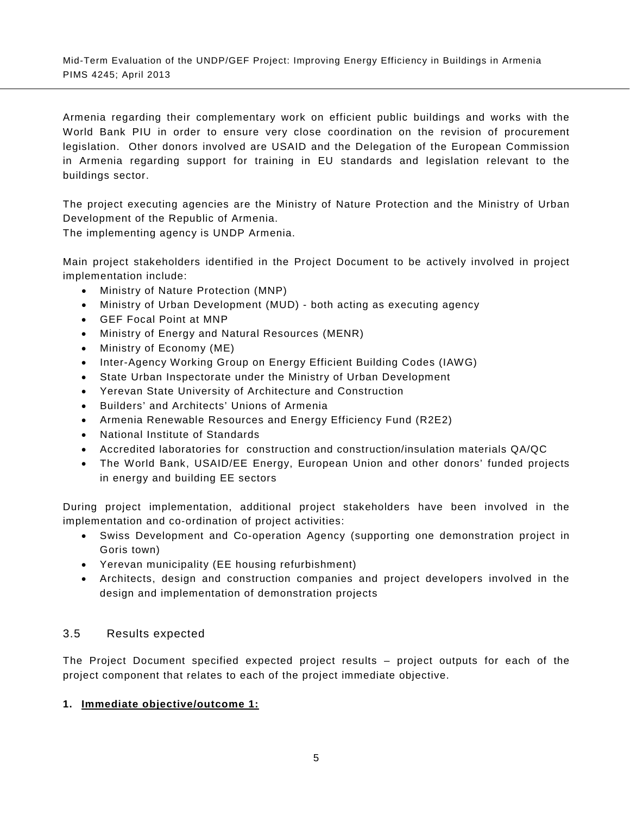Armenia regarding their complementary work on efficient public buildings and works with the World Bank PIU in order to ensure very close coordination on the revision of procurement legislation. Other donors involved are USAID and the Delegation of the European Commission in Armenia regarding support for training in EU standards and legislation relevant to the buildings sector.

The project executing agencies are the Ministry of Nature Protection and the Ministry of Urban Development of the Republic of Armenia.

The implementing agency is UNDP Armenia.

Main project stakeholders identified in the Project Document to be actively involved in project implementation include:

- Ministry of Nature Protection (MNP)
- Ministry of Urban Development (MUD) both acting as executing agency
- GEF Focal Point at MNP
- Ministry of Energy and Natural Resources (MENR)
- Ministry of Economy (ME)
- Inter-Agency Working Group on Energy Efficient Building Codes (IAWG)
- State Urban Inspectorate under the Ministry of Urban Development
- Yerevan State University of Architecture and Construction
- Builders' and Architects' Unions of Armenia
- Armenia Renewable Resources and Energy Efficiency Fund (R2E2)
- National Institute of Standards
- Accredited laboratories for construction and construction/insulation materials QA/QC
- The World Bank, USAID/EE Energy, European Union and other donors' funded projects in energy and building EE sectors

During project implementation, additional project stakeholders have been involved in the implementation and co-ordination of project activities:

- Swiss Development and Co-operation Agency (supporting one demonstration project in Goris town)
- Yerevan municipality (EE housing refurbishment)
- Architects, design and construction companies and project developers involved in the design and implementation of demonstration projects

# 3.5 Results expected

<span id="page-18-0"></span>The Project Document specified expected project results – project outputs for each of the project component that relates to each of the project immediate objective.

# **1. Immediate objective/outcome 1:**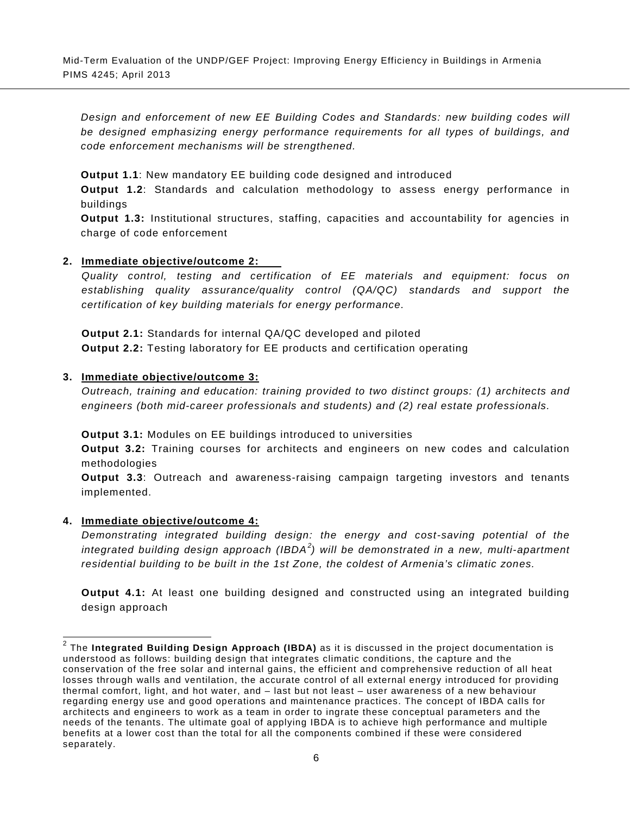*Design and enforcement of new EE Building Codes and Standards: new building codes will be designed emphasizing energy performance requirements for all types of buildings, and code enforcement mechanisms will be strengthened.* 

**Output 1.1**: New mandatory EE building code designed and introduced

**Output 1.2**: Standards and calculation methodology to assess energy performance in buildings

**Output 1.3:** Institutional structures, staffing, capacities and accountability for agencies in charge of code enforcement

#### **2. Immediate objective/outcome 2:**

*Quality control, testing and certification of EE materials and equipment: focus on establishing quality assurance/quality control (QA/QC) standards and support the certification of key building materials for energy performance.* 

**Output 2.1:** Standards for internal QA/QC developed and piloted **Output 2.2:** Testing laboratory for EE products and certification operating

#### **3. Immediate objective/outcome 3:**

*Outreach, training and education: training provided to two distinct groups: (1) architects and engineers (both mid-career professionals and students) and (2) real estate professionals.*

**Output 3.1:** Modules on EE buildings introduced to universities

**Output 3.2:** Training courses for architects and engineers on new codes and calculation methodologies

**Output 3.3**: Outreach and awareness-raising campaign targeting investors and tenants implemented.

#### **4. Immediate objective/outcome 4:**

*Demonstrating integrated building design: the energy and cost-saving potential of the integrated building design approach (IBDA[2](#page-16-3) ) will be demonstrated in a new, multi-apartment residential building to be built in the 1st Zone, the coldest of Armenia's climatic zones.*

**Output 4.1:** At least one building designed and constructed using an integrated building design approach

<span id="page-19-0"></span> <sup>2</sup> The **Integrated Building Design Approach (IBDA)** as it is discussed in the project documentation is understood as follows: building design that integrates climatic conditions, the capture and the conservation of the free solar and internal gains, the efficient and comprehensive reduction of all heat losses through walls and ventilation, the accurate control of all external energy introduced for providing thermal comfort, light, and hot water, and – last but not least – user awareness of a new behaviour regarding energy use and good operations and maintenance practices. The concept of IBDA calls for architects and engineers to work as a team in order to ingrate these conceptual parameters and the needs of the tenants. The ultimate goal of applying IBDA is to achieve high performance and multiple benefits at a lower cost than the total for all the components combined if these were considered separately.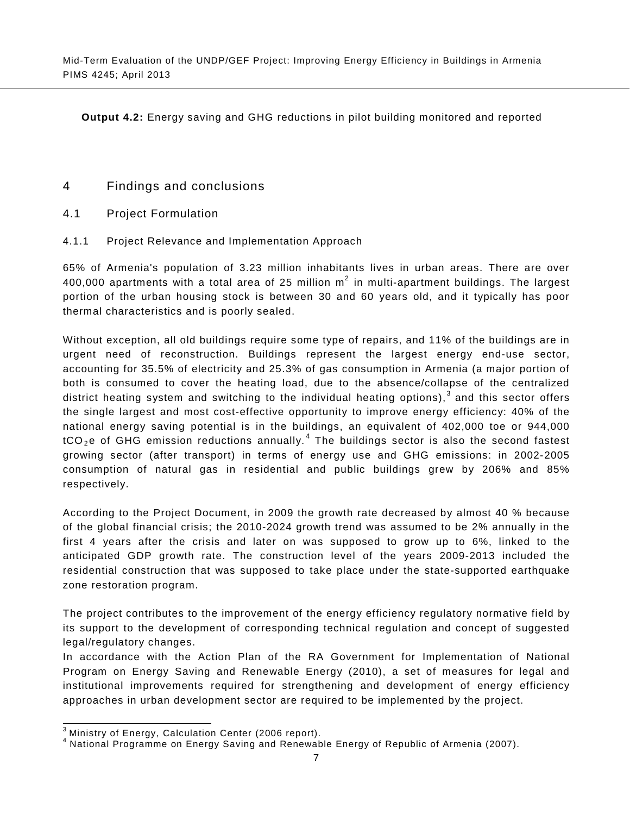**Output 4.2:** Energy saving and GHG reductions in pilot building monitored and reported

# 4 Findings and conclusions

- <span id="page-20-0"></span>4.1 Project Formulation
- 4.1.1 Project Relevance and Implementation Approach

<span id="page-20-2"></span><span id="page-20-1"></span>65% of Armenia's population of 3.23 million inhabitants lives in urban areas. There are over 400,000 apartments with a total area of 25 million  $m^2$  in multi-apartment buildings. The largest portion of the urban housing stock is between 30 and 60 years old, and it typically has poor thermal characteristics and is poorly sealed.

Without exception, all old buildings require some type of repairs, and 11% of the buildings are in urgent need of reconstruction. Buildings represent the largest energy end-use sector, accounting for 35.5% of electricity and 25.3% of gas consumption in Armenia (a major portion of both is consumed to cover the heating load, due to the absence/collapse of the centralized district heating system and switching to the individual heating options),  $3$  and this sector offers the single largest and most cost-effective opportunity to improve energy efficiency: 40% of the national energy saving potential is in the buildings, an equivalent of 402,000 toe or 944,000  $tCO<sub>2</sub>e$  of GHG emission reductions annually.<sup>[4](#page-20-3)</sup> The buildings sector is also the second fastest growing sector (after transport) in terms of energy use and GHG emissions: in 2002-2005 consumption of natural gas in residential and public buildings grew by 206% and 85% respectively.

According to the Project Document, in 2009 the growth rate decreased by almost 40 % because of the global financial crisis; the 2010-2024 growth trend was assumed to be 2% annually in the first 4 years after the crisis and later on was supposed to grow up to 6%, linked to the anticipated GDP growth rate. The construction level of the years 2009-2013 included the residential construction that was supposed to take place under the state-supported earthquake zone restoration program.

The project contributes to the improvement of the energy efficiency regulatory normative field by its support to the development of corresponding technical regulation and concept of suggested legal/regulatory changes.

In accordance with the Action Plan of the RA Government for Implementation of National Program on Energy Saving and Renewable Energy (2010), a set of measures for legal and institutional improvements required for strengthening and development of energy efficiency approaches in urban development sector are required to be implemented by the project.

<span id="page-20-3"></span>

 $^3$  Ministry of Energy, Calculation Center (2006 report).<br><sup>4</sup> National Programme on Energy Saving and Renewable Energy of Republic of Armenia (2007).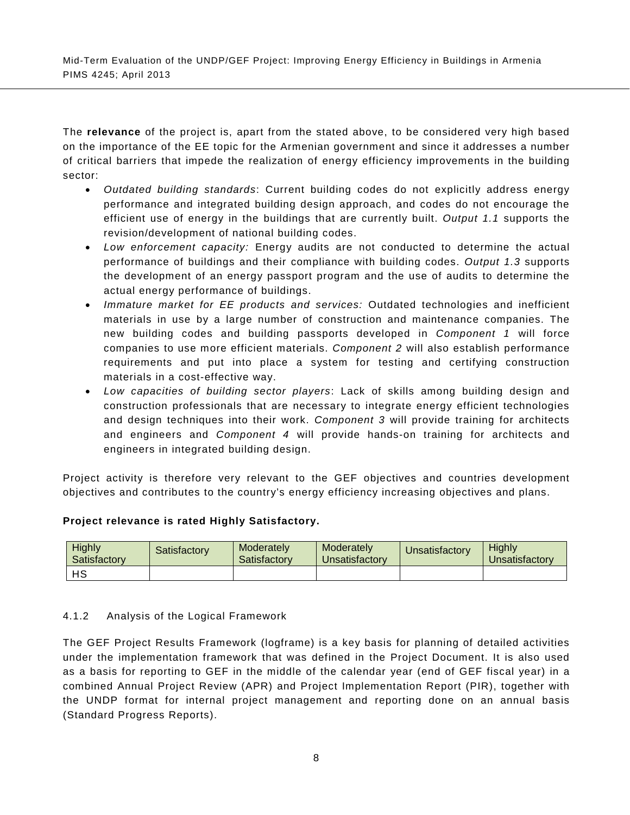The **relevance** of the project is, apart from the stated above, to be considered very high based on the importance of the EE topic for the Armenian government and since it addresses a number of critical barriers that impede the realization of energy efficiency improvements in the building sector:

- *Outdated building standards*: Current building codes do not explicitly address energy performance and integrated building design approach, and codes do not encourage the efficient use of energy in the buildings that are currently built. *Output 1.1* supports the revision/development of national building codes.
- *Low enforcement capacity:* Energy audits are not conducted to determine the actual performance of buildings and their compliance with building codes. *Output 1.3* supports the development of an energy passport program and the use of audits to determine the actual energy performance of buildings.
- *Immature market for EE products and services:* Outdated technologies and inefficient materials in use by a large number of construction and maintenance companies. The new building codes and building passports developed in *Component 1* will force companies to use more efficient materials. *Component 2* will also establish performance requirements and put into place a system for testing and certifying construction materials in a cost-effective way.
- *Low capacities of building sector players*: Lack of skills among building design and construction professionals that are necessary to integrate energy efficient technologies and design techniques into their work. *Component 3* will provide training for architects and engineers and *Component 4* will provide hands-on training for architects and engineers in integrated building design.

Project activity is therefore very relevant to the GEF objectives and countries development objectives and contributes to the country's energy efficiency increasing objectives and plans.

#### **Project relevance is rated Highly Satisfactory.**

| <b>Highly</b><br>Satisfactory | Satisfactorv | Moderately<br>Satisfactory | Moderately<br>Unsatisfactory | <b>J</b> nsatisfactory | <b>Highly</b><br><b>Jnsatisfactory</b> |
|-------------------------------|--------------|----------------------------|------------------------------|------------------------|----------------------------------------|
| нs                            |              |                            |                              |                        |                                        |

#### 4.1.2 Analysis of the Logical Framework

<span id="page-21-0"></span>The GEF Project Results Framework (logframe) is a key basis for planning of detailed activities under the implementation framework that was defined in the Project Document. It is also used as a basis for reporting to GEF in the middle of the calendar year (end of GEF fiscal year) in a combined Annual Project Review (APR) and Project Implementation Report (PIR), together with the UNDP format for internal project management and reporting done on an annual basis (Standard Progress Reports).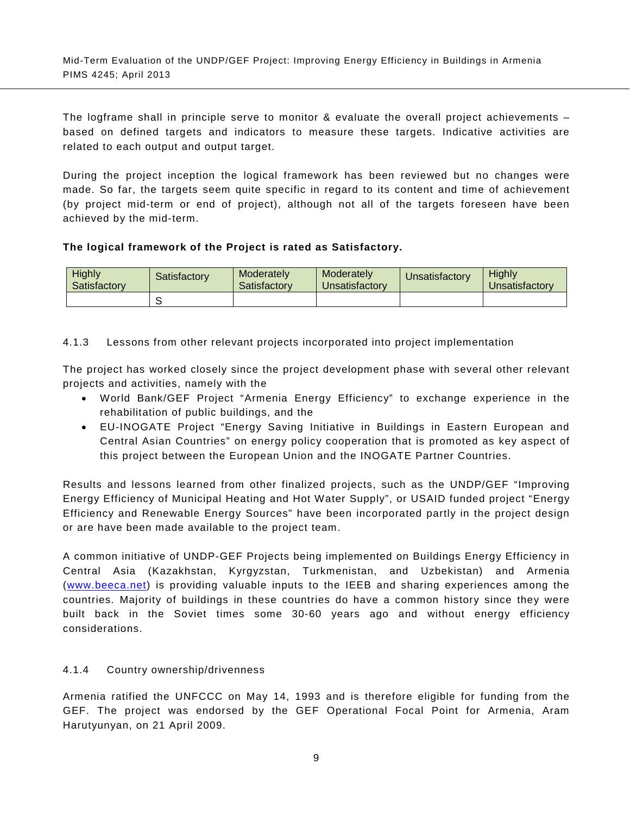The logframe shall in principle serve to monitor & evaluate the overall project achievements – based on defined targets and indicators to measure these targets. Indicative activities are related to each output and output target.

During the project inception the logical framework has been reviewed but no changes were made. So far, the targets seem quite specific in regard to its content and time of achievement (by project mid-term or end of project), although not all of the targets foreseen have been achieved by the mid-term.

## **The logical framework of the Project is rated as Satisfactory.**

| <b>Highly</b><br>Satisfactory | Satisfactory | Moderately<br>Satisfactory | Moderately<br>Unsatisfactory | <b>J</b> nsatisfactory | <b>Highly</b><br><b>J</b> nsatisfactory |
|-------------------------------|--------------|----------------------------|------------------------------|------------------------|-----------------------------------------|
|                               |              |                            |                              |                        |                                         |

# <span id="page-22-2"></span>4.1.3 Lessons from other relevant projects incorporated into project implementation

<span id="page-22-0"></span>The project has worked closely since the project development phase with several other relevant projects and activities, namely with the

- World Bank/GEF Project "Armenia Energy Efficiency" to exchange experience in the rehabilitation of public buildings, and the
- EU-INOGATE Project "Energy Saving Initiative in Buildings in Eastern European and Central Asian Countries" on energy policy cooperation that is promoted as key aspect of this project between the European Union and the INOGATE Partner Countries.

Results and lessons learned from other finalized projects, such as the UNDP/GEF "Improving Energy Efficiency of Municipal Heating and Hot Water Supply", or USAID funded project "Energy Efficiency and Renewable Energy Sources" have been incorporated partly in the project design or are have been made available to the project team.

A common initiative of UNDP-GEF Projects being implemented on Buildings Energy Efficiency in Central Asia (Kazakhstan, Kyrgyzstan, Turkmenistan, and Uzbekistan) and Armenia [\(www.beeca.net\)](http://www.beeca.net/) is providing valuable inputs to the IEEB and sharing experiences among the countries. Majority of buildings in these countries do have a common history since they were built back in the Soviet times some 30-60 years ago and without energy efficiency considerations.

#### 4.1.4 Country ownership/drivenness

<span id="page-22-1"></span>Armenia ratified the UNFCCC on May 14, 1993 and is therefore eligible for funding from the GEF. The project was endorsed by the GEF Operational Focal Point for Armenia, Aram Harutyunyan, on 21 April 2009.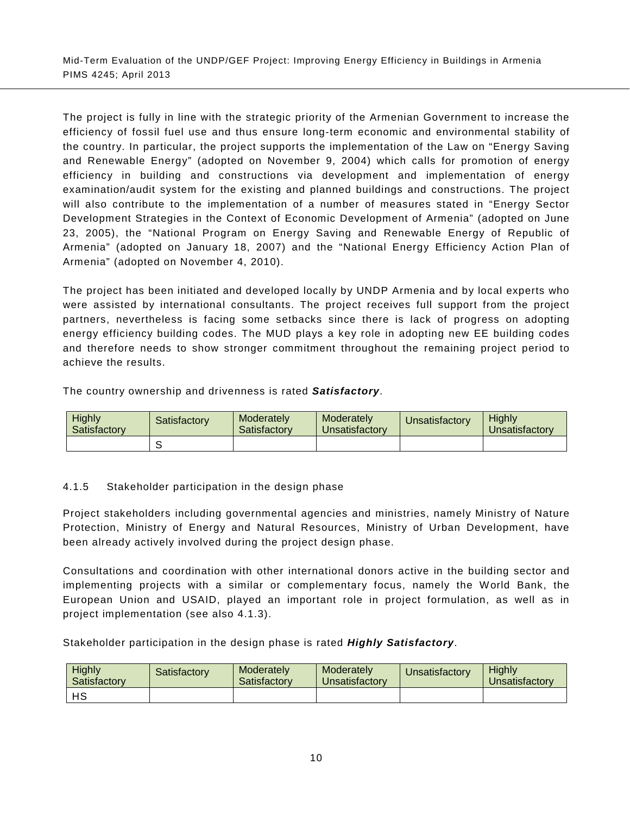The project is fully in line with the strategic priority of the Armenian Government to increase the efficiency of fossil fuel use and thus ensure long-term economic and environmental stability of the country. In particular, the project supports the implementation of the Law on "Energy Saving and Renewable Energy" (adopted on November 9, 2004) which calls for promotion of energy efficiency in building and constructions via development and implementation of energy examination/audit system for the existing and planned buildings and constructions. The project will also contribute to the implementation of a number of measures stated in "Energy Sector Development Strategies in the Context of Economic Development of Armenia" (adopted on June 23, 2005), the "National Program on Energy Saving and Renewable Energy of Republic of Armenia" (adopted on January 18, 2007) and the "National Energy Efficiency Action Plan of Armenia" (adopted on November 4, 2010).

The project has been initiated and developed locally by UNDP Armenia and by local experts who were assisted by international consultants. The project receives full support from the project partners, nevertheless is facing some setbacks since there is lack of progress on adopting energy efficiency building codes. The MUD plays a key role in adopting new EE building codes and therefore needs to show stronger commitment throughout the remaining project period to achieve the results.

The country ownership and drivenness is rated *Satisfactory*.

| <b>Highly</b><br>Satisfactory | Satisfactory | Moderately<br>Satisfactory | Moderately<br>Unsatisfactorv | <b>Jnsatisfactory</b> | Highly<br>Jnsatisfactorv |
|-------------------------------|--------------|----------------------------|------------------------------|-----------------------|--------------------------|
|                               |              |                            |                              |                       |                          |

#### 4.1.5 Stakeholder participation in the design phase

<span id="page-23-0"></span>Project stakeholders including governmental agencies and ministries, namely Ministry of Nature Protection, Ministry of Energy and Natural Resources, Ministry of Urban Development, have been already actively involved during the project design phase.

Consultations and coordination with other international donors active in the building sector and implementing projects with a similar or complementary focus, namely the World Bank, the European Union and USAID, played an important role in project formulation, as well as in project implementation (see also [4.1.3\)](#page-22-2).

Stakeholder participation in the design phase is rated *Highly Satisfactory*.

| Highly<br>Satisfactory | Satisfactorv | Moderately<br>Satisfactory | Moderately<br>Unsatisfactory | <b>J</b> nsatisfactory | <b>Highly</b><br>Unsatisfactory |
|------------------------|--------------|----------------------------|------------------------------|------------------------|---------------------------------|
| нs                     |              |                            |                              |                        |                                 |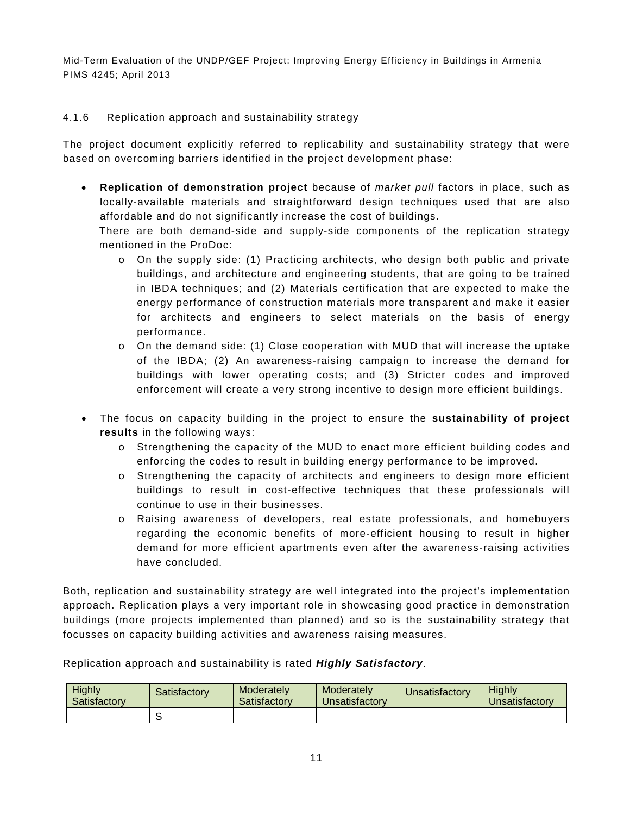#### 4.1.6 Replication approach and sustainability strategy

<span id="page-24-0"></span>The project document explicitly referred to replicability and sustainability strategy that were based on overcoming barriers identified in the project development phase:

• **Replication of demonstration project** because of *market pull* factors in place, such as locally-available materials and straightforward design techniques used that are also affordable and do not significantly increase the cost of buildings.

There are both demand-side and supply-side components of the replication strategy mentioned in the ProDoc:

- o On the supply side: (1) Practicing architects, who design both public and private buildings, and architecture and engineering students, that are going to be trained in IBDA techniques; and (2) Materials certification that are expected to make the energy performance of construction materials more transparent and make it easier for architects and engineers to select materials on the basis of energy performance.
- $\circ$  On the demand side: (1) Close cooperation with MUD that will increase the uptake of the IBDA; (2) An awareness-raising campaign to increase the demand for buildings with lower operating costs; and (3) Stricter codes and improved enforcement will create a very strong incentive to design more efficient buildings.
- The focus on capacity building in the project to ensure the **sustainability of project results** in the following ways:
	- o Strengthening the capacity of the MUD to enact more efficient building codes and enforcing the codes to result in building energy performance to be improved.
	- o Strengthening the capacity of architects and engineers to design more efficient buildings to result in cost-effective techniques that these professionals will continue to use in their businesses.
	- o Raising awareness of developers, real estate professionals, and homebuyers regarding the economic benefits of more-efficient housing to result in higher demand for more efficient apartments even after the awareness-raising activities have concluded.

Both, replication and sustainability strategy are well integrated into the project's implementation approach. Replication plays a very important role in showcasing good practice in demonstration buildings (more projects implemented than planned) and so is the sustainability strategy that focusses on capacity building activities and awareness raising measures.

Replication approach and sustainability is rated *Highly Satisfactory*.

| Highly<br>Satisfactory | Satisfactory | Moderately<br>Satisfactory | Moderately<br>Unsatisfactory | Unsatisfactory | <b>Highly</b><br><b>J</b> nsatisfactory |  |
|------------------------|--------------|----------------------------|------------------------------|----------------|-----------------------------------------|--|
|                        |              |                            |                              |                |                                         |  |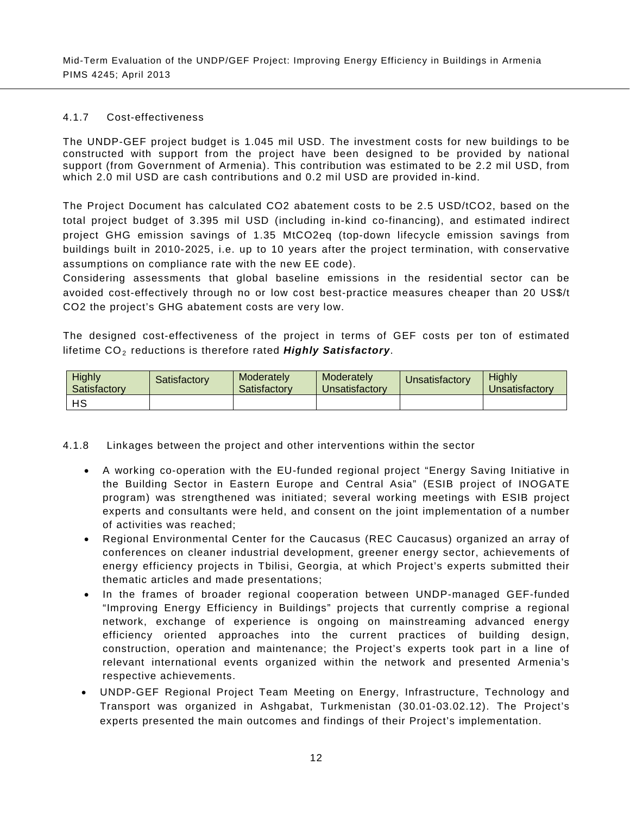#### 4.1.7 Cost-effectiveness

<span id="page-25-0"></span>The UNDP-GEF project budget is 1.045 mil USD. The investment costs for new buildings to be constructed with support from the project have been designed to be provided by national support (from Government of Armenia). This contribution was estimated to be 2.2 mil USD, from which 2.0 mil USD are cash contributions and 0.2 mil USD are provided in-kind.

The Project Document has calculated CO2 abatement costs to be 2.5 USD/tCO2, based on the total project budget of 3.395 mil USD (including in-kind co-financing), and estimated indirect project GHG emission savings of 1.35 MtCO2eq (top-down lifecycle emission savings from buildings built in 2010-2025, i.e. up to 10 years after the project termination, with conservative assumptions on compliance rate with the new EE code).

Considering assessments that global baseline emissions in the residential sector can be avoided cost-effectively through no or low cost best-practice measures cheaper than 20 US\$/t CO2 the project's GHG abatement costs are very low.

The designed cost-effectiveness of the project in terms of GEF costs per ton of estimated lifetime CO<sub>2</sub> reductions is therefore rated *Highly Satisfactory*.

| Highly<br>Satisfactory | Satisfactorv | Moderately<br>Satisfactory | Moderately<br>Unsatisfactory | <b>Unsatisfactory</b> | Highly<br><i><u><b>Jnsatisfactory</b></u></i> |  |
|------------------------|--------------|----------------------------|------------------------------|-----------------------|-----------------------------------------------|--|
| HS                     |              |                            |                              |                       |                                               |  |

4.1.8 Linkages between the project and other interventions within the sector

- <span id="page-25-1"></span>• A working co-operation with the EU-funded regional project "Energy Saving Initiative in the Building Sector in Eastern Europe and Central Asia" (ESIB project of INOGATE program) was strengthened was initiated; several working meetings with ESIB project experts and consultants were held, and consent on the joint implementation of a number of activities was reached;
- Regional Environmental Center for the Caucasus (REC Caucasus) organized an array of conferences on cleaner industrial development, greener energy sector, achievements of energy efficiency projects in Tbilisi, Georgia, at which Project's experts submitted their thematic articles and made presentations;
- In the frames of broader regional cooperation between UNDP-managed GEF-funded "Improving Energy Efficiency in Buildings" projects that currently comprise a regional network, exchange of experience is ongoing on mainstreaming advanced energy efficiency oriented approaches into the current practices of building design, construction, operation and maintenance; the Project's experts took part in a line of relevant international events organized within the network and presented Armenia's respective achievements.
- UNDP-GEF Regional Project Team Meeting on Energy, Infrastructure, Technology and Transport was organized in Ashgabat, Turkmenistan (30.01-03.02.12). The Project's experts presented the main outcomes and findings of their Project's implementation.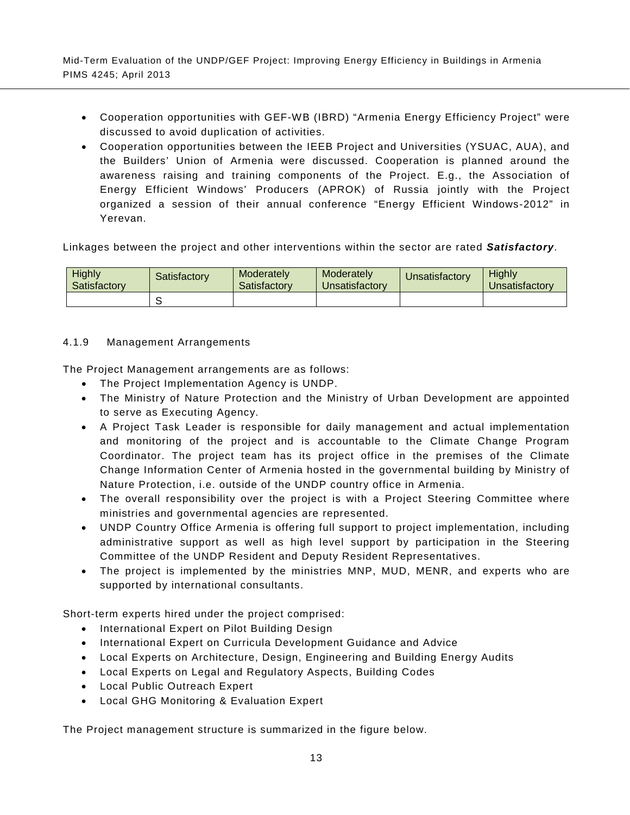- Cooperation opportunities with GEF-WB (IBRD) "Armenia Energy Efficiency Project" were discussed to avoid duplication of activities.
- Cooperation opportunities between the IEEB Project and Universities (YSUAC, AUA), and the Builders' Union of Armenia were discussed. Cooperation is planned around the awareness raising and training components of the Project. E.g., the Association of Energy Efficient Windows' Producers (APROK) of Russia jointly with the Project organized a session of their annual conference "Energy Efficient Windows-2012" in Yerevan.

Linkages between the project and other interventions within the sector are rated *Satisfactory*.

| <b>Highly</b><br>Satisfactory | Satisfactory | Moderately<br>Moderately<br>Unsatisfactory<br>Satisfactory |  | Unsatisfactory | <b>Highly</b><br>Jnsatisfactorv |  |
|-------------------------------|--------------|------------------------------------------------------------|--|----------------|---------------------------------|--|
|                               |              |                                                            |  |                |                                 |  |

## 4.1.9 Management Arrangements

<span id="page-26-0"></span>The Project Management arrangements are as follows:

- The Project Implementation Agency is UNDP.
- The Ministry of Nature Protection and the Ministry of Urban Development are appointed to serve as Executing Agency.
- A Project Task Leader is responsible for daily management and actual implementation and monitoring of the project and is accountable to the Climate Change Program Coordinator. The project team has its project office in the premises of the Climate Change Information Center of Armenia hosted in the governmental building by Ministry of Nature Protection, i.e. outside of the UNDP country office in Armenia.
- The overall responsibility over the project is with a Project Steering Committee where ministries and governmental agencies are represented.
- UNDP Country Office Armenia is offering full support to project implementation, including administrative support as well as high level support by participation in the Steering Committee of the UNDP Resident and Deputy Resident Representatives.
- The project is implemented by the ministries MNP, MUD, MENR, and experts who are supported by international consultants.

Short-term experts hired under the project comprised:

- International Expert on Pilot Building Design
- International Expert on Curricula Development Guidance and Advice
- Local Experts on Architecture, Design, Engineering and Building Energy Audits
- Local Experts on Legal and Regulatory Aspects, Building Codes
- Local Public Outreach Expert
- Local GHG Monitoring & Evaluation Expert

The Project management structure is summarized in the figure below.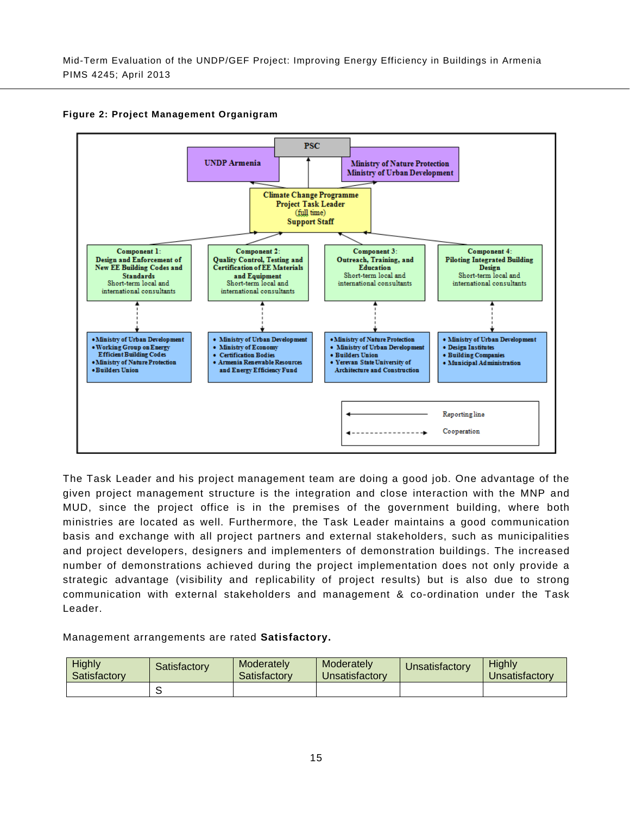<span id="page-28-0"></span>

#### **Figure 2: Project Management Organigram**

The Task Leader and his project management team are doing a good job. One advantage of the given project management structure is the integration and close interaction with the MNP and MUD, since the project office is in the premises of the government building, where both ministries are located as well. Furthermore, the Task Leader maintains a good communication basis and exchange with all project partners and external stakeholders, such as municipalities and project developers, designers and implementers of demonstration buildings. The increased number of demonstrations achieved during the project implementation does not only provide a strategic advantage (visibility and replicability of project results) but is also due to strong communication with external stakeholders and management & co-ordination under the Task Leader.

Management arrangements are rated **Satisfactory.**

| <b>Highly</b><br>Satisfactory | Satisfactory | Moderately<br>Satisfactory | Moderately<br>Unsatisfactory | Unsatisfactory | <b>Highly</b><br><b>Jnsatisfactory</b> |
|-------------------------------|--------------|----------------------------|------------------------------|----------------|----------------------------------------|
|                               |              |                            |                              |                |                                        |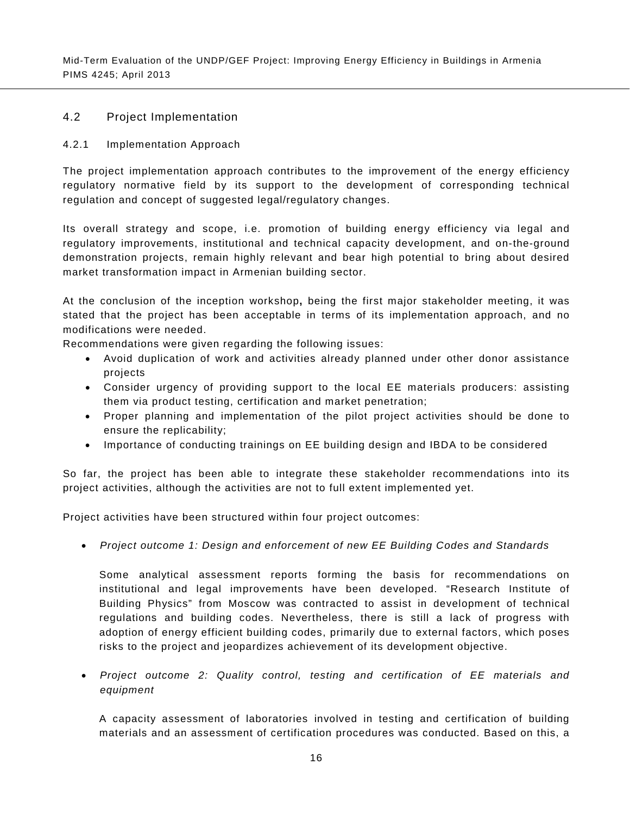## 4.2 Project Implementation

#### 4.2.1 Implementation Approach

<span id="page-29-1"></span><span id="page-29-0"></span>The project implementation approach contributes to the improvement of the energy efficiency regulatory normative field by its support to the development of corresponding technical regulation and concept of suggested legal/regulatory changes.

Its overall strategy and scope, i.e. promotion of building energy efficiency via legal and regulatory improvements, institutional and technical capacity development, and on-the-ground demonstration projects, remain highly relevant and bear high potential to bring about desired market transformation impact in Armenian building sector.

At the conclusion of the inception workshop**,** being the first major stakeholder meeting, it was stated that the project has been acceptable in terms of its implementation approach, and no modifications were needed.

Recommendations were given regarding the following issues:

- Avoid duplication of work and activities already planned under other donor assistance projects
- Consider urgency of providing support to the local EE materials producers: assisting them via product testing, certification and market penetration;
- Proper planning and implementation of the pilot project activities should be done to ensure the replicability;
- Importance of conducting trainings on EE building design and IBDA to be considered

So far, the project has been able to integrate these stakeholder recommendations into its project activities, although the activities are not to full extent implemented yet.

Project activities have been structured within four project outcomes:

• *Project outcome 1: Design and enforcement of new EE Building Codes and Standards*

Some analytical assessment reports forming the basis for recommendations on institutional and legal improvements have been developed. "Research Institute of Building Physics" from Moscow was contracted to assist in development of technical regulations and building codes. Nevertheless, there is still a lack of progress with adoption of energy efficient building codes, primarily due to external factors, which poses risks to the project and jeopardizes achievement of its development objective.

• *Project outcome 2: Quality control, testing and certification of EE materials and equipment*

A capacity assessment of laboratories involved in testing and certification of building materials and an assessment of certification procedures was conducted. Based on this, a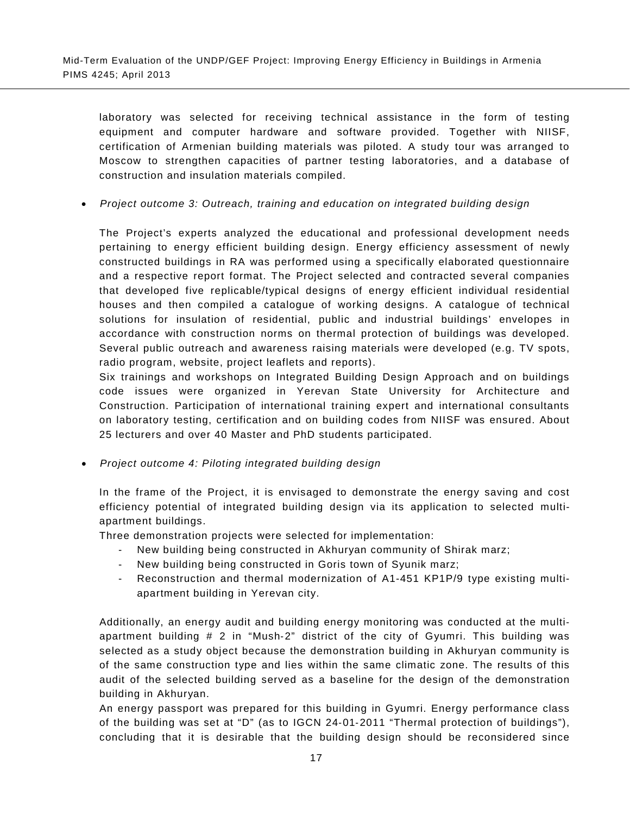laboratory was selected for receiving technical assistance in the form of testing equipment and computer hardware and software provided. Together with NIISF, certification of Armenian building materials was piloted. A study tour was arranged to Moscow to strengthen capacities of partner testing laboratories, and a database of construction and insulation materials compiled.

• *Project outcome 3: Outreach, training and education on integrated building design*

The Project's experts analyzed the educational and professional development needs pertaining to energy efficient building design. Energy efficiency assessment of newly constructed buildings in RA was performed using a specifically elaborated questionnaire and a respective report format. The Project selected and contracted several companies that developed five replicable/typical designs of energy efficient individual residential houses and then compiled a catalogue of working designs. A catalogue of technical solutions for insulation of residential, public and industrial buildings' envelopes in accordance with construction norms on thermal protection of buildings was developed. Several public outreach and awareness raising materials were developed (e.g. TV spots, radio program, website, project leaflets and reports).

Six trainings and workshops on Integrated Building Design Approach and on buildings code issues were organized in Yerevan State University for Architecture and Construction. Participation of international training expert and international consultants on laboratory testing, certification and on building codes from NIISF was ensured. About 25 lecturers and over 40 Master and PhD students participated.

• *Project outcome 4: Piloting integrated building design*

In the frame of the Project, it is envisaged to demonstrate the energy saving and cost efficiency potential of integrated building design via its application to selected multiapartment buildings.

Three demonstration projects were selected for implementation:

- New building being constructed in Akhuryan community of Shirak marz;
- New building being constructed in Goris town of Syunik marz;
- Reconstruction and thermal modernization of A1-451 KP1P/9 type existing multiapartment building in Yerevan city.

Additionally, an energy audit and building energy monitoring was conducted at the multi‐ apartment building # 2 in "Mush‐2" district of the city of Gyumri. This building was selected as a study object because the demonstration building in Akhuryan community is of the same construction type and lies within the same climatic zone. The results of this audit of the selected building served as a baseline for the design of the demonstration building in Akhuryan.

An energy passport was prepared for this building in Gyumri. Energy performance class of the building was set at "D" (as to IGCN 24‐01‐2011 "Thermal protection of buildings"), concluding that it is desirable that the building design should be reconsidered since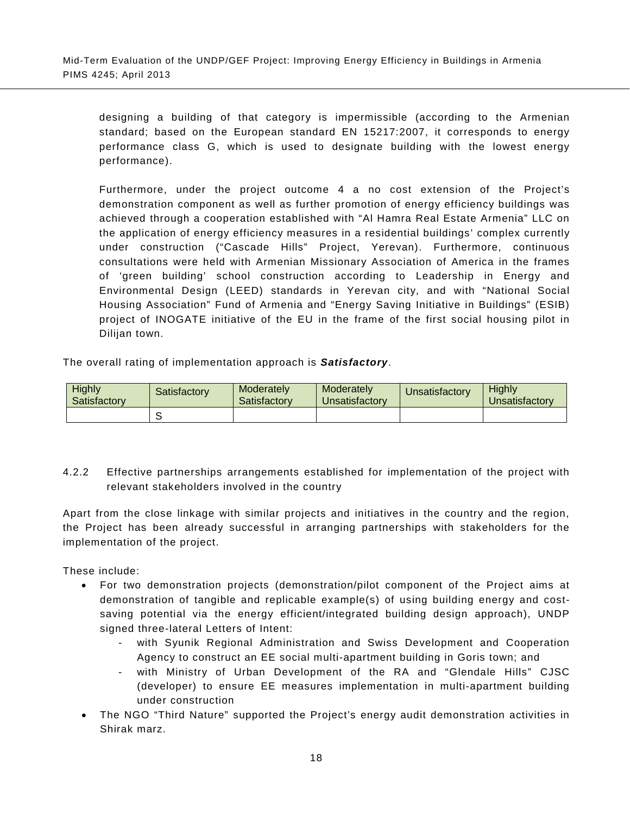designing a building of that category is impermissible (according to the Armenian standard; based on the European standard EN 15217:2007, it corresponds to energy performance class G, which is used to designate building with the lowest energy performance).

Furthermore, under the project outcome 4 a no cost extension of the Project's demonstration component as well as further promotion of energy efficiency buildings was achieved through a cooperation established with "Al Hamra Real Estate Armenia" LLC on the application of energy efficiency measures in a residential buildings' complex currently under construction ("Cascade Hills" Project, Yerevan). Furthermore, continuous consultations were held with Armenian Missionary Association of America in the frames of 'green building' school construction according to Leadership in Energy and Environmental Design (LEED) standards in Yerevan city, and with "National Social Housing Association" Fund of Armenia and "Energy Saving Initiative in Buildings" (ESIB) project of INOGATE initiative of the EU in the frame of the first social housing pilot in Dilijan town.

The overall rating of implementation approach is *Satisfactory*.

| <b>Highly</b><br>Satisfactory | Satisfactorv | Moderately<br>Satisfactory | Moderately<br>Unsatisfactorv | <b>Unsatisfactory</b> | Highly<br>Jnsatisfactorv |  |
|-------------------------------|--------------|----------------------------|------------------------------|-----------------------|--------------------------|--|
|                               |              |                            |                              |                       |                          |  |

4.2.2 Effective partnerships arrangements established for implementation of the project with relevant stakeholders involved in the country

<span id="page-31-0"></span>Apart from the close linkage with similar projects and initiatives in the country and the region, the Project has been already successful in arranging partnerships with stakeholders for the implementation of the project.

These include:

- For two demonstration projects (demonstration/pilot component of the Project aims at demonstration of tangible and replicable example(s) of using building energy and costsaving potential via the energy efficient/integrated building design approach), UNDP signed three-lateral Letters of Intent:
	- with Syunik Regional Administration and Swiss Development and Cooperation Agency to construct an EE social multi-apartment building in Goris town; and
	- with Ministry of Urban Development of the RA and "Glendale Hills" CJSC (developer) to ensure EE measures implementation in multi-apartment building under construction
- The NGO "Third Nature" supported the Project's energy audit demonstration activities in Shirak marz.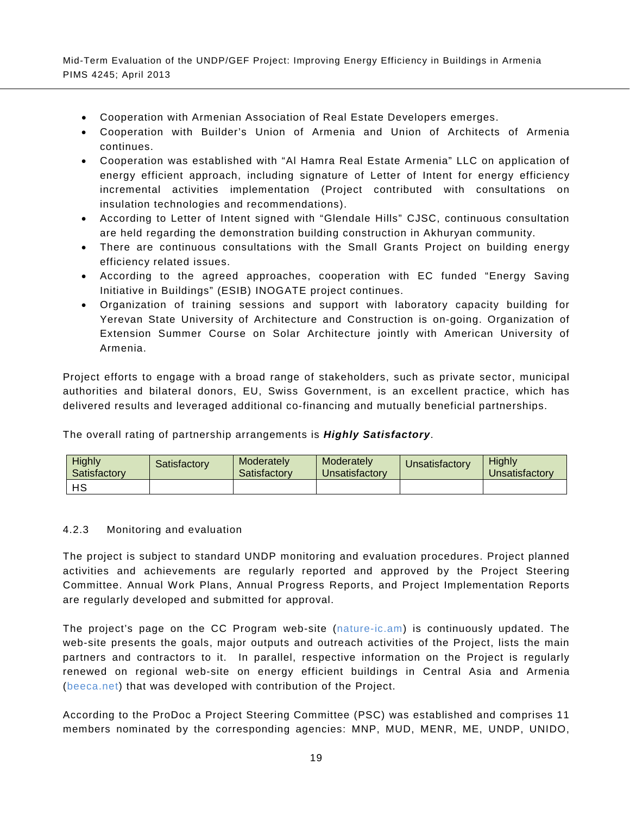- Cooperation with Armenian Association of Real Estate Developers emerges.
- Cooperation with Builder's Union of Armenia and Union of Architects of Armenia continues.
- Cooperation was established with "Al Hamra Real Estate Armenia" LLC on application of energy efficient approach, including signature of Letter of Intent for energy efficiency incremental activities implementation (Project contributed with consultations on insulation technologies and recommendations).
- According to Letter of Intent signed with "Glendale Hills" CJSC, continuous consultation are held regarding the demonstration building construction in Akhuryan community.
- There are continuous consultations with the Small Grants Project on building energy efficiency related issues.
- According to the agreed approaches, cooperation with EC funded "Energy Saving Initiative in Buildings" (ESIB) INOGATE project continues.
- Organization of training sessions and support with laboratory capacity building for Yerevan State University of Architecture and Construction is on-going. Organization of Extension Summer Course on Solar Architecture jointly with American University of Armenia.

Project efforts to engage with a broad range of stakeholders, such as private sector, municipal authorities and bilateral donors, EU, Swiss Government, is an excellent practice, which has delivered results and leveraged additional co-financing and mutually beneficial partnerships.

The overall rating of partnership arrangements is *Highly Satisfactory*.

| <b>Highly</b><br>Satisfactory | Satisfactory | Moderately<br>Satisfactory | Moderately<br>Unsatisfactory | Unsatisfactory | <b>Highly</b><br><u>Jnsatisfactory</u> |  |
|-------------------------------|--------------|----------------------------|------------------------------|----------------|----------------------------------------|--|
| HS                            |              |                            |                              |                |                                        |  |

#### 4.2.3 Monitoring and evaluation

<span id="page-32-0"></span>The project is subject to standard UNDP monitoring and evaluation procedures. Project planned activities and achievements are regularly reported and approved by the Project Steering Committee. Annual Work Plans, Annual Progress Reports, and Project Implementation Reports are regularly developed and submitted for approval.

The project's page on the CC Program web-site (nature-ic.am) is continuously updated. The web-site presents the goals, major outputs and outreach activities of the Project, lists the main partners and contractors to it. In parallel, respective information on the Project is regularly renewed on regional web-site on energy efficient buildings in Central Asia and Armenia (beeca.net) that was developed with contribution of the Project.

According to the ProDoc a Project Steering Committee (PSC) was established and comprises 11 members nominated by the corresponding agencies: MNP, MUD, MENR, ME, UNDP, UNIDO,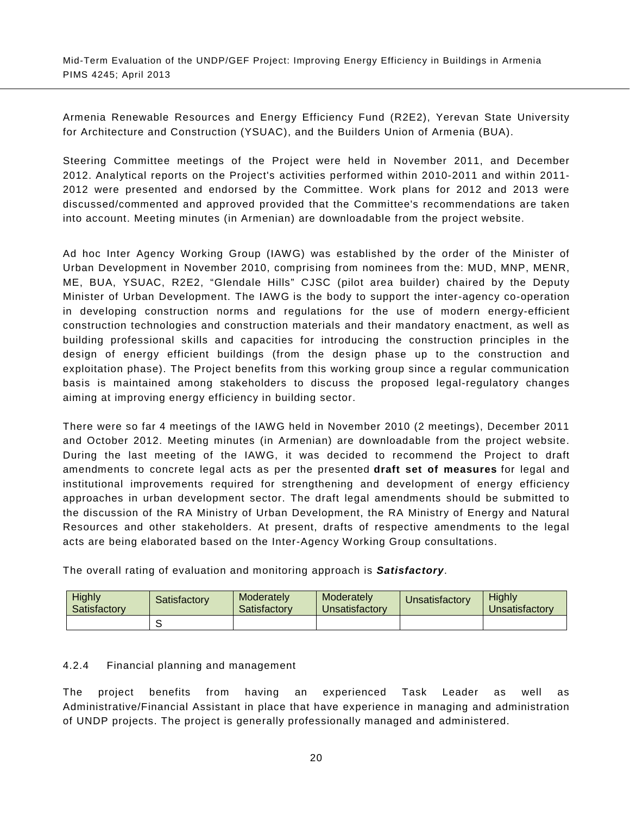Armenia Renewable Resources and Energy Efficiency Fund (R2E2), Yerevan State University for Architecture and Construction (YSUAC), and the Builders Union of Armenia (BUA).

Steering Committee meetings of the Project were held in November 2011, and December 2012. Analytical reports on the Project's activities performed within 2010-2011 and within 2011- 2012 were presented and endorsed by the Committee. Work plans for 2012 and 2013 were discussed/commented and approved provided that the Committee's recommendations are taken into account. Meeting minutes (in Armenian) are downloadable from the project website.

Ad hoc Inter Agency Working Group (IAWG) was established by the order of the Minister of Urban Development in November 2010, comprising from nominees from the: MUD, MNP, MENR, ME, BUA, YSUAC, R2E2, "Glendale Hills" CJSC (pilot area builder) chaired by the Deputy Minister of Urban Development. The IAWG is the body to support the inter-agency co-operation in developing construction norms and regulations for the use of modern energy-efficient construction technologies and construction materials and their mandatory enactment, as well as building professional skills and capacities for introducing the construction principles in the design of energy efficient buildings (from the design phase up to the construction and exploitation phase). The Project benefits from this working group since a regular communication basis is maintained among stakeholders to discuss the proposed legal-regulatory changes aiming at improving energy efficiency in building sector.

There were so far 4 meetings of the IAWG held in November 2010 (2 meetings), December 2011 and October 2012. Meeting minutes (in Armenian) are downloadable from the project website. During the last meeting of the IAWG, it was decided to recommend the Project to draft amendments to concrete legal acts as per the presented **draft set of measures** for legal and institutional improvements required for strengthening and development of energy efficiency approaches in urban development sector. The draft legal amendments should be submitted to the discussion of the RA Ministry of Urban Development, the RA Ministry of Energy and Natural Resources and other stakeholders. At present, drafts of respective amendments to the legal acts are being elaborated based on the Inter-Agency Working Group consultations.

| Highly<br>Satisfactory | Satisfactory | Moderately<br>Satisfactory | Moderately<br>Unsatisfactory | Unsatisfactory | Hiahlv<br><b>J</b> nsatisfactory |  |
|------------------------|--------------|----------------------------|------------------------------|----------------|----------------------------------|--|
|                        |              |                            |                              |                |                                  |  |

The overall rating of evaluation and monitoring approach is *Satisfactory*.

# 4.2.4 Financial planning and management

<span id="page-33-0"></span>The project benefits from having an experienced Task Leader as well as Administrative/Financial Assistant in place that have experience in managing and administration of UNDP projects. The project is generally professionally managed and administered.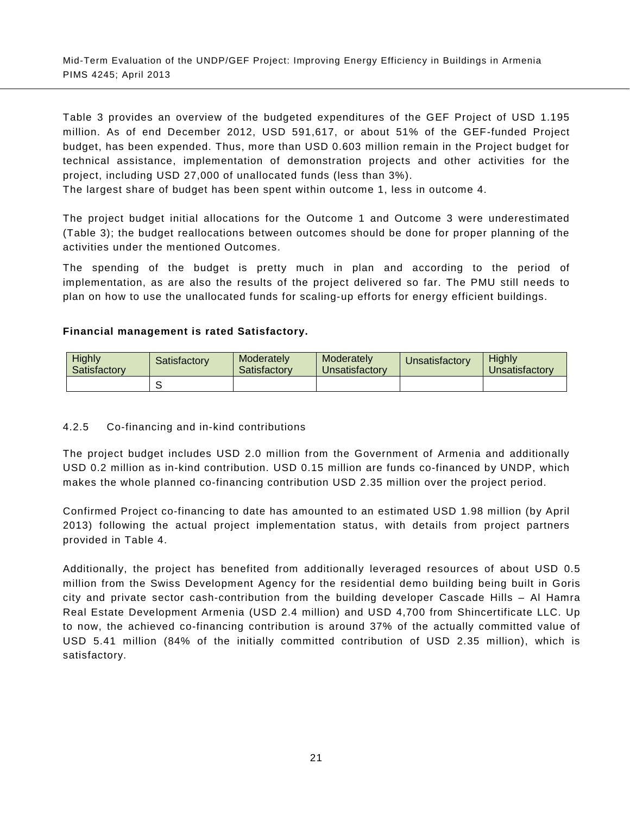[Table 3](#page-35-2) provides an overview of the budgeted expenditures of the GEF Project of USD 1.195 million. As of end December 2012, USD 591,617, or about 51% of the GEF-funded Project budget, has been expended. Thus, more than USD 0.603 million remain in the Project budget for technical assistance, implementation of demonstration projects and other activities for the project, including USD 27,000 of unallocated funds (less than 3%).

The largest share of budget has been spent within outcome 1, less in outcome 4.

The project budget initial allocations for the Outcome 1 and Outcome 3 were underestimated (Table 3); the budget reallocations between outcomes should be done for proper planning of the activities under the mentioned Outcomes.

The spending of the budget is pretty much in plan and according to the period of implementation, as are also the results of the project delivered so far. The PMU still needs to plan on how to use the unallocated funds for scaling-up efforts for energy efficient buildings.

# **Financial management is rated Satisfactory.**

| <b>Highly</b><br>Satisfactory | Satisfactorvi | Moderately<br>Satisfactory |  | <b>J</b> nsatisfactory | <b>Highly</b><br>Unsatisfactory |  |
|-------------------------------|---------------|----------------------------|--|------------------------|---------------------------------|--|
|                               |               |                            |  |                        |                                 |  |

# 4.2.5 Co-financing and in-kind contributions

<span id="page-34-0"></span>The project budget includes USD 2.0 million from the Government of Armenia and additionally USD 0.2 million as in-kind contribution. USD 0.15 million are funds co-financed by UNDP, which makes the whole planned co-financing contribution USD 2.35 million over the project period.

Confirmed Project co-financing to date has amounted to an estimated USD 1.98 million (by April 2013) following the actual project implementation status, with details from project partners provided in [Table 4.](#page-35-3)

Additionally, the project has benefited from additionally leveraged resources of about USD 0.5 million from the Swiss Development Agency for the residential demo building being built in Goris city and private sector cash-contribution from the building developer Cascade Hills – Al Hamra Real Estate Development Armenia (USD 2.4 million) and USD 4,700 from Shincertificate LLC. Up to now, the achieved co-financing contribution is around 37% of the actually committed value of USD 5.41 million (84% of the initially committed contribution of USD 2.35 million), which is satisfactory.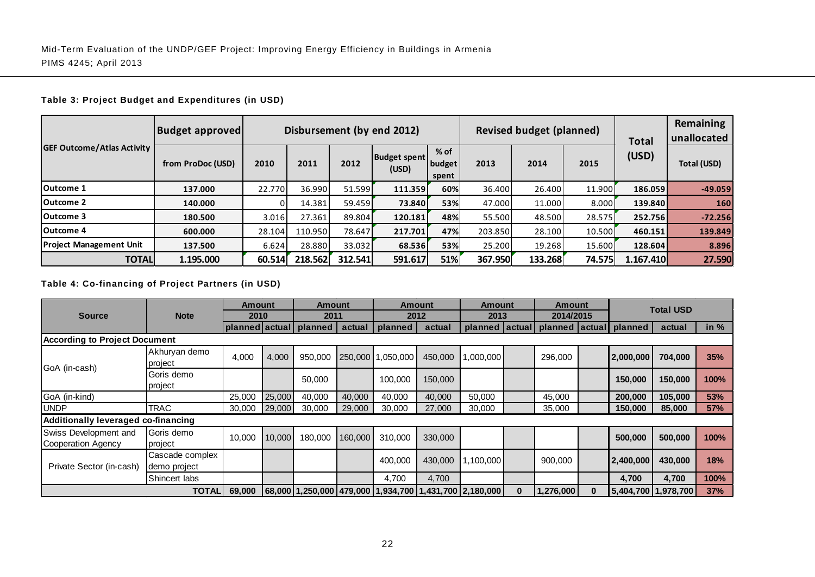## **Table 3: Project Budget and Expenditures (in USD)**

| <b>GEF Outcome/Atlas Activity</b> | <b>Budget approved</b> | Disbursement (by end 2012)<br><b>Revised budget (planned)</b> |         |         |                              |                           |         |         |        | Total     | <b>Remaining</b><br>unallocated |
|-----------------------------------|------------------------|---------------------------------------------------------------|---------|---------|------------------------------|---------------------------|---------|---------|--------|-----------|---------------------------------|
|                                   | from ProDoc (USD)      | 2010                                                          | 2011    | 2012    | <b>Budget spent</b><br>(USD) | $%$ of<br>budget<br>spent | 2013    | 2014    | 2015   | (USD)     | Total (USD)                     |
| Outcome 1                         | 137.000                | 22.770                                                        | 36.990  | 51.599  | 111.359                      | 60%                       | 36.400  | 26.400  | 11.900 | 186.059   | $-49.059$                       |
| Outcome 2                         | 140.000                | 01                                                            | 14.381  | 59.459  | 73.840                       | 53%                       | 47.000  | 11.000  | 8.000  | 139.840   | 160                             |
| Outcome 3                         | 180.500                | 3.016                                                         | 27.361  | 89.804  | 120.181                      | 48%                       | 55.500  | 48.500  | 28.575 | 252.756   | $-72.256$                       |
| Outcome 4                         | 600.000                | 28.104                                                        | 110.950 | 78.647  | 217.701                      | 47%                       | 203.850 | 28.100  | 10.500 | 460.151   | 139.849                         |
| <b>Project Management Unit</b>    | 137.500                | 6.624                                                         | 28.880  | 33.032  | 68.536                       | 53%                       | 25.200  | 19.268  | 15.600 | 128.604   | 8.896                           |
| <b>TOTAL</b>                      | 1.195.000              | 60.514                                                        | 218.562 | 312.541 | 591.617                      | 51%                       | 367.950 | 133.268 | 74.575 | 1.167.410 | 27.590                          |

## <span id="page-35-2"></span>**Table 4: Co-financing of Project Partners (in USD)**

<span id="page-35-3"></span><span id="page-35-1"></span><span id="page-35-0"></span>

|                                             |                                 | <b>Amount</b>  |        | Amount  |         |                   | <b>Amount</b> | Amount                                                 |   | Amount                                        |          |                     | <b>Total USD</b> |            |
|---------------------------------------------|---------------------------------|----------------|--------|---------|---------|-------------------|---------------|--------------------------------------------------------|---|-----------------------------------------------|----------|---------------------|------------------|------------|
| <b>Source</b>                               | <b>Note</b>                     | 2010           |        | 2011    |         |                   | 2012          | 2013                                                   |   | 2014/2015                                     |          |                     |                  |            |
|                                             |                                 | planned actual |        | planned | actual  | planned           | actual        |                                                        |   | planned   actual   planned   actual   planned |          |                     | actual           | in $%$     |
| <b>According to Project Document</b>        |                                 |                |        |         |         |                   |               |                                                        |   |                                               |          |                     |                  |            |
|                                             | Akhuryan demo<br>project        | 4,000          | 4,000  | 950,000 |         | 250,000 1,050,000 | 450,000       | 1,000,000                                              |   | 296,000                                       |          | 2,000,000           | 704,000          | 35%        |
| GoA (in-cash)                               | Goris demo<br>project           |                |        | 50,000  |         | 100,000           | 150,000       |                                                        |   |                                               |          | 150,000             | 150,000          | 100%       |
| GoA (in-kind)                               |                                 | 25,000         | 25,000 | 40,000  | 40,000  | 40,000            | 40,000        | 50,000                                                 |   | 45,000                                        |          | 200,000             | 105,000          | 53%        |
| <b>UNDP</b>                                 | <b>TRAC</b>                     | 30,000         | 29,000 | 30,000  | 29,000  | 30,000            | 27,000        | 30,000                                                 |   | 35,000                                        |          | 150,000             | 85,000           | <b>57%</b> |
| Additionally leveraged co-financing         |                                 |                |        |         |         |                   |               |                                                        |   |                                               |          |                     |                  |            |
| Swiss Development and<br>Cooperation Agency | Goris demo<br>project           | 10,000         | 10,000 | 180,000 | 160,000 | 310,000           | 330,000       |                                                        |   |                                               |          | 500,000             | 500,000          | 100%       |
| Private Sector (in-cash)                    | Cascade complex<br>demo project |                |        |         |         | 400,000           | 430,000       | 1,100,000                                              |   | 900,000                                       |          | 2,400,000           | 430,000          | 18%        |
|                                             | Shincert labs                   |                |        |         |         | 4,700             | 4,700         |                                                        |   |                                               |          | 4,700               | 4,700            | 100%       |
|                                             | <b>TOTAL</b>                    | 69,000         |        |         |         |                   |               | 68,000 1,250,000 479,000 1,934,700 1,431,700 2,180,000 | 0 | 1,276,000                                     | $\bf{0}$ | 5,404,700 1,978,700 |                  | 37%        |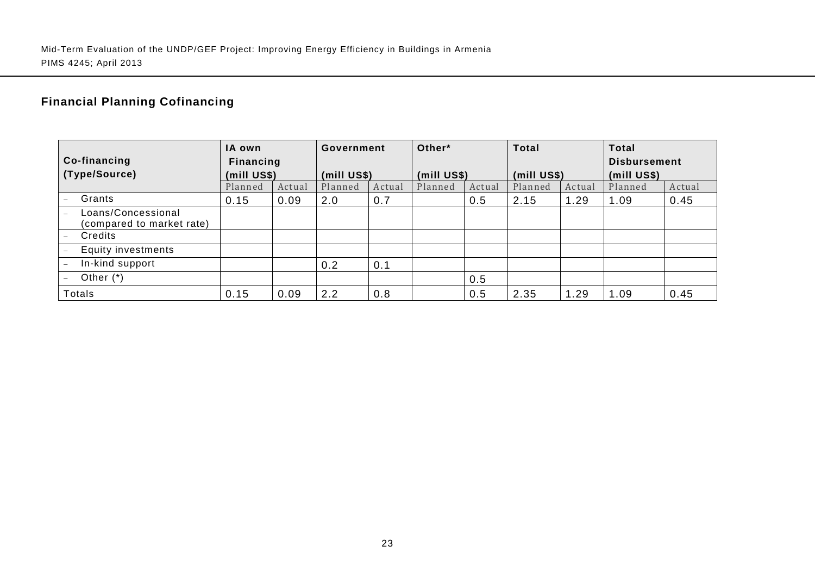# **Financial Planning Cofinancing**

|                                                 | IA own      |        | Government  |        | Other*      |        | <b>Total</b> |        | <b>Total</b>        |        |
|-------------------------------------------------|-------------|--------|-------------|--------|-------------|--------|--------------|--------|---------------------|--------|
| Co-financing                                    | Financing   |        |             |        |             |        |              |        | <b>Disbursement</b> |        |
| (Type/Source)                                   | (mill US\$) |        | (mill US\$) |        | (mill US\$) |        | (mill US\$)  |        | (mill US\$)         |        |
|                                                 | Planned     | Actual | Planned     | Actual | Planned     | Actual | Planned      | Actual | Planned             | Actual |
| Grants                                          | 0.15        | 0.09   | 2.0         | 0.7    |             | 0.5    | 2.15         | 1.29   | 1.09                | 0.45   |
| Loans/Concessional<br>(compared to market rate) |             |        |             |        |             |        |              |        |                     |        |
| Credits                                         |             |        |             |        |             |        |              |        |                     |        |
| <b>Equity investments</b>                       |             |        |             |        |             |        |              |        |                     |        |
| In-kind support                                 |             |        | 0.2         | 0.1    |             |        |              |        |                     |        |
| Other $(*)$                                     |             |        |             |        |             | 0.5    |              |        |                     |        |
| Totals                                          | 0.15        | 0.09   | 2.2         | 0.8    |             | 0.5    | 2.35         | 1.29   | 1.09                | 0.45   |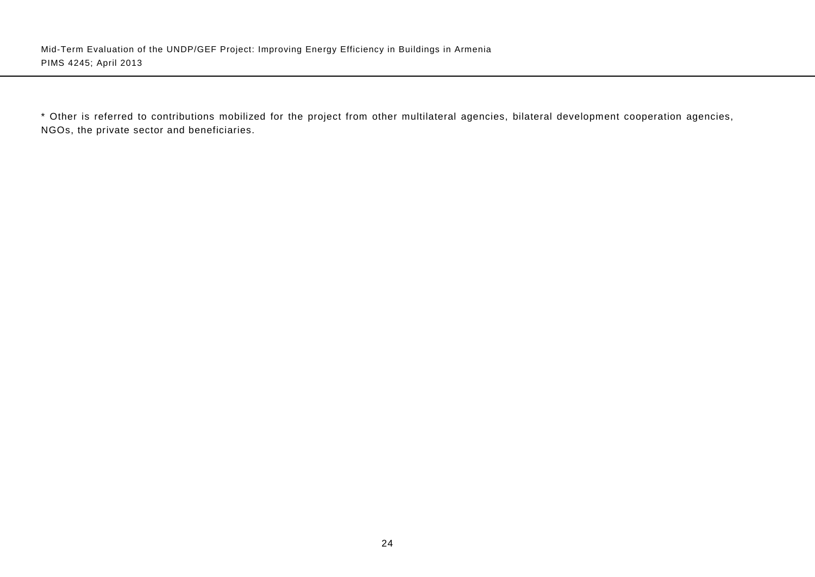\* Other is referred to contributions mobilized for the project from other multilateral agencies, bilateral development cooperation agencies, NGOs, the private sector and beneficiaries.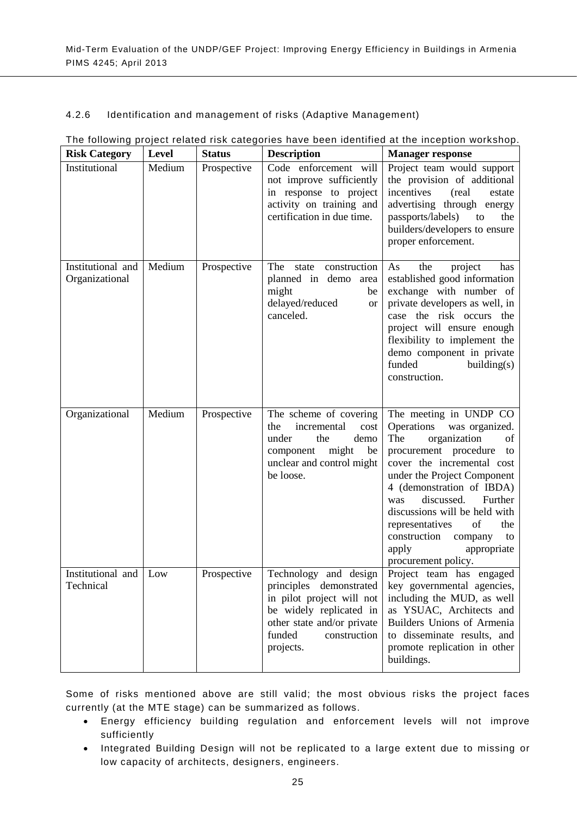## 4.2.6 Identification and management of risks (Adaptive Management)

| <b>Risk Category</b>                | Level  | <b>Status</b> | <b>Description</b>                                                                                                                                                            | <b>Manager response</b>                                                                                                                                                                                                                                                                                                                                                                       |
|-------------------------------------|--------|---------------|-------------------------------------------------------------------------------------------------------------------------------------------------------------------------------|-----------------------------------------------------------------------------------------------------------------------------------------------------------------------------------------------------------------------------------------------------------------------------------------------------------------------------------------------------------------------------------------------|
| Institutional                       | Medium | Prospective   | Code enforcement will<br>not improve sufficiently<br>in response to project<br>activity on training and<br>certification in due time.                                         | Project team would support<br>the provision of additional<br>incentives<br>(real)<br>estate<br>advertising through energy<br>passports/labels)<br>to<br>the<br>builders/developers to ensure<br>proper enforcement.                                                                                                                                                                           |
| Institutional and<br>Organizational | Medium | Prospective   | The<br>state construction<br>planned in demo<br>area<br>might<br>be<br>delayed/reduced<br><b>or</b><br>canceled.                                                              | the<br>As<br>project<br>has<br>established good information<br>exchange with number of<br>private developers as well, in<br>case the risk occurs the<br>project will ensure enough<br>flexibility to implement the<br>demo component in private<br>funded<br>building(s)<br>construction.                                                                                                     |
| Organizational                      | Medium | Prospective   | The scheme of covering<br>incremental<br>cost<br>the<br>under<br>the<br>demo<br>might<br>be<br>component<br>unclear and control might<br>be loose.                            | The meeting in UNDP CO<br>Operations<br>was organized.<br>The<br>organization<br>of<br>procurement procedure<br>to<br>cover the incremental cost<br>under the Project Component<br>4 (demonstration of IBDA)<br>discussed.<br>Further<br>was<br>discussions will be held with<br>the<br>representatives<br>of<br>construction<br>company<br>to<br>apply<br>appropriate<br>procurement policy. |
| Institutional and Low<br>Technical  |        | Prospective   | Technology and design<br>principles demonstrated<br>in pilot project will not<br>be widely replicated in<br>other state and/or private<br>funded<br>construction<br>projects. | Project team has engaged<br>key governmental agencies,<br>including the MUD, as well<br>as YSUAC, Architects and<br>Builders Unions of Armenia<br>to disseminate results, and<br>promote replication in other<br>buildings.                                                                                                                                                                   |

## The following project related risk categories have been identified at the inception workshop.

Some of risks mentioned above are still valid; the most obvious risks the project faces currently (at the MTE stage) can be summarized as follows.

- Energy efficiency building regulation and enforcement levels will not improve sufficiently
- Integrated Building Design will not be replicated to a large extent due to missing or low capacity of architects, designers, engineers.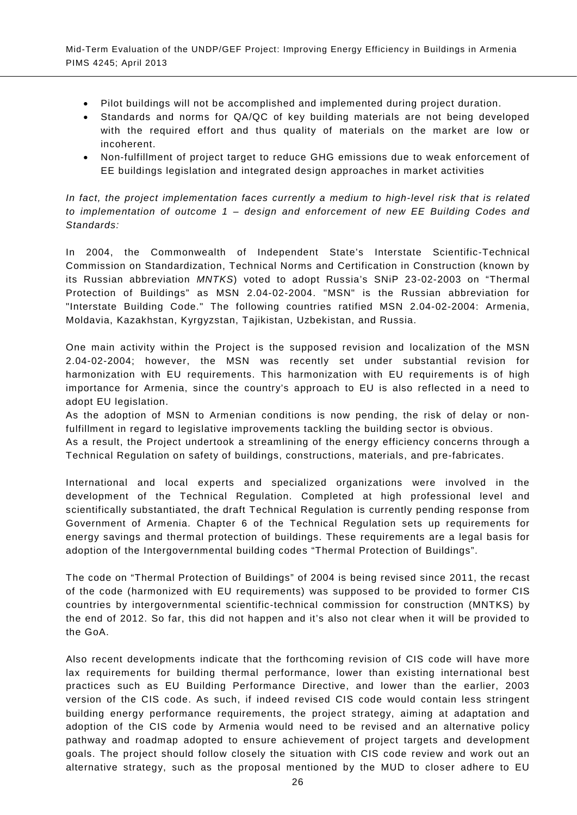- Pilot buildings will not be accomplished and implemented during project duration.
- Standards and norms for QA/QC of key building materials are not being developed with the required effort and thus quality of materials on the market are low or incoherent.
- Non-fulfillment of project target to reduce GHG emissions due to weak enforcement of EE buildings legislation and integrated design approaches in market activities

*In fact, the project implementation faces currently a medium to high-level risk that is related to implementation of outcome 1 – design and enforcement of new EE Building Codes and Standards:*

In 2004, the Commonwealth of Independent State's Interstate Scientific-Technical Commission on Standardization, Technical Norms and Certification in Construction (known by its Russian abbreviation *MNTKS*) voted to adopt Russia's SNiP 23-02-2003 on "Thermal Protection of Buildings" as MSN 2.04-02-2004. "MSN" is the Russian abbreviation for "Interstate Building Code." The following countries ratified MSN 2.04-02-2004: Armenia, Moldavia, Kazakhstan, Kyrgyzstan, Tajikistan, Uzbekistan, and Russia.

One main activity within the Project is the supposed revision and localization of the MSN 2.04-02-2004; however, the MSN was recently set under substantial revision for harmonization with EU requirements. This harmonization with EU requirements is of high importance for Armenia, since the country's approach to EU is also reflected in a need to adopt EU legislation.

As the adoption of MSN to Armenian conditions is now pending, the risk of delay or nonfulfillment in regard to legislative improvements tackling the building sector is obvious.

As a result, the Project undertook a streamlining of the energy efficiency concerns through a Technical Regulation on safety of buildings, constructions, materials, and pre-fabricates.

International and local experts and specialized organizations were involved in the development of the Technical Regulation. Completed at high professional level and scientifically substantiated, the draft Technical Regulation is currently pending response from Government of Armenia. Chapter 6 of the Technical Regulation sets up requirements for energy savings and thermal protection of buildings. These requirements are a legal basis for adoption of the Intergovernmental building codes "Thermal Protection of Buildings".

The code on "Thermal Protection of Buildings" of 2004 is being revised since 2011, the recast of the code (harmonized with EU requirements) was supposed to be provided to former CIS countries by intergovernmental scientific-technical commission for construction (MNTKS) by the end of 2012. So far, this did not happen and it's also not clear when it will be provided to the GoA.

Also recent developments indicate that the forthcoming revision of CIS code will have more lax requirements for building thermal performance, lower than existing international best practices such as EU Building Performance Directive, and lower than the earlier, 2003 version of the CIS code. As such, if indeed revised CIS code would contain less stringent building energy performance requirements, the project strategy, aiming at adaptation and adoption of the CIS code by Armenia would need to be revised and an alternative policy pathway and roadmap adopted to ensure achievement of project targets and development goals. The project should follow closely the situation with CIS code review and work out an alternative strategy, such as the proposal mentioned by the MUD to closer adhere to EU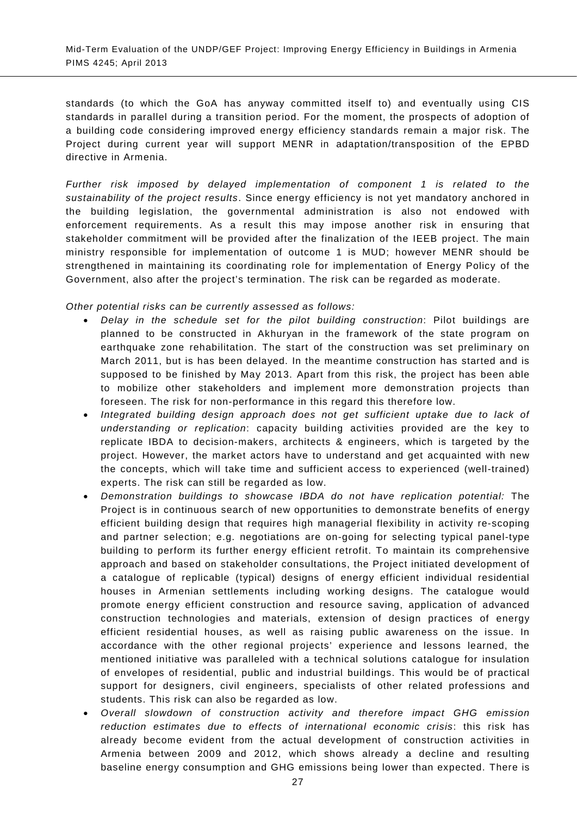standards (to which the GoA has anyway committed itself to) and eventually using CIS standards in parallel during a transition period. For the moment, the prospects of adoption of a building code considering improved energy efficiency standards remain a major risk. The Project during current year will support MENR in adaptation/transposition of the EPBD directive in Armenia.

*Further risk imposed by delayed implementation of component 1 is related to the sustainability of the project results*. Since energy efficiency is not yet mandatory anchored in the building legislation, the governmental administration is also not endowed with enforcement requirements. As a result this may impose another risk in ensuring that stakeholder commitment will be provided after the finalization of the IEEB project. The main ministry responsible for implementation of outcome 1 is MUD; however MENR should be strengthened in maintaining its coordinating role for implementation of Energy Policy of the Government, also after the project's termination. The risk can be regarded as moderate.

## *Other potential risks can be currently assessed as follows:*

- *Delay in the schedule set for the pilot building construction*: Pilot buildings are planned to be constructed in Akhuryan in the framework of the state program on earthquake zone rehabilitation. The start of the construction was set preliminary on March 2011, but is has been delayed. In the meantime construction has started and is supposed to be finished by May 2013. Apart from this risk, the project has been able to mobilize other stakeholders and implement more demonstration projects than foreseen. The risk for non-performance in this regard this therefore low.
- *Integrated building design approach does not get sufficient uptake due to lack of understanding or replication*: capacity building activities provided are the key to replicate IBDA to decision-makers, architects & engineers, which is targeted by the project. However, the market actors have to understand and get acquainted with new the concepts, which will take time and sufficient access to experienced (well-trained) experts. The risk can still be regarded as low.
- *Demonstration buildings to showcase IBDA do not have replication potential:* The Project is in continuous search of new opportunities to demonstrate benefits of energy efficient building design that requires high managerial flexibility in activity re-scoping and partner selection; e.g. negotiations are on-going for selecting typical panel-type building to perform its further energy efficient retrofit. To maintain its comprehensive approach and based on stakeholder consultations, the Project initiated development of a catalogue of replicable (typical) designs of energy efficient individual residential houses in Armenian settlements including working designs. The catalogue would promote energy efficient construction and resource saving, application of advanced construction technologies and materials, extension of design practices of energy efficient residential houses, as well as raising public awareness on the issue. In accordance with the other regional projects' experience and lessons learned, the mentioned initiative was paralleled with a technical solutions catalogue for insulation of envelopes of residential, public and industrial buildings. This would be of practical support for designers, civil engineers, specialists of other related professions and students. This risk can also be regarded as low.
- *Overall slowdown of construction activity and therefore impact GHG emission reduction estimates due to effects of international economic crisis*: this risk has already become evident from the actual development of construction activities in Armenia between 2009 and 2012, which shows already a decline and resulting baseline energy consumption and GHG emissions being lower than expected. There is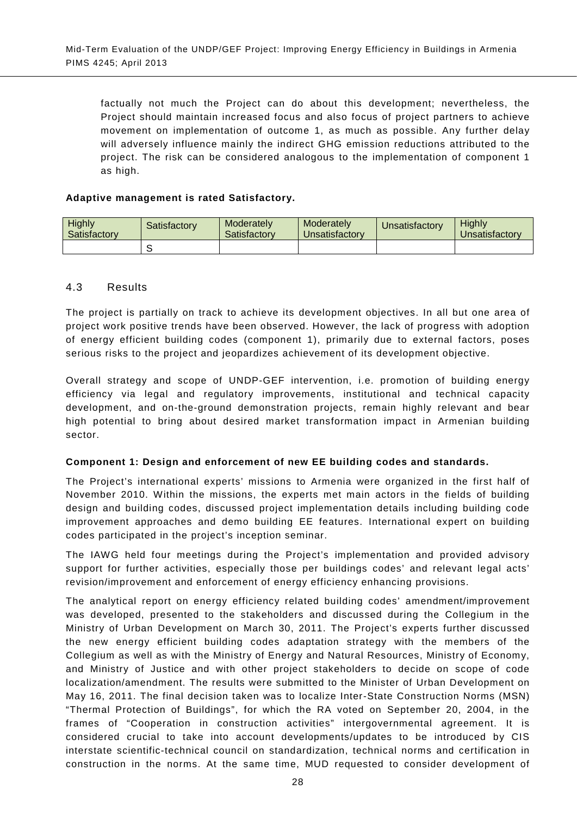factually not much the Project can do about this development; nevertheless, the Project should maintain increased focus and also focus of project partners to achieve movement on implementation of outcome 1, as much as possible. Any further delay will adversely influence mainly the indirect GHG emission reductions attributed to the project. The risk can be considered analogous to the implementation of component 1 as high.

## **Adaptive management is rated Satisfactory.**

| Highly<br>Satisfactory | Satisfactorv | Moderately<br>Satisfactory | Moderately<br><b>Unsatisfactory</b> | Unsatisfactory | <b>Highly</b><br>Unsatisfactory |
|------------------------|--------------|----------------------------|-------------------------------------|----------------|---------------------------------|
|                        |              |                            |                                     |                |                                 |

## 4.3 Results

The project is partially on track to achieve its development objectives. In all but one area of project work positive trends have been observed. However, the lack of progress with adoption of energy efficient building codes (component 1), primarily due to external factors, poses serious risks to the project and jeopardizes achievement of its development objective.

Overall strategy and scope of UNDP-GEF intervention, i.e. promotion of building energy efficiency via legal and regulatory improvements, institutional and technical capacity development, and on-the-ground demonstration projects, remain highly relevant and bear high potential to bring about desired market transformation impact in Armenian building sector.

#### **Component 1: Design and enforcement of new EE building codes and standards.**

The Project's international experts' missions to Armenia were organized in the first half of November 2010. Within the missions, the experts met main actors in the fields of building design and building codes, discussed project implementation details including building code improvement approaches and demo building EE features. International expert on building codes participated in the project's inception seminar.

The IAWG held four meetings during the Project's implementation and provided advisory support for further activities, especially those per buildings codes' and relevant legal acts' revision/improvement and enforcement of energy efficiency enhancing provisions.

The analytical report on energy efficiency related building codes' amendment/improvement was developed, presented to the stakeholders and discussed during the Collegium in the Ministry of Urban Development on March 30, 2011. The Project's experts further discussed the new energy efficient building codes adaptation strategy with the members of the Collegium as well as with the Ministry of Energy and Natural Resources, Ministry of Economy, and Ministry of Justice and with other project stakeholders to decide on scope of code localization/amendment. The results were submitted to the Minister of Urban Development on May 16, 2011. The final decision taken was to localize Inter-State Construction Norms (MSN) "Thermal Protection of Buildings", for which the RA voted on September 20, 2004, in the frames of "Cooperation in construction activities" intergovernmental agreement. It is considered crucial to take into account developments/updates to be introduced by CIS interstate scientific-technical council on standardization, technical norms and certification in construction in the norms. At the same time, MUD requested to consider development of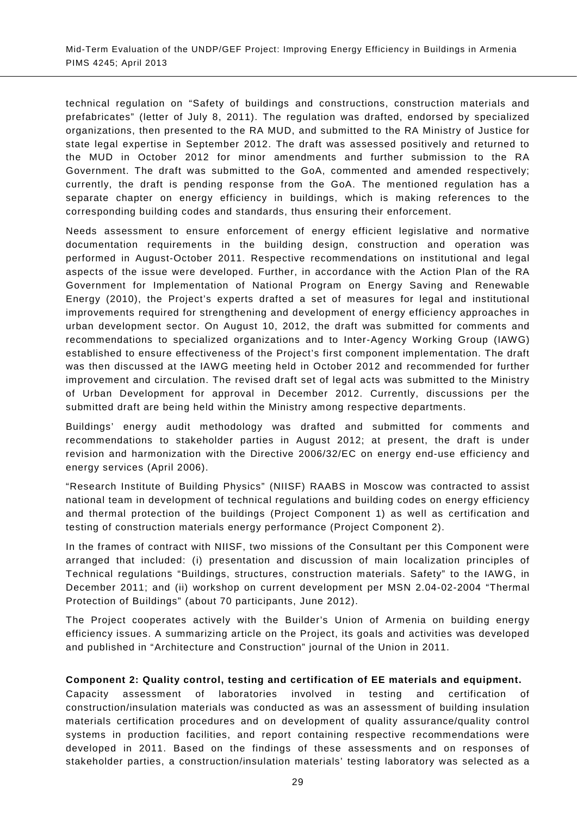technical regulation on "Safety of buildings and constructions, construction materials and prefabricates" (letter of July 8, 2011). The regulation was drafted, endorsed by specialized organizations, then presented to the RA MUD, and submitted to the RA Ministry of Justice for state legal expertise in September 2012. The draft was assessed positively and returned to the MUD in October 2012 for minor amendments and further submission to the RA Government. The draft was submitted to the GoA, commented and amended respectively; currently, the draft is pending response from the GoA. The mentioned regulation has a separate chapter on energy efficiency in buildings, which is making references to the corresponding building codes and standards, thus ensuring their enforcement.

Needs assessment to ensure enforcement of energy efficient legislative and normative documentation requirements in the building design, construction and operation was performed in August-October 2011. Respective recommendations on institutional and legal aspects of the issue were developed. Further, in accordance with the Action Plan of the RA Government for Implementation of National Program on Energy Saving and Renewable Energy (2010), the Project's experts drafted a set of measures for legal and institutional improvements required for strengthening and development of energy efficiency approaches in urban development sector. On August 10, 2012, the draft was submitted for comments and recommendations to specialized organizations and to Inter-Agency Working Group (IAWG) established to ensure effectiveness of the Project's first component implementation. The draft was then discussed at the IAWG meeting held in October 2012 and recommended for further improvement and circulation. The revised draft set of legal acts was submitted to the Ministry of Urban Development for approval in December 2012. Currently, discussions per the submitted draft are being held within the Ministry among respective departments.

Buildings' energy audit methodology was drafted and submitted for comments and recommendations to stakeholder parties in August 2012; at present, the draft is under revision and harmonization with the Directive 2006/32/EC on energy end-use efficiency and energy services (April 2006).

"Research Institute of Building Physics" (NIISF) RAABS in Moscow was contracted to assist national team in development of technical regulations and building codes on energy efficiency and thermal protection of the buildings (Project Component 1) as well as certification and testing of construction materials energy performance (Project Component 2).

In the frames of contract with NIISF, two missions of the Consultant per this Component were arranged that included: (i) presentation and discussion of main localization principles of Technical regulations "Buildings, structures, construction materials. Safety" to the IAWG, in December 2011; and (ii) workshop on current development per MSN 2.04-02-2004 "Thermal Protection of Buildings" (about 70 participants, June 2012).

The Project cooperates actively with the Builder's Union of Armenia on building energy efficiency issues. A summarizing article on the Project, its goals and activities was developed and published in "Architecture and Construction" journal of the Union in 2011.

#### **Component 2: Quality control, testing and certification of EE materials and equipment.**

Capacity assessment of laboratories involved in testing and certification of construction/insulation materials was conducted as was an assessment of building insulation materials certification procedures and on development of quality assurance/quality control systems in production facilities, and report containing respective recommendations were developed in 2011. Based on the findings of these assessments and on responses of stakeholder parties, a construction/insulation materials' testing laboratory was selected as a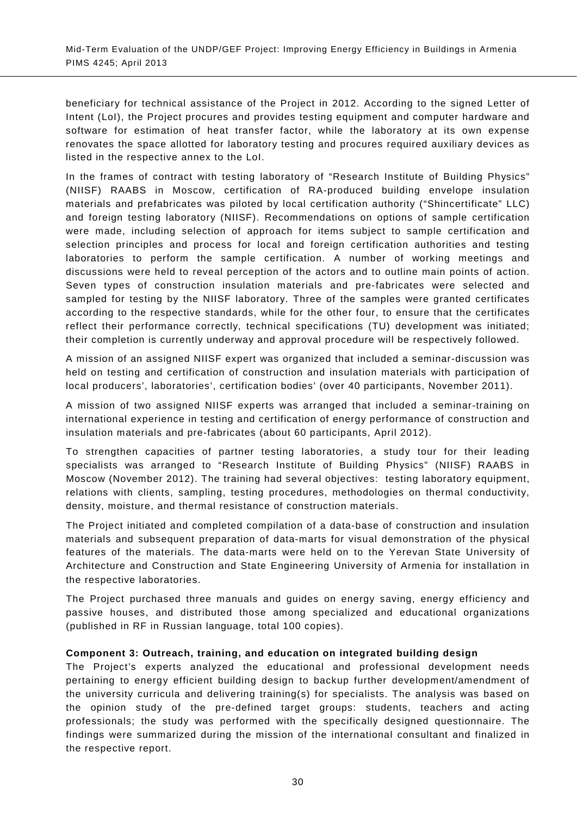beneficiary for technical assistance of the Project in 2012. According to the signed Letter of Intent (LoI), the Project procures and provides testing equipment and computer hardware and software for estimation of heat transfer factor, while the laboratory at its own expense renovates the space allotted for laboratory testing and procures required auxiliary devices as listed in the respective annex to the LoI.

In the frames of contract with testing laboratory of "Research Institute of Building Physics" (NIISF) RAABS in Moscow, certification of RA-produced building envelope insulation materials and prefabricates was piloted by local certification authority ("Shincertificate" LLC) and foreign testing laboratory (NIISF). Recommendations on options of sample certification were made, including selection of approach for items subject to sample certification and selection principles and process for local and foreign certification authorities and testing laboratories to perform the sample certification. A number of working meetings and discussions were held to reveal perception of the actors and to outline main points of action. Seven types of construction insulation materials and pre-fabricates were selected and sampled for testing by the NIISF laboratory. Three of the samples were granted certificates according to the respective standards, while for the other four, to ensure that the certificates reflect their performance correctly, technical specifications (TU) development was initiated; their completion is currently underway and approval procedure will be respectively followed.

A mission of an assigned NIISF expert was organized that included a seminar-discussion was held on testing and certification of construction and insulation materials with participation of local producers', laboratories', certification bodies' (over 40 participants, November 2011).

A mission of two assigned NIISF experts was arranged that included a seminar-training on international experience in testing and certification of energy performance of construction and insulation materials and pre-fabricates (about 60 participants, April 2012).

To strengthen capacities of partner testing laboratories, a study tour for their leading specialists was arranged to "Research Institute of Building Physics" (NIISF) RAABS in Moscow (November 2012). The training had several objectives: testing laboratory equipment, relations with clients, sampling, testing procedures, methodologies on thermal conductivity, density, moisture, and thermal resistance of construction materials.

The Project initiated and completed compilation of a data-base of construction and insulation materials and subsequent preparation of data-marts for visual demonstration of the physical features of the materials. The data-marts were held on to the Yerevan State University of Architecture and Construction and State Engineering University of Armenia for installation in the respective laboratories.

The Project purchased three manuals and guides on energy saving, energy efficiency and passive houses, and distributed those among specialized and educational organizations (published in RF in Russian language, total 100 copies).

#### **Component 3: Outreach, training, and education on integrated building design**

The Project's experts analyzed the educational and professional development needs pertaining to energy efficient building design to backup further development/amendment of the university curricula and delivering training(s) for specialists. The analysis was based on the opinion study of the pre-defined target groups: students, teachers and acting professionals; the study was performed with the specifically designed questionnaire. The findings were summarized during the mission of the international consultant and finalized in the respective report.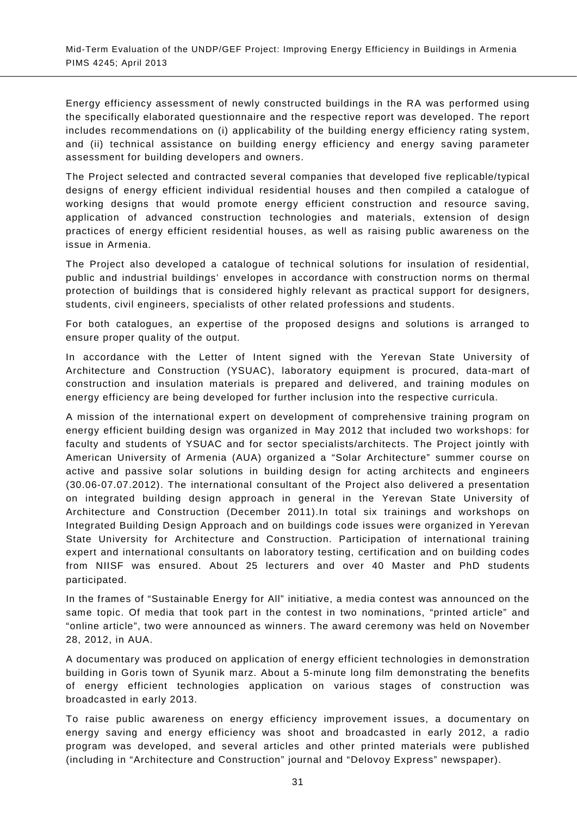Energy efficiency assessment of newly constructed buildings in the RA was performed using the specifically elaborated questionnaire and the respective report was developed. The report includes recommendations on (i) applicability of the building energy efficiency rating system, and (ii) technical assistance on building energy efficiency and energy saving parameter assessment for building developers and owners.

The Project selected and contracted several companies that developed five replicable/typical designs of energy efficient individual residential houses and then compiled a catalogue of working designs that would promote energy efficient construction and resource saving, application of advanced construction technologies and materials, extension of design practices of energy efficient residential houses, as well as raising public awareness on the issue in Armenia.

The Project also developed a catalogue of technical solutions for insulation of residential, public and industrial buildings' envelopes in accordance with construction norms on thermal protection of buildings that is considered highly relevant as practical support for designers, students, civil engineers, specialists of other related professions and students.

For both catalogues, an expertise of the proposed designs and solutions is arranged to ensure proper quality of the output.

In accordance with the Letter of Intent signed with the Yerevan State University of Architecture and Construction (YSUAC), laboratory equipment is procured, data-mart of construction and insulation materials is prepared and delivered, and training modules on energy efficiency are being developed for further inclusion into the respective curricula.

A mission of the international expert on development of comprehensive training program on energy efficient building design was organized in May 2012 that included two workshops: for faculty and students of YSUAC and for sector specialists/architects. The Project jointly with American University of Armenia (AUA) organized a "Solar Architecture" summer course on active and passive solar solutions in building design for acting architects and engineers (30.06-07.07.2012). The international consultant of the Project also delivered a presentation on integrated building design approach in general in the Yerevan State University of Architecture and Construction (December 2011).In total six trainings and workshops on Integrated Building Design Approach and on buildings code issues were organized in Yerevan State University for Architecture and Construction. Participation of international training expert and international consultants on laboratory testing, certification and on building codes from NIISF was ensured. About 25 lecturers and over 40 Master and PhD students participated.

In the frames of "Sustainable Energy for All" initiative, a media contest was announced on the same topic. Of media that took part in the contest in two nominations, "printed article" and "online article", two were announced as winners. The award ceremony was held on November 28, 2012, in AUA.

A documentary was produced on application of energy efficient technologies in demonstration building in Goris town of Syunik marz. About a 5-minute long film demonstrating the benefits of energy efficient technologies application on various stages of construction was broadcasted in early 2013.

To raise public awareness on energy efficiency improvement issues, a documentary on energy saving and energy efficiency was shoot and broadcasted in early 2012, a radio program was developed, and several articles and other printed materials were published (including in "Architecture and Construction" journal and "Delovoy Express" newspaper).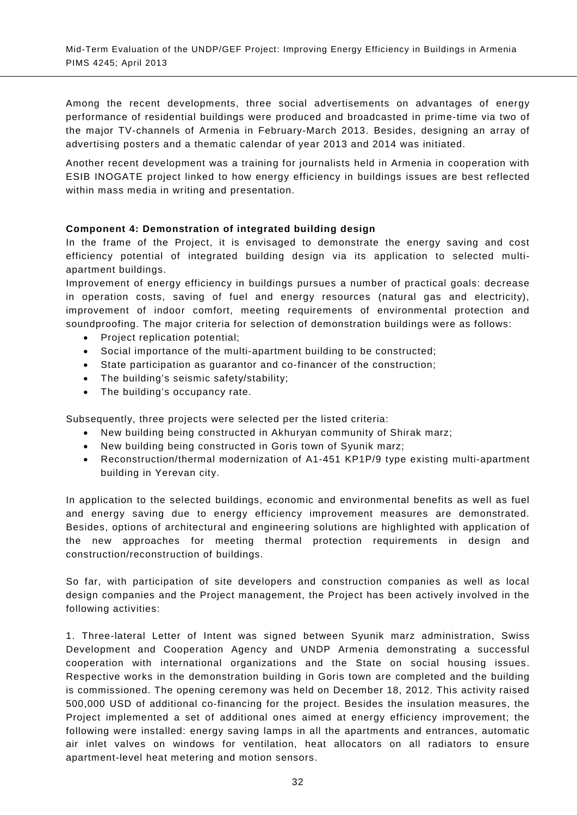Among the recent developments, three social advertisements on advantages of energy performance of residential buildings were produced and broadcasted in prime-time via two of the major TV-channels of Armenia in February-March 2013. Besides, designing an array of advertising posters and a thematic calendar of year 2013 and 2014 was initiated.

Another recent development was a training for journalists held in Armenia in cooperation with ESIB INOGATE project linked to how energy efficiency in buildings issues are best reflected within mass media in writing and presentation.

## **Component 4: Demonstration of integrated building design**

In the frame of the Project, it is envisaged to demonstrate the energy saving and cost efficiency potential of integrated building design via its application to selected multiapartment buildings.

Improvement of energy efficiency in buildings pursues a number of practical goals: decrease in operation costs, saving of fuel and energy resources (natural gas and electricity), improvement of indoor comfort, meeting requirements of environmental protection and soundproofing. The major criteria for selection of demonstration buildings were as follows:

- Project replication potential;
- Social importance of the multi-apartment building to be constructed;
- State participation as guarantor and co-financer of the construction;
- The building's seismic safety/stability;
- The building's occupancy rate.

Subsequently, three projects were selected per the listed criteria:

- New building being constructed in Akhuryan community of Shirak marz;
- New building being constructed in Goris town of Syunik marz;
- Reconstruction/thermal modernization of A1-451 KP1P/9 type existing multi-apartment building in Yerevan city.

In application to the selected buildings, economic and environmental benefits as well as fuel and energy saving due to energy efficiency improvement measures are demonstrated. Besides, options of architectural and engineering solutions are highlighted with application of the new approaches for meeting thermal protection requirements in design and construction/reconstruction of buildings.

So far, with participation of site developers and construction companies as well as local design companies and the Project management, the Project has been actively involved in the following activities:

1. Three-lateral Letter of Intent was signed between Syunik marz administration, Swiss Development and Cooperation Agency and UNDP Armenia demonstrating a successful cooperation with international organizations and the State on social housing issues. Respective works in the demonstration building in Goris town are completed and the building is commissioned. The opening ceremony was held on December 18, 2012. This activity raised 500,000 USD of additional co-financing for the project. Besides the insulation measures, the Project implemented a set of additional ones aimed at energy efficiency improvement; the following were installed: energy saving lamps in all the apartments and entrances, automatic air inlet valves on windows for ventilation, heat allocators on all radiators to ensure apartment-level heat metering and motion sensors.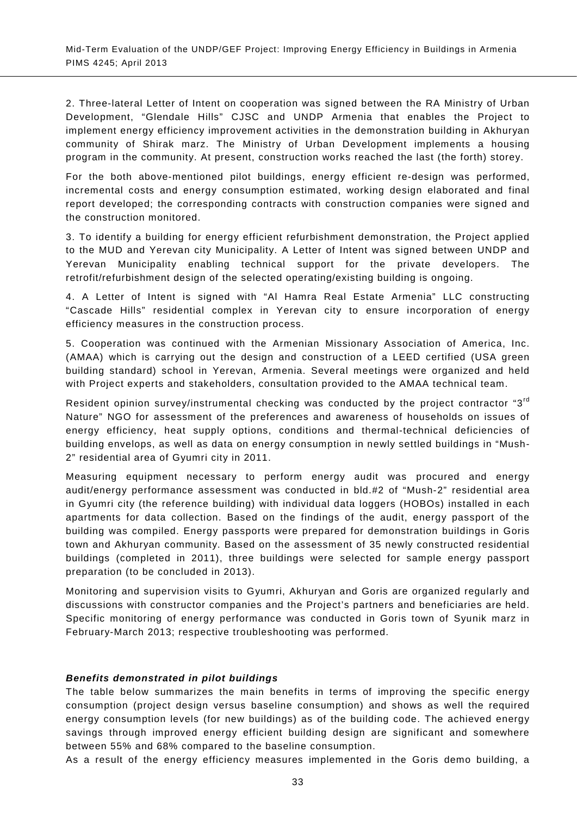2. Three-lateral Letter of Intent on cooperation was signed between the RA Ministry of Urban Development, "Glendale Hills" CJSC and UNDP Armenia that enables the Project to implement energy efficiency improvement activities in the demonstration building in Akhuryan community of Shirak marz. The Ministry of Urban Development implements a housing program in the community. At present, construction works reached the last (the forth) storey.

For the both above-mentioned pilot buildings, energy efficient re-design was performed, incremental costs and energy consumption estimated, working design elaborated and final report developed; the corresponding contracts with construction companies were signed and the construction monitored.

3. To identify a building for energy efficient refurbishment demonstration, the Project applied to the MUD and Yerevan city Municipality. A Letter of Intent was signed between UNDP and Yerevan Municipality enabling technical support for the private developers. The retrofit/refurbishment design of the selected operating/existing building is ongoing.

4. A Letter of Intent is signed with "Al Hamra Real Estate Armenia" LLC constructing "Cascade Hills" residential complex in Yerevan city to ensure incorporation of energy efficiency measures in the construction process.

5. Cooperation was continued with the Armenian Missionary Association of America, Inc. (AMAA) which is carrying out the design and construction of a LEED certified (USA green building standard) school in Yerevan, Armenia. Several meetings were organized and held with Project experts and stakeholders, consultation provided to the AMAA technical team.

Resident opinion survey/instrumental checking was conducted by the project contractor "3<sup>rd</sup> Nature" NGO for assessment of the preferences and awareness of households on issues of energy efficiency, heat supply options, conditions and thermal-technical deficiencies of building envelops, as well as data on energy consumption in newly settled buildings in "Mush-2" residential area of Gyumri city in 2011.

Measuring equipment necessary to perform energy audit was procured and energy audit/energy performance assessment was conducted in bld.#2 of "Mush-2" residential area in Gyumri city (the reference building) with individual data loggers (HOBOs) installed in each apartments for data collection. Based on the findings of the audit, energy passport of the building was compiled. Energy passports were prepared for demonstration buildings in Goris town and Akhuryan community. Based on the assessment of 35 newly constructed residential buildings (completed in 2011), three buildings were selected for sample energy passport preparation (to be concluded in 2013).

Monitoring and supervision visits to Gyumri, Akhuryan and Goris are organized regularly and discussions with constructor companies and the Project's partners and beneficiaries are held. Specific monitoring of energy performance was conducted in Goris town of Syunik marz in February-March 2013; respective troubleshooting was performed.

#### *Benefits demonstrated in pilot buildings*

The table below summarizes the main benefits in terms of improving the specific energy consumption (project design versus baseline consumption) and shows as well the required energy consumption levels (for new buildings) as of the building code. The achieved energy savings through improved energy efficient building design are significant and somewhere between 55% and 68% compared to the baseline consumption.

As a result of the energy efficiency measures implemented in the Goris demo building, a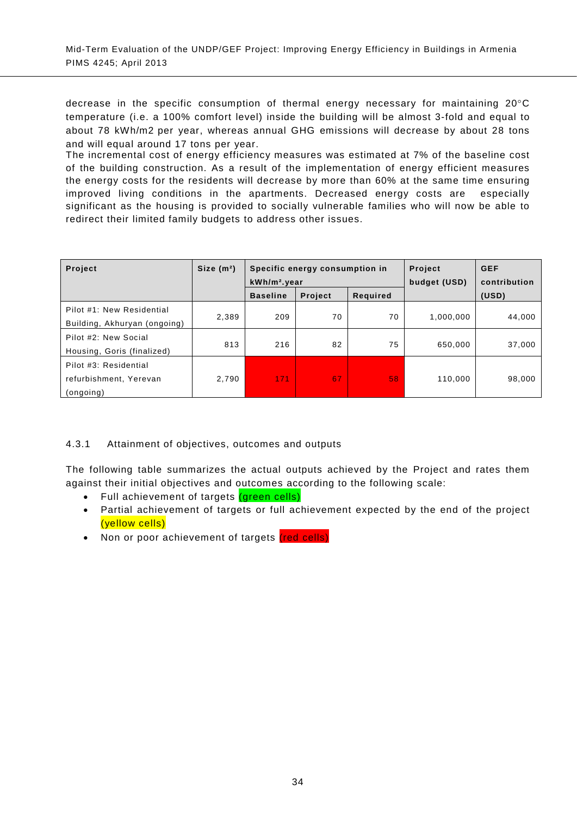decrease in the specific consumption of thermal energy necessary for maintaining 20°C temperature (i.e. a 100% comfort level) inside the building will be almost 3-fold and equal to about 78 kWh/m2 per year, whereas annual GHG emissions will decrease by about 28 tons and will equal around 17 tons per year.

The incremental cost of energy efficiency measures was estimated at 7% of the baseline cost of the building construction. As a result of the implementation of energy efficient measures the energy costs for the residents will decrease by more than 60% at the same time ensuring improved living conditions in the apartments. Decreased energy costs are especially significant as the housing is provided to socially vulnerable families who will now be able to redirect their limited family budgets to address other issues.

| <b>Project</b>                                               | Size $(m2)$ | Specific energy consumption in<br>$kWh/m2$ . year |                |          | Project<br>budget (USD) | <b>GEF</b><br>contribution |
|--------------------------------------------------------------|-------------|---------------------------------------------------|----------------|----------|-------------------------|----------------------------|
|                                                              |             | <b>Baseline</b>                                   | <b>Project</b> | Required |                         | (USD)                      |
| Pilot #1: New Residential<br>Building, Akhuryan (ongoing)    | 2,389       | 209                                               | 70             | 70       | 1,000,000               | 44,000                     |
| Pilot #2: New Social<br>Housing, Goris (finalized)           | 813         | 216                                               | 82             | 75       | 650.000                 | 37.000                     |
| Pilot #3: Residential<br>refurbishment, Yerevan<br>(ongoing) | 2,790       | 171                                               | 67             | 58       | 110,000                 | 98,000                     |

## 4.3.1 Attainment of objectives, outcomes and outputs

The following table summarizes the actual outputs achieved by the Project and rates them against their initial objectives and outcomes according to the following scale:

- Full achievement of targets (green cells)
- Partial achievement of targets or full achievement expected by the end of the project (yellow cells)
- Non or poor achievement of targets (red cells)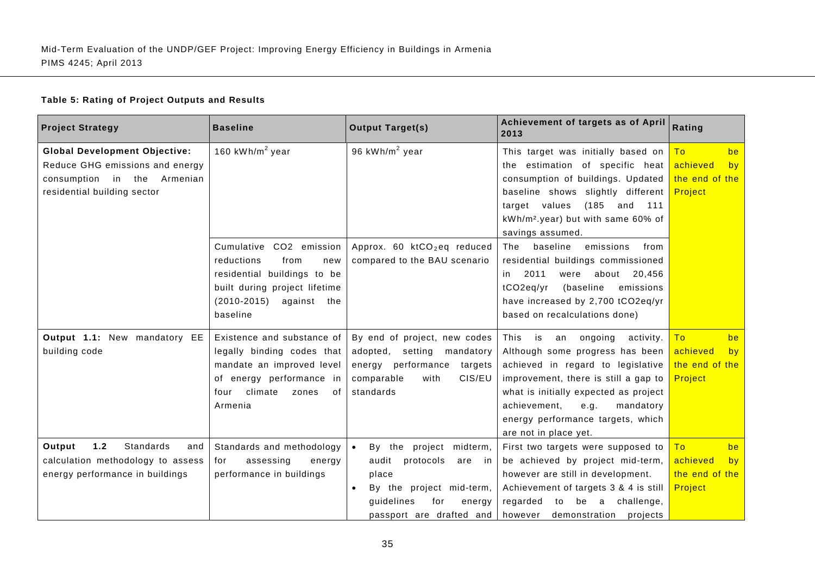## **Table 5: Rating of Project Outputs and Results**

| <b>Project Strategy</b>              | <b>Baseline</b>                | <b>Output Target(s)</b>                 | Achievement of targets as of April<br>2013     | Rating         |
|--------------------------------------|--------------------------------|-----------------------------------------|------------------------------------------------|----------------|
| <b>Global Development Objective:</b> | 160 kWh/ $m2$ year             | 96 kWh/m <sup>2</sup> year              | This target was initially based on             | To<br>be       |
| Reduce GHG emissions and energy      |                                |                                         | the estimation of specific heat                | achieved<br>by |
| consumption<br>in the<br>Armenian    |                                |                                         | consumption of buildings. Updated              | the end of the |
| residential building sector          |                                |                                         | baseline shows slightly different              | Project        |
|                                      |                                |                                         | target values<br>(185<br>and<br>111            |                |
|                                      |                                |                                         | kWh/m <sup>2</sup> .year) but with same 60% of |                |
|                                      |                                |                                         | savings assumed.                               |                |
|                                      | Cumulative CO2 emission        | Approx. 60 ktCO <sub>2</sub> eq reduced | baseline<br>The<br>emissions<br>from           |                |
|                                      | reductions<br>from<br>new      | compared to the BAU scenario            | residential buildings commissioned             |                |
|                                      | residential buildings to be    |                                         | 2011<br>were about 20,456<br>in.               |                |
|                                      | built during project lifetime  |                                         | tCO2eq/yr<br>(baseline<br>emissions            |                |
|                                      | $(2010 - 2015)$<br>against the |                                         | have increased by 2,700 tCO2eq/yr              |                |
|                                      | baseline                       |                                         | based on recalculations done)                  |                |
| Output 1.1: New mandatory EE         | Existence and substance of     | By end of project, new codes            | This<br>is<br>ongoing<br>activity.<br>an       | To<br>be       |
| building code                        | legally binding codes that     | adopted, setting<br>mandatory           | Although some progress has been                | achieved<br>by |
|                                      | mandate an improved level      | energy performance<br>targets           | achieved in regard to legislative              | the end of the |
|                                      | of energy performance in       | CIS/EU<br>with<br>comparable            | improvement, there is still a gap to           | Project        |
|                                      | climate<br>four<br>zones<br>οf | standards                               | what is initially expected as project          |                |
|                                      | Armenia                        |                                         | achievement,<br>e.g.<br>mandatory              |                |
|                                      |                                |                                         | energy performance targets, which              |                |
|                                      |                                |                                         | are not in place yet.                          |                |
| $1.2$<br>Standards<br>Output<br>and  | Standards and methodology      | By the project midterm,                 | First two targets were supposed to             | To<br>be       |
| calculation methodology to assess    | assessing<br>energy<br>for     | audit<br>protocols<br>are<br>in.        | be achieved by project mid-term,               | achieved<br>by |
| energy performance in buildings      | performance in buildings       | place                                   | however are still in development.              | the end of the |
|                                      |                                | By the project mid-term,                | Achievement of targets 3 & 4 is still          | Project        |
|                                      |                                | guidelines<br>for<br>energy             | regarded to be a challenge,                    |                |
|                                      |                                | passport are drafted and                | however demonstration projects                 |                |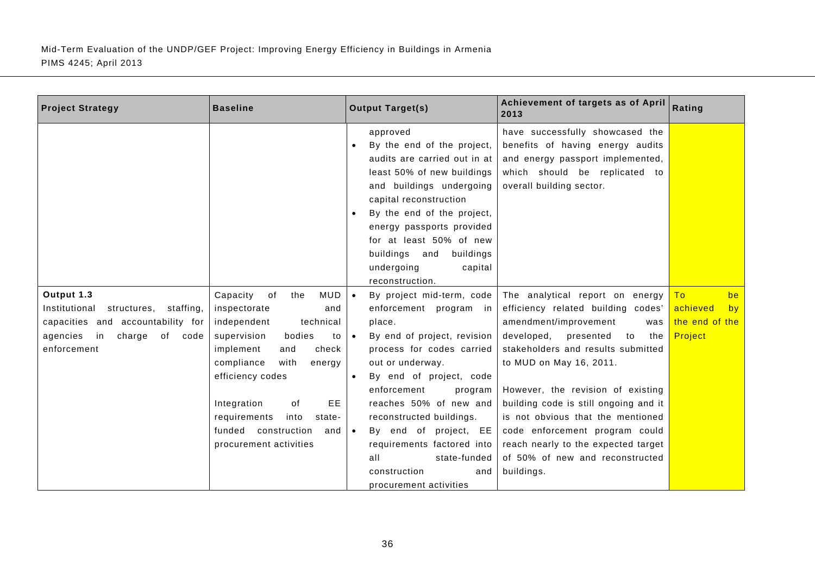| be                               |
|----------------------------------|
| achieved<br>by<br>the end of the |
| Project                          |
|                                  |
|                                  |
|                                  |
|                                  |
|                                  |
|                                  |
|                                  |
|                                  |
|                                  |
|                                  |
|                                  |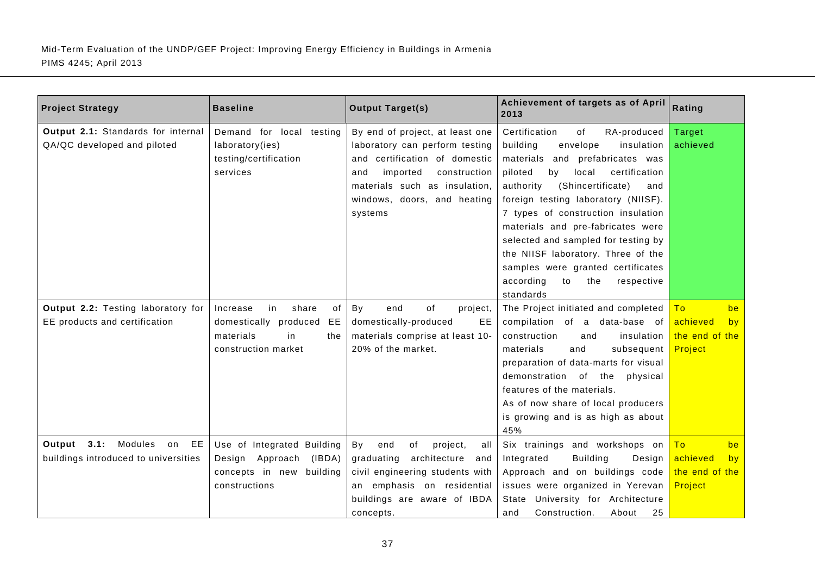| <b>Project Strategy</b>              | <b>Baseline</b>               | <b>Output Target(s)</b>            | Achievement of targets as of April<br>2013 | Rating         |
|--------------------------------------|-------------------------------|------------------------------------|--------------------------------------------|----------------|
| Output 2.1: Standards for internal   | Demand for local testing      | By end of project, at least one    | Certification<br>of<br>RA-produced         | Target         |
| QA/QC developed and piloted          | laboratory(ies)               | laboratory can perform testing     | building<br>envelope<br>insulation         | achieved       |
|                                      | testing/certification         | and certification of domestic      | materials and<br>prefabricates was         |                |
|                                      | services                      | imported<br>construction<br>and    | piloted<br>local<br>certification<br>by    |                |
|                                      |                               | materials such as insulation,      | (Shincertificate)<br>authority<br>and      |                |
|                                      |                               | windows, doors, and heating        | foreign testing laboratory (NIISF).        |                |
|                                      |                               | systems                            | 7 types of construction insulation         |                |
|                                      |                               |                                    | materials and pre-fabricates were          |                |
|                                      |                               |                                    | selected and sampled for testing by        |                |
|                                      |                               |                                    | the NIISF laboratory. Three of the         |                |
|                                      |                               |                                    | samples were granted certificates          |                |
|                                      |                               |                                    | according<br>the<br>respective<br>to       |                |
|                                      |                               |                                    | standards                                  |                |
| Output 2.2: Testing laboratory for   | in<br>share<br>Increase<br>of | By<br>end<br>of<br>project,        | The Project initiated and completed        | To<br>be       |
| EE products and certification        | domestically produced<br>EE   | domestically-produced<br>EE        | compilation of a data-base of              | achieved<br>by |
|                                      | materials<br>in<br>the        | materials comprise at least 10-    | construction<br>insulation<br>and          | the end of the |
|                                      | construction market           | 20% of the market.                 | materials<br>and<br>subsequent             | Project        |
|                                      |                               |                                    | preparation of data-marts for visual       |                |
|                                      |                               |                                    | demonstration of the<br>physical           |                |
|                                      |                               |                                    | features of the materials.                 |                |
|                                      |                               |                                    | As of now share of local producers         |                |
|                                      |                               |                                    | is growing and is as high as about         |                |
|                                      |                               |                                    | 45%                                        |                |
| Output 3.1:<br>Modules on EE         | Use of Integrated Building    | By<br>of<br>end<br>project,<br>all | Six trainings and workshops on             | To<br>be       |
| buildings introduced to universities | (IBDA)<br>Design Approach     | graduating<br>architecture<br>and  | <b>Building</b><br>Integrated<br>Design    | achieved<br>by |
|                                      | building<br>concepts in new   | civil engineering students with    | Approach and on buildings code             | the end of the |
|                                      | constructions                 | an emphasis on residential         | issues were organized in Yerevan           | Project        |
|                                      |                               | buildings are aware of IBDA        | State University for Architecture          |                |
|                                      |                               | concepts.                          | Construction.<br>About<br>25<br>and        |                |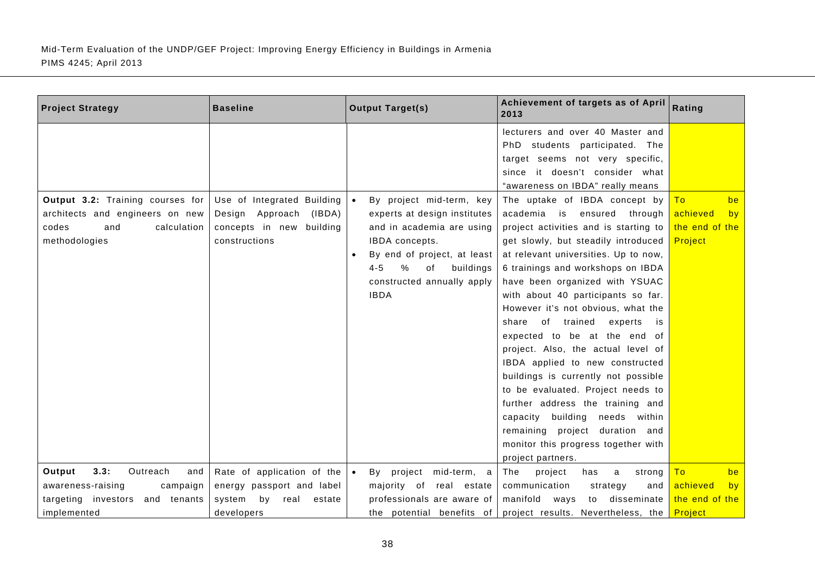| <b>Project Strategy</b>                                                                                              | <b>Baseline</b>                                                                                         | <b>Output Target(s)</b>                                                                                                                                                                                                                             | Achievement of targets as of April<br>2013                                                                                                                                                                                                                                                                                                                                                                                                                                                                                                                                                                                                                                       | Rating                                                  |
|----------------------------------------------------------------------------------------------------------------------|---------------------------------------------------------------------------------------------------------|-----------------------------------------------------------------------------------------------------------------------------------------------------------------------------------------------------------------------------------------------------|----------------------------------------------------------------------------------------------------------------------------------------------------------------------------------------------------------------------------------------------------------------------------------------------------------------------------------------------------------------------------------------------------------------------------------------------------------------------------------------------------------------------------------------------------------------------------------------------------------------------------------------------------------------------------------|---------------------------------------------------------|
| Output 3.2: Training courses for<br>architects and engineers on new<br>codes<br>and<br>calculation<br>methodologies  | Use of Integrated Building<br>Design Approach<br>(IBDA)<br>concepts in new<br>building<br>constructions | By project mid-term, key<br>$\bullet$<br>experts at design institutes<br>and in academia are using<br>IBDA concepts.<br>By end of project, at least<br>$\bullet$<br>$4 - 5$<br>$\%$<br>buildings<br>of<br>constructed annually apply<br><b>IBDA</b> | lecturers and over 40 Master and<br>PhD students participated. The<br>target seems not very specific,<br>since it doesn't consider what<br>"awareness on IBDA" really means<br>The uptake of IBDA concept by<br>academia is<br>ensured<br>through<br>project activities and is starting to<br>get slowly, but steadily introduced<br>at relevant universities. Up to now,<br>6 trainings and workshops on IBDA<br>have been organized with YSUAC<br>with about 40 participants so far.<br>However it's not obvious, what the<br>of<br>trained<br>share<br>experts<br>is<br>expected to be at the end of<br>project. Also, the actual level of<br>IBDA applied to new constructed | be<br>To<br>achieved<br>by<br>the end of the<br>Project |
|                                                                                                                      |                                                                                                         |                                                                                                                                                                                                                                                     | buildings is currently not possible<br>to be evaluated. Project needs to<br>further address the training and<br>building<br>needs within<br>capacity<br>remaining project duration and<br>monitor this progress together with<br>project partners.                                                                                                                                                                                                                                                                                                                                                                                                                               |                                                         |
| 3.3:<br>Output<br>Outreach<br>and<br>awareness-raising<br>campaign<br>targeting investors and tenants<br>implemented | Rate of application of the<br>energy passport and label<br>by<br>system<br>real<br>estate<br>developers | project<br>mid-term, a<br>Bv<br>majority of real estate<br>professionals are aware of<br>the potential benefits of                                                                                                                                  | The<br>project<br>has<br>a<br>strong<br>communication<br>strategy<br>and<br>manifold<br>disseminate<br>ways<br>to<br>project results. Nevertheless, the                                                                                                                                                                                                                                                                                                                                                                                                                                                                                                                          | To<br>be<br>achieved<br>by<br>the end of the<br>Project |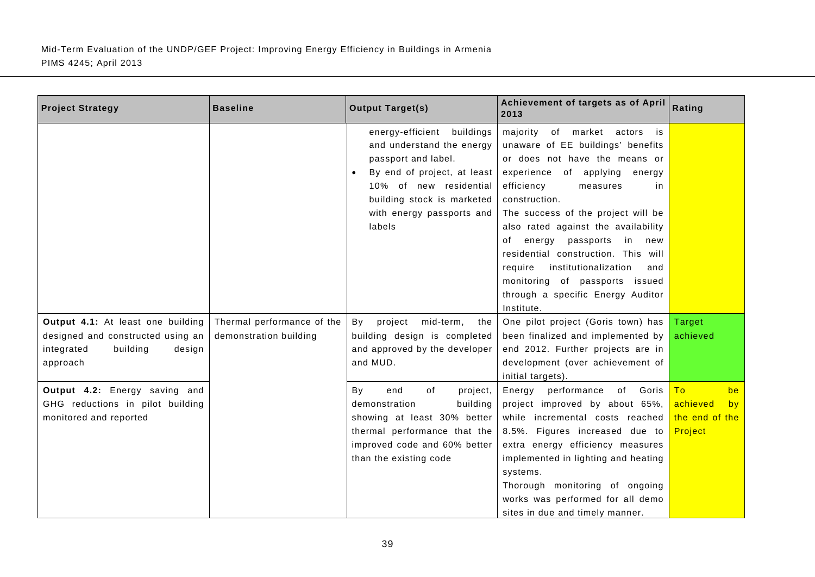| <b>Project Strategy</b>                                                                                                                                                                                               | <b>Baseline</b>                                      | <b>Output Target(s)</b>                                                                                                                                                                                                                                                                             | Achievement of targets as of April<br>2013                                                                                                                                                                                                                                                                                                                                                                                                                                                   | Rating                                                                        |
|-----------------------------------------------------------------------------------------------------------------------------------------------------------------------------------------------------------------------|------------------------------------------------------|-----------------------------------------------------------------------------------------------------------------------------------------------------------------------------------------------------------------------------------------------------------------------------------------------------|----------------------------------------------------------------------------------------------------------------------------------------------------------------------------------------------------------------------------------------------------------------------------------------------------------------------------------------------------------------------------------------------------------------------------------------------------------------------------------------------|-------------------------------------------------------------------------------|
|                                                                                                                                                                                                                       |                                                      | energy-efficient<br>buildings<br>and understand the energy<br>passport and label.<br>By end of project, at least<br>10% of new residential<br>building stock is marketed<br>with energy passports and<br>labels                                                                                     | majority of market actors<br>is<br>unaware of EE buildings' benefits<br>or does not have the means or<br>experience of applying<br>energy<br>efficiency<br>measures<br>in.<br>construction.<br>The success of the project will be<br>also rated against the availability<br>of energy passports in new<br>residential construction. This will<br>require<br>institutionalization<br>and<br>monitoring of passports issued<br>through a specific Energy Auditor                               |                                                                               |
| Output 4.1: At least one building<br>designed and constructed using an<br>integrated<br>building<br>design<br>approach<br>Output 4.2: Energy saving and<br>GHG reductions in pilot building<br>monitored and reported | Thermal performance of the<br>demonstration building | By<br>project<br>mid-term,<br>the<br>building design is completed<br>and approved by the developer<br>and MUD.<br>end<br>of<br>Bv<br>project,<br>building<br>demonstration<br>showing at least 30% better<br>thermal performance that the<br>improved code and 60% better<br>than the existing code | Institute.<br>One pilot project (Goris town) has<br>been finalized and implemented by<br>end 2012. Further projects are in<br>development (over achievement of<br>initial targets).<br>of Goris<br>Energy<br>performance<br>project improved by about 65%,<br>while incremental costs reached<br>8.5%. Figures increased due to<br>extra energy efficiency measures<br>implemented in lighting and heating<br>systems.<br>Thorough monitoring of ongoing<br>works was performed for all demo | Target<br>achieved<br>be<br>To<br>achieved<br>by<br>the end of the<br>Project |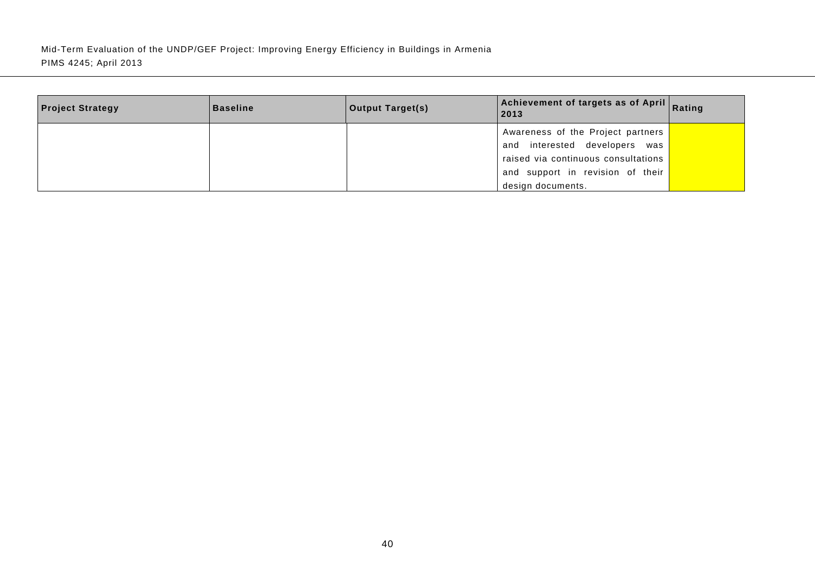| <b>Project Strategy</b> | <b>Baseline</b> | <b>Output Target(s)</b> | Achievement of targets as of April Rating<br>2013 |  |
|-------------------------|-----------------|-------------------------|---------------------------------------------------|--|
|                         |                 |                         | Awareness of the Project partners                 |  |
|                         |                 |                         | and interested developers was                     |  |
|                         |                 |                         | raised via continuous consultations               |  |
|                         |                 |                         | and support in revision of their                  |  |
|                         |                 |                         | design documents.                                 |  |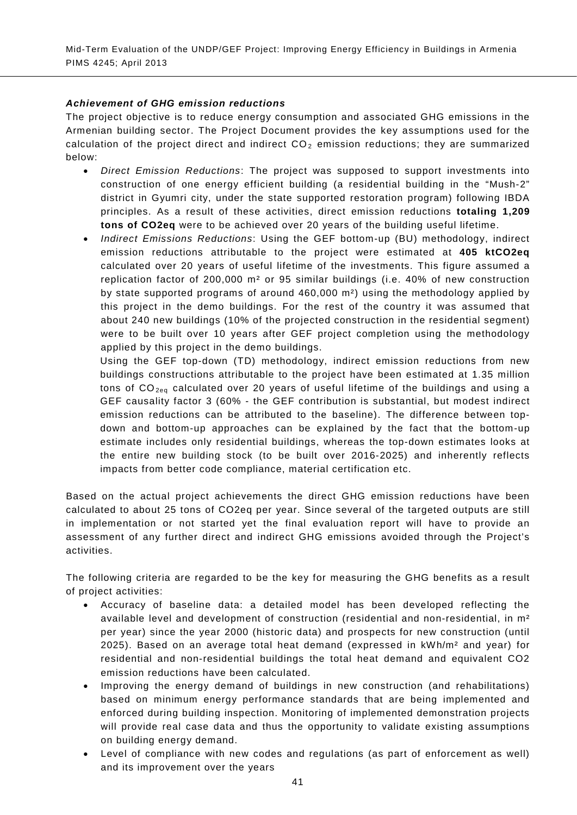## *Achievement of GHG emission reductions*

The project objective is to reduce energy consumption and associated GHG emissions in the Armenian building sector. The Project Document provides the key assumptions used for the calculation of the project direct and indirect  $CO<sub>2</sub>$  emission reductions; they are summarized below:

- *Direct Emission Reductions*: The project was supposed to support investments into construction of one energy efficient building (a residential building in the "Mush-2" district in Gyumri city, under the state supported restoration program) following IBDA principles. As a result of these activities, direct emission reductions **totaling 1,209 tons of CO2eq** were to be achieved over 20 years of the building useful lifetime.
- *Indirect Emissions Reductions*: Using the GEF bottom-up (BU) methodology, indirect emission reductions attributable to the project were estimated at **405 ktCO2eq** calculated over 20 years of useful lifetime of the investments. This figure assumed a replication factor of 200,000 m² or 95 similar buildings (i.e. 40% of new construction by state supported programs of around 460,000 m²) using the methodology applied by this project in the demo buildings. For the rest of the country it was assumed that about 240 new buildings (10% of the projected construction in the residential segment) were to be built over 10 years after GEF project completion using the methodology applied by this project in the demo buildings.

Using the GEF top-down (TD) methodology, indirect emission reductions from new buildings constructions attributable to the project have been estimated at 1.35 million tons of  $CO<sub>2e0</sub>$  calculated over 20 years of useful lifetime of the buildings and using a GEF causality factor 3 (60% - the GEF contribution is substantial, but modest indirect emission reductions can be attributed to the baseline). The difference between topdown and bottom-up approaches can be explained by the fact that the bottom-up estimate includes only residential buildings, whereas the top-down estimates looks at the entire new building stock (to be built over 2016-2025) and inherently reflects impacts from better code compliance, material certification etc.

Based on the actual project achievements the direct GHG emission reductions have been calculated to about 25 tons of CO2eq per year. Since several of the targeted outputs are still in implementation or not started yet the final evaluation report will have to provide an assessment of any further direct and indirect GHG emissions avoided through the Project's activities.

The following criteria are regarded to be the key for measuring the GHG benefits as a result of project activities:

- Accuracy of baseline data: a detailed model has been developed reflecting the available level and development of construction (residential and non-residential, in m² per year) since the year 2000 (historic data) and prospects for new construction (until 2025). Based on an average total heat demand (expressed in kWh/m² and year) for residential and non-residential buildings the total heat demand and equivalent CO2 emission reductions have been calculated.
- Improving the energy demand of buildings in new construction (and rehabilitations) based on minimum energy performance standards that are being implemented and enforced during building inspection. Monitoring of implemented demonstration projects will provide real case data and thus the opportunity to validate existing assumptions on building energy demand.
- Level of compliance with new codes and regulations (as part of enforcement as well) and its improvement over the years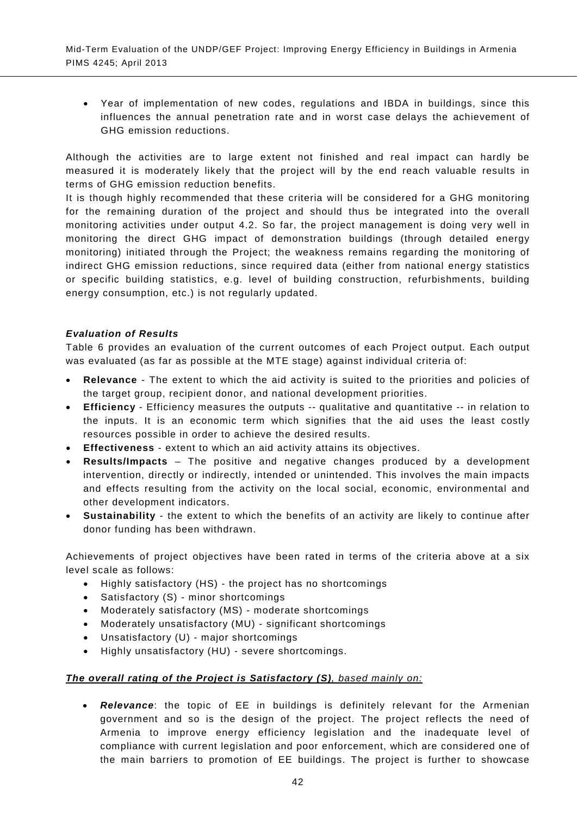• Year of implementation of new codes, regulations and IBDA in buildings, since this influences the annual penetration rate and in worst case delays the achievement of GHG emission reductions.

Although the activities are to large extent not finished and real impact can hardly be measured it is moderately likely that the project will by the end reach valuable results in terms of GHG emission reduction benefits.

It is though highly recommended that these criteria will be considered for a GHG monitoring for the remaining duration of the project and should thus be integrated into the overall monitoring activities under output 4.2. So far, the project management is doing very well in monitoring the direct GHG impact of demonstration buildings (through detailed energy monitoring) initiated through the Project; the weakness remains regarding the monitoring of indirect GHG emission reductions, since required data (either from national energy statistics or specific building statistics, e.g. level of building construction, refurbishments, building energy consumption, etc.) is not regularly updated.

## *Evaluation of Results*

[Table 6](#page-56-0) provides an evaluation of the current outcomes of each Project output. Each output was evaluated (as far as possible at the MTE stage) against individual criteria of:

- **Relevance** The extent to which the aid activity is suited to the priorities and policies of the target group, recipient donor, and national development priorities.
- **Efficiency** Efficiency measures the outputs -- qualitative and quantitative -- in relation to the inputs. It is an economic term which signifies that the aid uses the least costly resources possible in order to achieve the desired results.
- **Effectiveness** extent to which an aid activity attains its objectives.
- **Results/Impacts** The positive and negative changes produced by a development intervention, directly or indirectly, intended or unintended. This involves the main impacts and effects resulting from the activity on the local social, economic, environmental and other development indicators.
- **Sustainability**  the extent to which the benefits of an activity are likely to continue after donor funding has been withdrawn.

Achievements of project objectives have been rated in terms of the criteria above at a six level scale as follows:

- Highly satisfactory (HS) the project has no shortcomings
- Satisfactory (S) minor shortcomings
- Moderately satisfactory (MS) moderate shortcomings
- Moderately unsatisfactory (MU) significant shortcomings
- Unsatisfactory (U) major shortcomings
- Highly unsatisfactory (HU) severe shortcomings.

#### *The overall rating of the Project is Satisfactory (S), based mainly on:*

• *Relevance*: the topic of EE in buildings is definitely relevant for the Armenian government and so is the design of the project. The project reflects the need of Armenia to improve energy efficiency legislation and the inadequate level of compliance with current legislation and poor enforcement, which are considered one of the main barriers to promotion of EE buildings. The project is further to showcase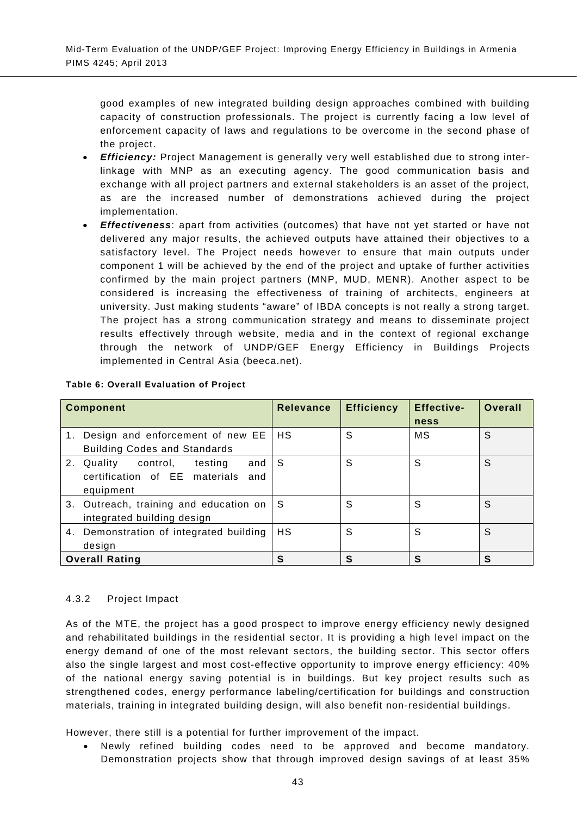good examples of new integrated building design approaches combined with building capacity of construction professionals. The project is currently facing a low level of enforcement capacity of laws and regulations to be overcome in the second phase of the project.

- *Efficiency:* Project Management is generally very well established due to strong interlinkage with MNP as an executing agency. The good communication basis and exchange with all project partners and external stakeholders is an asset of the project, as are the increased number of demonstrations achieved during the project implementation.
- *Effectiveness*: apart from activities (outcomes) that have not yet started or have not delivered any major results, the achieved outputs have attained their objectives to a satisfactory level. The Project needs however to ensure that main outputs under component 1 will be achieved by the end of the project and uptake of further activities confirmed by the main project partners (MNP, MUD, MENR). Another aspect to be considered is increasing the effectiveness of training of architects, engineers at university. Just making students "aware" of IBDA concepts is not really a strong target. The project has a strong communication strategy and means to disseminate project results effectively through website, media and in the context of regional exchange through the network of UNDP/GEF Energy Efficiency in Buildings Projects implemented in Central Asia (beeca.net).

| <b>Component</b>                         | <b>Relevance</b> | <b>Efficiency</b> | <b>Effective-</b> | <b>Overall</b> |
|------------------------------------------|------------------|-------------------|-------------------|----------------|
|                                          |                  |                   | ness              |                |
| 1. Design and enforcement of new EE      | HS               | S                 | МS                | S              |
| <b>Building Codes and Standards</b>      |                  |                   |                   |                |
| 2. Quality<br>control.<br>and<br>testing | -S               | S                 | S                 | S              |
| certification of EE materials and        |                  |                   |                   |                |
| equipment                                |                  |                   |                   |                |
| 3. Outreach, training and education on   | -S               | S                 | S                 | S              |
| integrated building design               |                  |                   |                   |                |
| 4. Demonstration of integrated building  | HS               | S                 | S                 | S              |
| design                                   |                  |                   |                   |                |
| <b>Overall Rating</b>                    | S                | S                 | S                 | S              |

#### <span id="page-56-0"></span>**Table 6: Overall Evaluation of Project**

## 4.3.2 Project Impact

As of the MTE, the project has a good prospect to improve energy efficiency newly designed and rehabilitated buildings in the residential sector. It is providing a high level impact on the energy demand of one of the most relevant sectors, the building sector. This sector offers also the single largest and most cost-effective opportunity to improve energy efficiency: 40% of the national energy saving potential is in buildings. But key project results such as strengthened codes, energy performance labeling/certification for buildings and construction materials, training in integrated building design, will also benefit non-residential buildings.

However, there still is a potential for further improvement of the impact.

• Newly refined building codes need to be approved and become mandatory. Demonstration projects show that through improved design savings of at least 35%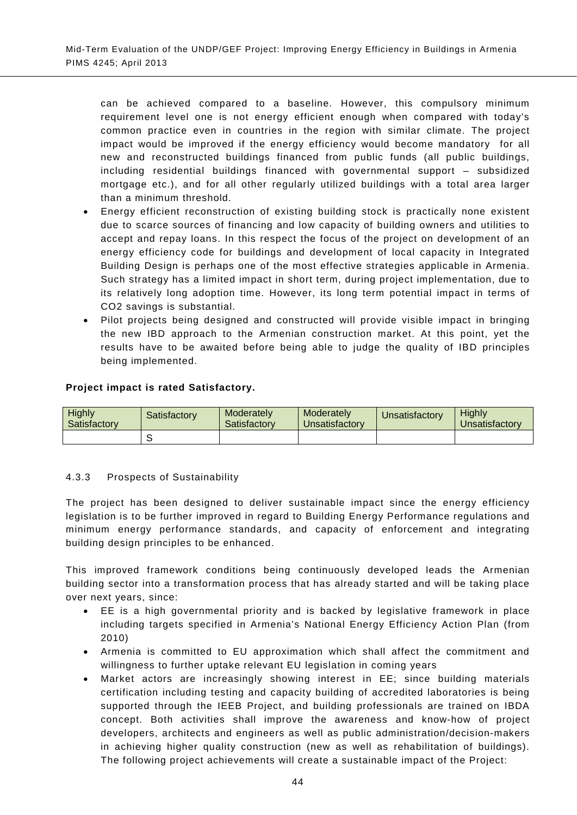can be achieved compared to a baseline. However, this compulsory minimum requirement level one is not energy efficient enough when compared with today's common practice even in countries in the region with similar climate. The project impact would be improved if the energy efficiency would become mandatory for all new and reconstructed buildings financed from public funds (all public buildings, including residential buildings financed with governmental support – subsidized mortgage etc.), and for all other regularly utilized buildings with a total area larger than a minimum threshold.

- Energy efficient reconstruction of existing building stock is practically none existent due to scarce sources of financing and low capacity of building owners and utilities to accept and repay loans. In this respect the focus of the project on development of an energy efficiency code for buildings and development of local capacity in Integrated Building Design is perhaps one of the most effective strategies applicable in Armenia. Such strategy has a limited impact in short term, during project implementation, due to its relatively long adoption time. However, its long term potential impact in terms of CO2 savings is substantial.
- Pilot projects being designed and constructed will provide visible impact in bringing the new IBD approach to the Armenian construction market. At this point, yet the results have to be awaited before being able to judge the quality of IBD principles being implemented.

## **Project impact is rated Satisfactory.**

| <b>Highly</b><br>Satisfactory | Satisfactory | Moderately<br>Satisfactory | Moderately<br><b>Unsatisfactory</b> | Unsatisfactory | Highly<br><b>Jnsatisfactory</b> |
|-------------------------------|--------------|----------------------------|-------------------------------------|----------------|---------------------------------|
|                               |              |                            |                                     |                |                                 |

## 4.3.3 Prospects of Sustainability

The project has been designed to deliver sustainable impact since the energy efficiency legislation is to be further improved in regard to Building Energy Performance regulations and minimum energy performance standards, and capacity of enforcement and integrating building design principles to be enhanced.

This improved framework conditions being continuously developed leads the Armenian building sector into a transformation process that has already started and will be taking place over next years, since:

- EE is a high governmental priority and is backed by legislative framework in place including targets specified in Armenia's National Energy Efficiency Action Plan (from 2010)
- Armenia is committed to EU approximation which shall affect the commitment and willingness to further uptake relevant EU legislation in coming years
- Market actors are increasingly showing interest in EE; since building materials certification including testing and capacity building of accredited laboratories is being supported through the IEEB Project, and building professionals are trained on IBDA concept. Both activities shall improve the awareness and know-how of project developers, architects and engineers as well as public administration/decision-makers in achieving higher quality construction (new as well as rehabilitation of buildings). The following project achievements will create a sustainable impact of the Project: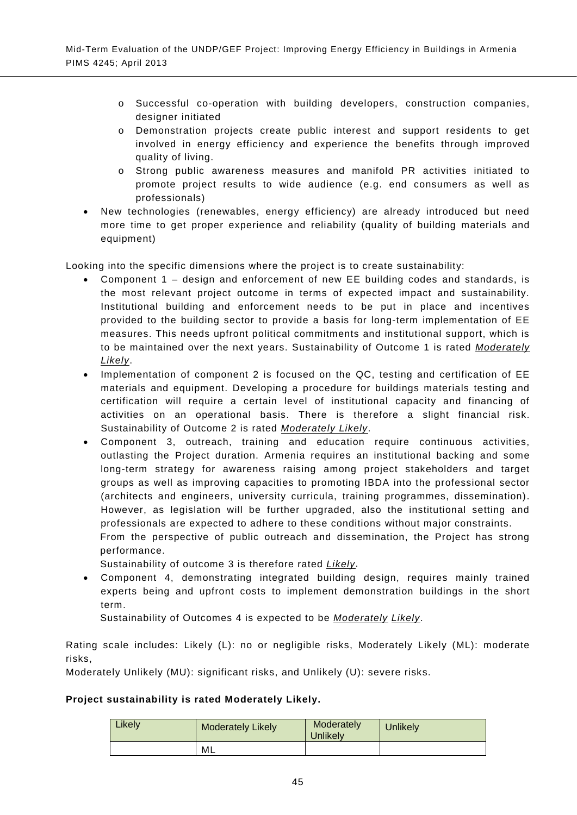- o Successful co-operation with building developers, construction companies, designer initiated
- o Demonstration projects create public interest and support residents to get involved in energy efficiency and experience the benefits through improved quality of living.
- o Strong public awareness measures and manifold PR activities initiated to promote project results to wide audience (e.g. end consumers as well as professionals)
- New technologies (renewables, energy efficiency) are already introduced but need more time to get proper experience and reliability (quality of building materials and equipment)

Looking into the specific dimensions where the project is to create sustainability:

- Component 1 design and enforcement of new EE building codes and standards, is the most relevant project outcome in terms of expected impact and sustainability. Institutional building and enforcement needs to be put in place and incentives provided to the building sector to provide a basis for long-term implementation of EE measures. This needs upfront political commitments and institutional support, which is to be maintained over the next years. Sustainability of Outcome 1 is rated *Moderately Likely*.
- Implementation of component 2 is focused on the QC, testing and certification of EE materials and equipment. Developing a procedure for buildings materials testing and certification will require a certain level of institutional capacity and financing of activities on an operational basis. There is therefore a slight financial risk. Sustainability of Outcome 2 is rated *Moderately Likely*.
- Component 3, outreach, training and education require continuous activities, outlasting the Project duration. Armenia requires an institutional backing and some long-term strategy for awareness raising among project stakeholders and target groups as well as improving capacities to promoting IBDA into the professional sector (architects and engineers, university curricula, training programmes, dissemination). However, as legislation will be further upgraded, also the institutional setting and professionals are expected to adhere to these conditions without major constraints. From the perspective of public outreach and dissemination, the Project has strong performance.

Sustainability of outcome 3 is therefore rated *Likely*.

• Component 4, demonstrating integrated building design, requires mainly trained experts being and upfront costs to implement demonstration buildings in the short term.

Sustainability of Outcomes 4 is expected to be *Moderately Likely*.

Rating scale includes: Likely (L): no or negligible risks, Moderately Likely (ML): moderate risks,

Moderately Unlikely (MU): significant risks, and Unlikely (U): severe risks.

#### **Project sustainability is rated Moderately Likely.**

| Likely | <b>Moderately Likely</b> | Moderately<br><b>Jnlikely</b> | <b>Unlikely</b> |
|--------|--------------------------|-------------------------------|-----------------|
|        | ML                       |                               |                 |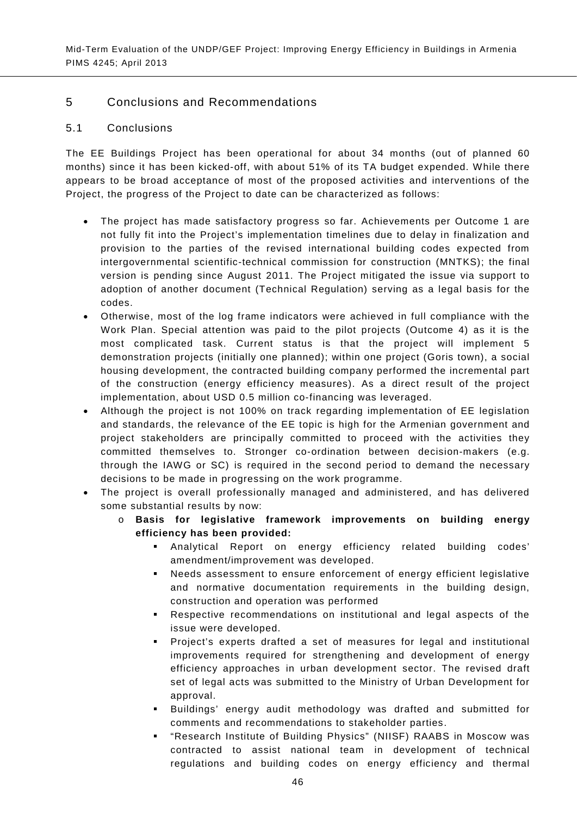## 5 Conclusions and Recommendations

## 5.1 Conclusions

The EE Buildings Project has been operational for about 34 months (out of planned 60 months) since it has been kicked-off, with about 51% of its TA budget expended. While there appears to be broad acceptance of most of the proposed activities and interventions of the Project, the progress of the Project to date can be characterized as follows:

- The project has made satisfactory progress so far. Achievements per Outcome 1 are not fully fit into the Project's implementation timelines due to delay in finalization and provision to the parties of the revised international building codes expected from intergovernmental scientific-technical commission for construction (MNTKS); the final version is pending since August 2011. The Project mitigated the issue via support to adoption of another document (Technical Regulation) serving as a legal basis for the codes.
- Otherwise, most of the log frame indicators were achieved in full compliance with the Work Plan. Special attention was paid to the pilot projects (Outcome 4) as it is the most complicated task. Current status is that the project will implement 5 demonstration projects (initially one planned); within one project (Goris town), a social housing development, the contracted building company performed the incremental part of the construction (energy efficiency measures). As a direct result of the project implementation, about USD 0.5 million co-financing was leveraged.
- Although the project is not 100% on track regarding implementation of EE legislation and standards, the relevance of the EE topic is high for the Armenian government and project stakeholders are principally committed to proceed with the activities they committed themselves to. Stronger co-ordination between decision-makers (e.g. through the IAWG or SC) is required in the second period to demand the necessary decisions to be made in progressing on the work programme.
- The project is overall professionally managed and administered, and has delivered some substantial results by now:
	- o **Basis for legislative framework improvements on building energy efficiency has been provided:**
		- Analytical Report on energy efficiency related building codes' amendment/improvement was developed.
		- Needs assessment to ensure enforcement of energy efficient legislative and normative documentation requirements in the building design, construction and operation was performed
		- Respective recommendations on institutional and legal aspects of the issue were developed.
		- Project's experts drafted a set of measures for legal and institutional improvements required for strengthening and development of energy efficiency approaches in urban development sector. The revised draft set of legal acts was submitted to the Ministry of Urban Development for approval.
		- Buildings' energy audit methodology was drafted and submitted for comments and recommendations to stakeholder parties.
		- "Research Institute of Building Physics" (NIISF) RAABS in Moscow was contracted to assist national team in development of technical regulations and building codes on energy efficiency and thermal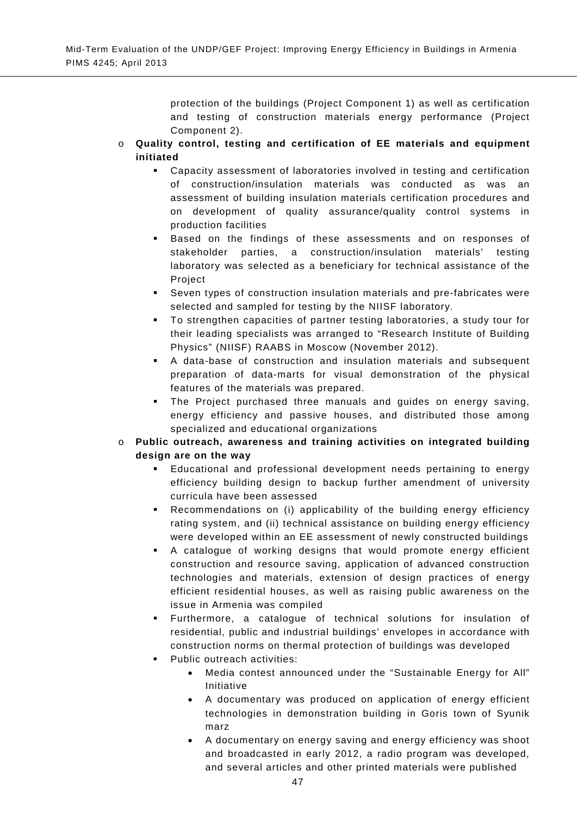protection of the buildings (Project Component 1) as well as certification and testing of construction materials energy performance (Project Component 2).

- o **Quality control, testing and certification of EE materials and equipment initiated**
	- Capacity assessment of laboratories involved in testing and certification of construction/insulation materials was conducted as was an assessment of building insulation materials certification procedures and on development of quality assurance/quality control systems in production facilities
	- Based on the findings of these assessments and on responses of stakeholder parties, a construction/insulation materials' testing laboratory was selected as a beneficiary for technical assistance of the Project
	- Seven types of construction insulation materials and pre-fabricates were selected and sampled for testing by the NIISF laboratory.
	- To strengthen capacities of partner testing laboratories, a study tour for their leading specialists was arranged to "Research Institute of Building Physics" (NIISF) RAABS in Moscow (November 2012).
	- A data-base of construction and insulation materials and subsequent preparation of data-marts for visual demonstration of the physical features of the materials was prepared.
	- The Project purchased three manuals and guides on energy saving, energy efficiency and passive houses, and distributed those among specialized and educational organizations
- Public outreach, awareness and training activities on integrated building **design are on the way**
	- Educational and professional development needs pertaining to energy efficiency building design to backup further amendment of university curricula have been assessed
	- Recommendations on (i) applicability of the building energy efficiency rating system, and (ii) technical assistance on building energy efficiency were developed within an EE assessment of newly constructed buildings
	- A catalogue of working designs that would promote energy efficient construction and resource saving, application of advanced construction technologies and materials, extension of design practices of energy efficient residential houses, as well as raising public awareness on the issue in Armenia was compiled
	- Furthermore, a catalogue of technical solutions for insulation of residential, public and industrial buildings' envelopes in accordance with construction norms on thermal protection of buildings was developed
	- Public outreach activities:
		- Media contest announced under the "Sustainable Energy for All" Initiative
		- A documentary was produced on application of energy efficient technologies in demonstration building in Goris town of Syunik marz
		- A documentary on energy saving and energy efficiency was shoot and broadcasted in early 2012, a radio program was developed, and several articles and other printed materials were published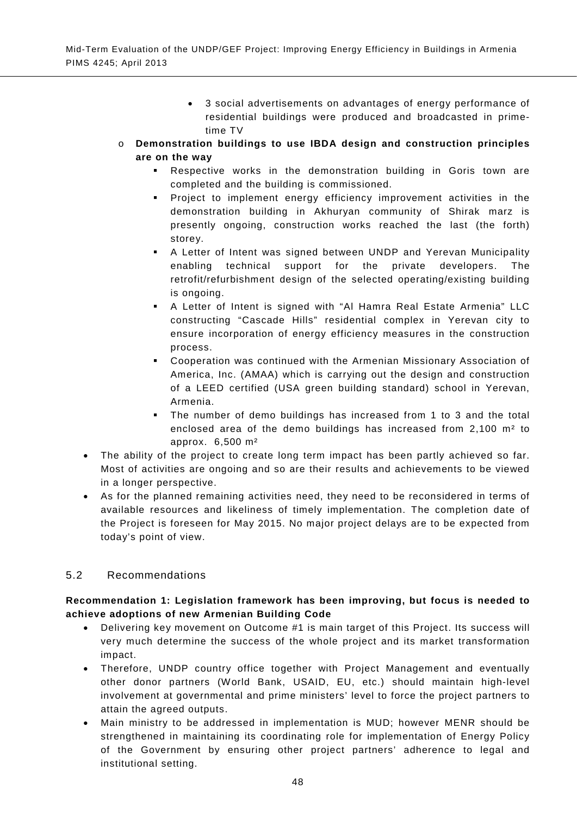- 3 social advertisements on advantages of energy performance of residential buildings were produced and broadcasted in primetime TV
- o **Demonstration buildings to use IBDA design and construction principles are on the way** 
	- Respective works in the demonstration building in Goris town are completed and the building is commissioned.
	- Project to implement energy efficiency improvement activities in the demonstration building in Akhuryan community of Shirak marz is presently ongoing, construction works reached the last (the forth) storey.
	- A Letter of Intent was signed between UNDP and Yerevan Municipality enabling technical support for the private developers. The retrofit/refurbishment design of the selected operating/existing building is ongoing.
	- A Letter of Intent is signed with "Al Hamra Real Estate Armenia" LLC constructing "Cascade Hills" residential complex in Yerevan city to ensure incorporation of energy efficiency measures in the construction process.
	- Cooperation was continued with the Armenian Missionary Association of America, Inc. (AMAA) which is carrying out the design and construction of a LEED certified (USA green building standard) school in Yerevan, Armenia.
	- The number of demo buildings has increased from 1 to 3 and the total enclosed area of the demo buildings has increased from 2,100 m² to approx. 6,500 m²
- The ability of the project to create long term impact has been partly achieved so far. Most of activities are ongoing and so are their results and achievements to be viewed in a longer perspective.
- As for the planned remaining activities need, they need to be reconsidered in terms of available resources and likeliness of timely implementation. The completion date of the Project is foreseen for May 2015. No major project delays are to be expected from today's point of view.

## 5.2 Recommendations

## **Recommendation 1: Legislation framework has been improving, but focus is needed to achieve adoptions of new Armenian Building Code**

- Delivering key movement on Outcome #1 is main target of this Project. Its success will very much determine the success of the whole project and its market transformation impact.
- Therefore, UNDP country office together with Project Management and eventually other donor partners (World Bank, USAID, EU, etc.) should maintain high-level involvement at governmental and prime ministers' level to force the project partners to attain the agreed outputs.
- Main ministry to be addressed in implementation is MUD; however MENR should be strengthened in maintaining its coordinating role for implementation of Energy Policy of the Government by ensuring other project partners' adherence to legal and institutional setting.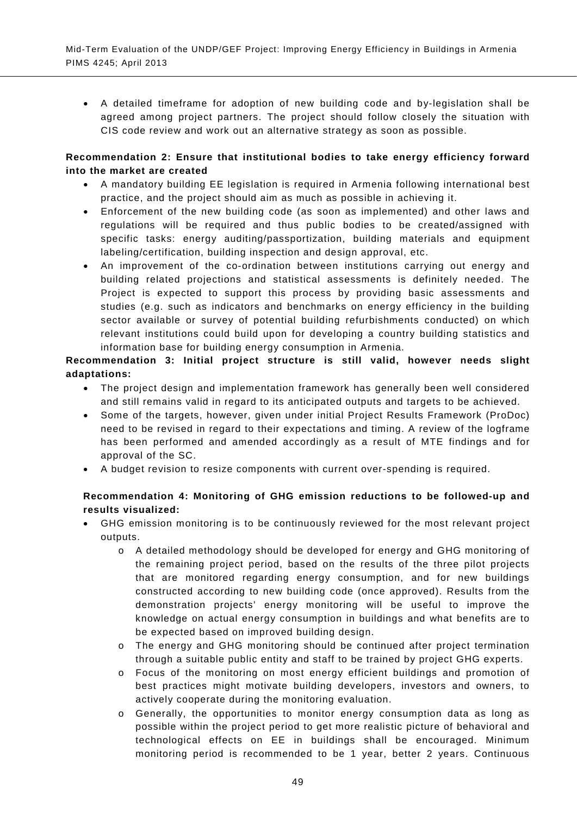• A detailed timeframe for adoption of new building code and by-legislation shall be agreed among project partners. The project should follow closely the situation with CIS code review and work out an alternative strategy as soon as possible.

## **Recommendation 2: Ensure that institutional bodies to take energy efficiency forward into the market are created**

- A mandatory building EE legislation is required in Armenia following international best practice, and the project should aim as much as possible in achieving it.
- Enforcement of the new building code (as soon as implemented) and other laws and regulations will be required and thus public bodies to be created/assigned with specific tasks: energy auditing/passportization, building materials and equipment labeling/certification, building inspection and design approval, etc.
- An improvement of the co-ordination between institutions carrying out energy and building related projections and statistical assessments is definitely needed. The Project is expected to support this process by providing basic assessments and studies (e.g. such as indicators and benchmarks on energy efficiency in the building sector available or survey of potential building refurbishments conducted) on which relevant institutions could build upon for developing a country building statistics and information base for building energy consumption in Armenia.

## **Recommendation 3: Initial project structure is still valid, however needs slight adaptations:**

- The project design and implementation framework has generally been well considered and still remains valid in regard to its anticipated outputs and targets to be achieved.
- Some of the targets, however, given under initial Project Results Framework (ProDoc) need to be revised in regard to their expectations and timing. A review of the logframe has been performed and amended accordingly as a result of MTE findings and for approval of the SC.
- A budget revision to resize components with current over-spending is required.

## **Recommendation 4: Monitoring of GHG emission reductions to be followed-up and results visualized:**

- GHG emission monitoring is to be continuously reviewed for the most relevant project outputs.
	- o A detailed methodology should be developed for energy and GHG monitoring of the remaining project period, based on the results of the three pilot projects that are monitored regarding energy consumption, and for new buildings constructed according to new building code (once approved). Results from the demonstration projects' energy monitoring will be useful to improve the knowledge on actual energy consumption in buildings and what benefits are to be expected based on improved building design.
	- o The energy and GHG monitoring should be continued after project termination through a suitable public entity and staff to be trained by project GHG experts.
	- o Focus of the monitoring on most energy efficient buildings and promotion of best practices might motivate building developers, investors and owners, to actively cooperate during the monitoring evaluation.
	- o Generally, the opportunities to monitor energy consumption data as long as possible within the project period to get more realistic picture of behavioral and technological effects on EE in buildings shall be encouraged. Minimum monitoring period is recommended to be 1 year, better 2 years. Continuous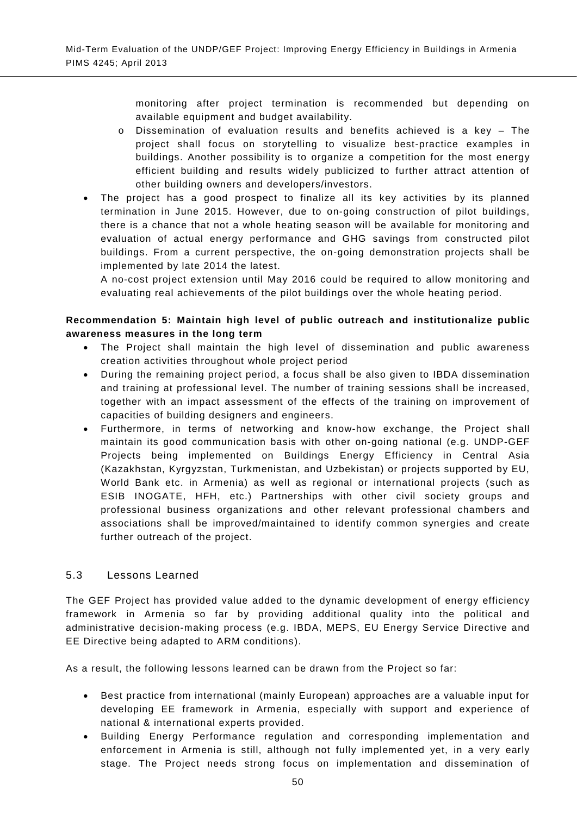monitoring after project termination is recommended but depending on available equipment and budget availability.

- o Dissemination of evaluation results and benefits achieved is a key The project shall focus on storytelling to visualize best-practice examples in buildings. Another possibility is to organize a competition for the most energy efficient building and results widely publicized to further attract attention of other building owners and developers/investors.
- The project has a good prospect to finalize all its key activities by its planned termination in June 2015. However, due to on-going construction of pilot buildings, there is a chance that not a whole heating season will be available for monitoring and evaluation of actual energy performance and GHG savings from constructed pilot buildings. From a current perspective, the on-going demonstration projects shall be implemented by late 2014 the latest.

A no-cost project extension until May 2016 could be required to allow monitoring and evaluating real achievements of the pilot buildings over the whole heating period.

## **Recommendation 5: Maintain high level of public outreach and institutionalize public awareness measures in the long term**

- The Project shall maintain the high level of dissemination and public awareness creation activities throughout whole project period
- During the remaining project period, a focus shall be also given to IBDA dissemination and training at professional level. The number of training sessions shall be increased, together with an impact assessment of the effects of the training on improvement of capacities of building designers and engineers.
- Furthermore, in terms of networking and know-how exchange, the Project shall maintain its good communication basis with other on-going national (e.g. UNDP-GEF Projects being implemented on Buildings Energy Efficiency in Central Asia (Kazakhstan, Kyrgyzstan, Turkmenistan, and Uzbekistan) or projects supported by EU, World Bank etc. in Armenia) as well as regional or international projects (such as ESIB INOGATE, HFH, etc.) Partnerships with other civil society groups and professional business organizations and other relevant professional chambers and associations shall be improved/maintained to identify common synergies and create further outreach of the project.

## 5.3 Lessons Learned

The GEF Project has provided value added to the dynamic development of energy efficiency framework in Armenia so far by providing additional quality into the political and administrative decision-making process (e.g. IBDA, MEPS, EU Energy Service Directive and EE Directive being adapted to ARM conditions).

As a result, the following lessons learned can be drawn from the Project so far:

- Best practice from international (mainly European) approaches are a valuable input for developing EE framework in Armenia, especially with support and experience of national & international experts provided.
- Building Energy Performance regulation and corresponding implementation and enforcement in Armenia is still, although not fully implemented yet, in a very early stage. The Project needs strong focus on implementation and dissemination of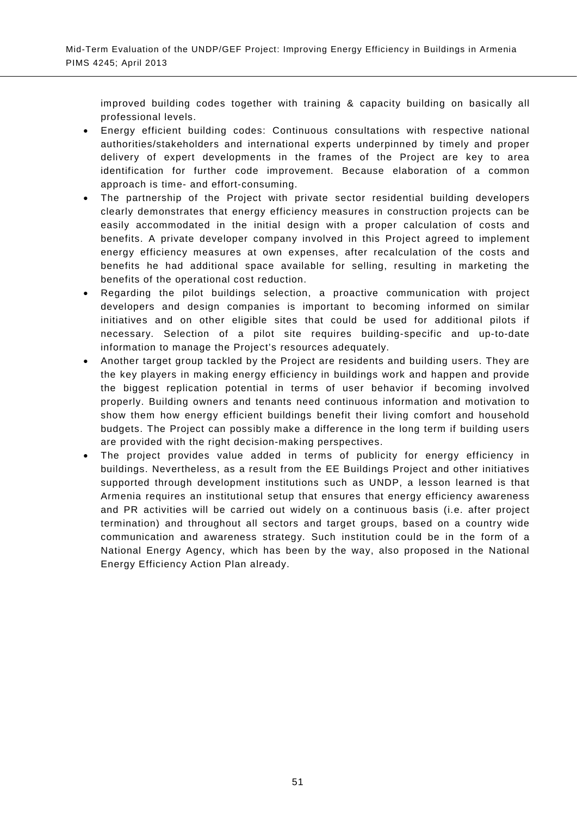improved building codes together with training & capacity building on basically all professional levels.

- Energy efficient building codes: Continuous consultations with respective national authorities/stakeholders and international experts underpinned by timely and proper delivery of expert developments in the frames of the Project are key to area identification for further code improvement. Because elaboration of a common approach is time- and effort-consuming.
- The partnership of the Project with private sector residential building developers clearly demonstrates that energy efficiency measures in construction projects can be easily accommodated in the initial design with a proper calculation of costs and benefits. A private developer company involved in this Project agreed to implement energy efficiency measures at own expenses, after recalculation of the costs and benefits he had additional space available for selling, resulting in marketing the benefits of the operational cost reduction.
- Regarding the pilot buildings selection, a proactive communication with project developers and design companies is important to becoming informed on similar initiatives and on other eligible sites that could be used for additional pilots if necessary. Selection of a pilot site requires building-specific and up-to-date information to manage the Project's resources adequately.
- Another target group tackled by the Project are residents and building users. They are the key players in making energy efficiency in buildings work and happen and provide the biggest replication potential in terms of user behavior if becoming involved properly. Building owners and tenants need continuous information and motivation to show them how energy efficient buildings benefit their living comfort and household budgets. The Project can possibly make a difference in the long term if building users are provided with the right decision-making perspectives.
- The project provides value added in terms of publicity for energy efficiency in buildings. Nevertheless, as a result from the EE Buildings Project and other initiatives supported through development institutions such as UNDP, a lesson learned is that Armenia requires an institutional setup that ensures that energy efficiency awareness and PR activities will be carried out widely on a continuous basis (i.e. after project termination) and throughout all sectors and target groups, based on a country wide communication and awareness strategy. Such institution could be in the form of a National Energy Agency, which has been by the way, also proposed in the National Energy Efficiency Action Plan already.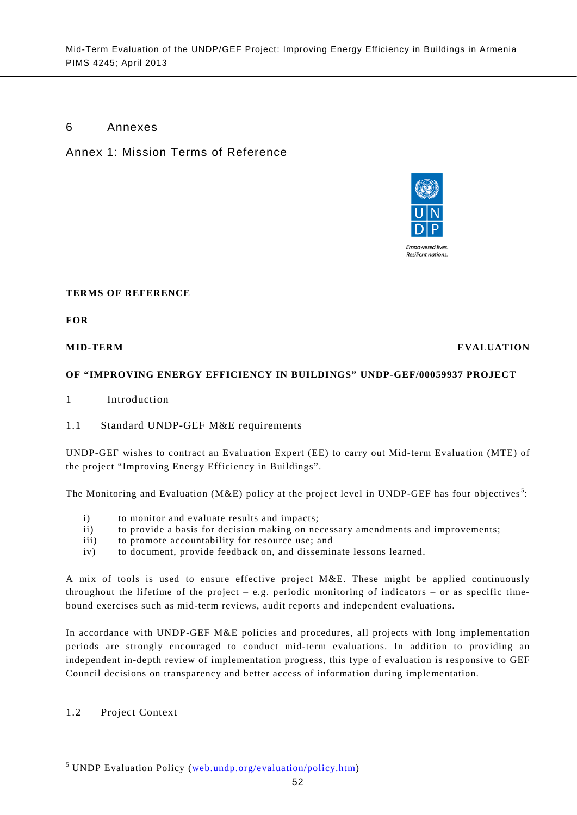## 6 Annexes

Annex 1: Mission Terms of Reference



#### **TERMS OF REFERENCE**

**FOR** 

#### **MID-TERM EVALUATION**

#### **OF "IMPROVING ENERGY EFFICIENCY IN BUILDINGS" UNDP-GEF/00059937 PROJECT**

- 1 Introduction
- 1.1 Standard UNDP-GEF M&E requirements

UNDP-GEF wishes to contract an Evaluation Expert (EE) to carry out Mid-term Evaluation (MTE) of the project "Improving Energy Efficiency in Buildings".

The Monitoring and Evaluation (M&E) policy at the project level in UNDP-GEF has four objectives<sup>[5](#page-20-0)</sup>:

- i) to monitor and evaluate results and impacts;
- ii) to provide a basis for decision making on necessary amendments and improvements;
- iii) to promote accountability for resource use; and
- iv) to document, provide feedback on, and disseminate lessons learned.

A mix of tools is used to ensure effective project M&E. These might be applied continuously throughout the lifetime of the project – e.g. periodic monitoring of indicators – or as specific timebound exercises such as mid-term reviews, audit reports and independent evaluations.

In accordance with UNDP-GEF M&E policies and procedures, all projects with long implementation periods are strongly encouraged to conduct mid-term evaluations. In addition to providing an independent in-depth review of implementation progress, this type of evaluation is responsive to GEF Council decisions on transparency and better access of information during implementation.

#### 1.2 Project Context

<span id="page-65-0"></span><sup>&</sup>lt;sup>5</sup> UNDP Evaluation Policy [\(web.undp.org/evaluation/policy.htm\)](http://web.undp.org/evaluation/policy.htm)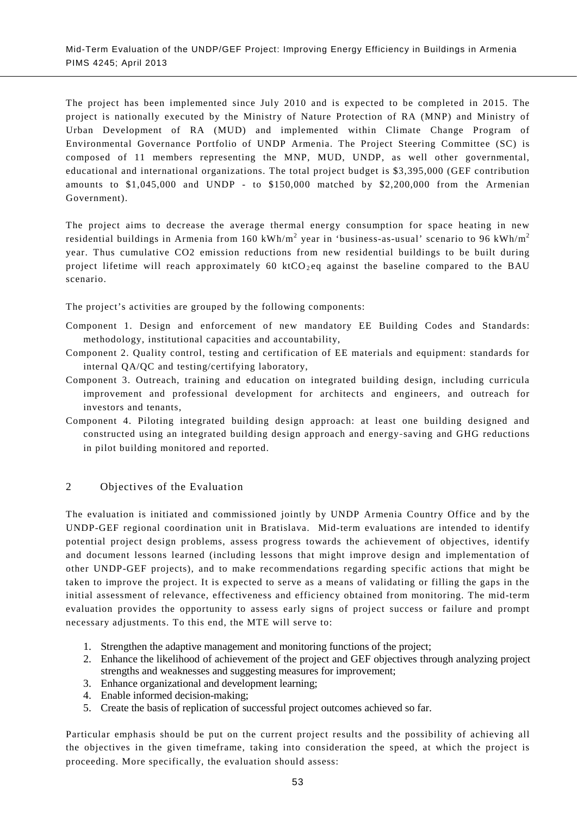The project has been implemented since July 2010 and is expected to be completed in 2015. The project is nationally executed by the Ministry of Nature Protection of RA (MNP) and Ministry of Urban Development of RA (MUD) and implemented within Climate Change Program of Environmental Governance Portfolio of UNDP Armenia. The Project Steering Committee (SC) is composed of 11 members representing the MNP, MUD, UNDP, as well other governmental, educational and international organizations. The total project budget is \$3,395,000 (GEF contribution amounts to \$1,045,000 and UNDP - to \$150,000 matched by \$2,200,000 from the Armenian Government).

The project aims to decrease the average thermal energy consumption for space heating in new residential buildings in Armenia from 160 kWh/m<sup>2</sup> year in 'business-as-usual' scenario to 96 kWh/m<sup>2</sup> year. Thus cumulative CO2 emission reductions from new residential buildings to be built during project lifetime will reach approximately 60 ktCO<sub>2</sub> eq against the baseline compared to the BAU scenario.

The project's activities are grouped by the following components:

- Component 1. Design and enforcement of new mandatory EE Building Codes and Standards: methodology, institutional capacities and accountability,
- Component 2. Quality control, testing and certification of EE materials and equipment: standards for internal QA/QC and testing/certifying laboratory,
- Component 3. Outreach, training and education on integrated building design, including curricula improvement and professional development for architects and engineers, and outreach for investors and tenants,
- Component 4. Piloting integrated building design approach: at least one building designed and constructed using an integrated building design approach and energy-saving and GHG reductions in pilot building monitored and reported.

## 2 Objectives of the Evaluation

The evaluation is initiated and commissioned jointly by UNDP Armenia Country Office and by the UNDP-GEF regional coordination unit in Bratislava. Mid-term evaluations are intended to identify potential project design problems, assess progress towards the achievement of objectives, identify and document lessons learned (including lessons that might improve design and implementation of other UNDP-GEF projects), and to make recommendations regarding specific actions that might be taken to improve the project. It is expected to serve as a means of validating or filling the gaps in the initial assessment of relevance, effectiveness and efficiency obtained from monitoring. The mid-term evaluation provides the opportunity to assess early signs of project success or failure and prompt necessary adjustments. To this end, the MTE will serve to:

- 1. Strengthen the adaptive management and monitoring functions of the project;
- 2. Enhance the likelihood of achievement of the project and GEF objectives through analyzing project strengths and weaknesses and suggesting measures for improvement;
- 3. Enhance organizational and development learning;
- 4. Enable informed decision-making;
- 5. Create the basis of replication of successful project outcomes achieved so far.

Particular emphasis should be put on the current project results and the possibility of achieving all the objectives in the given timeframe, taking into consideration the speed, at which the project is proceeding. More specifically, the evaluation should assess: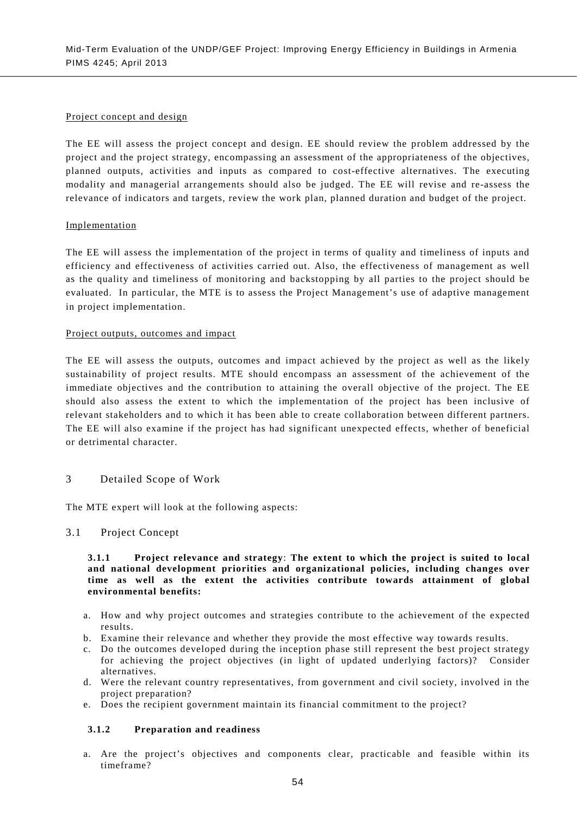#### Project concept and design

The EE will assess the project concept and design. EE should review the problem addressed by the project and the project strategy, encompassing an assessment of the appropriateness of the objectives, planned outputs, activities and inputs as compared to cost-effective alternatives. The executing modality and managerial arrangements should also be judged. The EE will revise and re-assess the relevance of indicators and targets, review the work plan, planned duration and budget of the project.

#### Implementation

The EE will assess the implementation of the project in terms of quality and timeliness of inputs and efficiency and effectiveness of activities carried out. Also, the effectiveness of management as well as the quality and timeliness of monitoring and backstopping by all parties to the project should be evaluated. In particular, the MTE is to assess the Project Management's use of adaptive management in project implementation.

#### Project outputs, outcomes and impact

The EE will assess the outputs, outcomes and impact achieved by the project as well as the likely sustainability of project results. MTE should encompass an assessment of the achievement of the immediate objectives and the contribution to attaining the overall objective of the project. The EE should also assess the extent to which the implementation of the project has been inclusive of relevant stakeholders and to which it has been able to create collaboration between different partners. The EE will also examine if the project has had significant unexpected effects, whether of beneficial or detrimental character.

#### 3 Detailed Scope of Work

The MTE expert will look at the following aspects:

#### 3.1 Project Concept

#### **3.1.1 Project relevance and strategy**: **The extent to which the project is suited to local and national development priorities and organizational policies, including changes over time as well as the extent the activities contribute towards attainment of global environmental benefits:**

- a. How and why project outcomes and strategies contribute to the achievement of the expected results.
- b. Examine their relevance and whether they provide the most effective way towards results.
- c. Do the outcomes developed during the inception phase still represent the best project strategy for achieving the project objectives (in light of updated underlying factors)? Consider alternatives.
- d. Were the relevant country representatives, from government and civil society, involved in the project preparation?
- e. Does the recipient government maintain its financial commitment to the project?

#### **3.1.2 Preparation and readiness**

a. Are the project's objectives and components clear, practicable and feasible within its timeframe?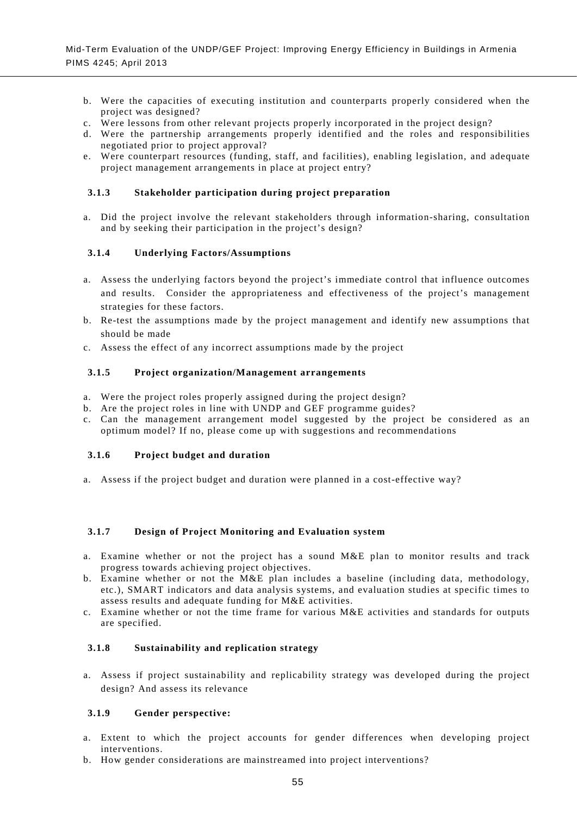- b. Were the capacities of executing institution and counterparts properly considered when the project was designed?
- c. Were lessons from other relevant projects properly incorporated in the project design?
- d. Were the partnership arrangements properly identified and the roles and responsibilities negotiated prior to project approval?
- e. Were counterpart resources (funding, staff, and facilities), enabling legislation, and adequate project management arrangements in place at project entry?

#### **3.1.3 Stakeholder participation during project preparation**

a. Did the project involve the relevant stakeholders through information-sharing, consultation and by seeking their participation in the project's design?

#### **3.1.4 Underlying Factors/Assumptions**

- a. Assess the underlying factors beyond the project's immediate control that influence outcomes and results. Consider the appropriateness and effectiveness of the project's management strategies for these factors.
- b. Re-test the assumptions made by the project management and identify new assumptions that should be made
- c. Assess the effect of any incorrect assumptions made by the project

#### **3.1.5 Project organization/Management arrangements**

- a. Were the project roles properly assigned during the project design?
- b. Are the project roles in line with UNDP and GEF programme guides?
- c. Can the management arrangement model suggested by the project be considered as an optimum model? If no, please come up with suggestions and recommendations

#### **3.1.6 Project budget and duration**

a. Assess if the project budget and duration were planned in a cost-effective way?

#### **3.1.7 Design of Project Monitoring and Evaluation system**

- a. Examine whether or not the project has a sound M&E plan to monitor results and track progress towards achieving project objectives.
- b. Examine whether or not the M&E plan includes a baseline (including data, methodology, etc.), SMART indicators and data analysis systems, and evaluation studies at specific times to assess results and adequate funding for M&E activities.
- c. Examine whether or not the time frame for various  $M&E$  activities and standards for outputs are specified.

#### **3.1.8 Sustainability and replication strategy**

a. Assess if project sustainability and replicability strategy was developed during the project design? And assess its relevance

#### **3.1.9 Gender perspective:**

- a. Extent to which the project accounts for gender differences when developing project interventions.
- b. How gender considerations are mainstreamed into project interventions?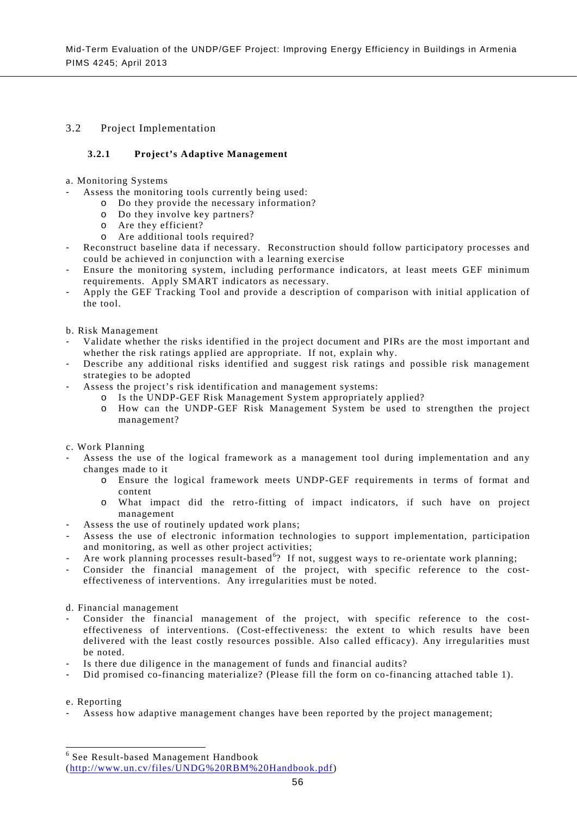#### 3.2 Project Implementation

#### **3.2.1 Project's Adaptive Management**

- a. Monitoring Systems
- Assess the monitoring tools currently being used:
	- o Do they provide the necessary information?
	- o Do they involve key partners?
	- o Are they efficient?
	- o Are additional tools required?
- Reconstruct baseline data if necessary. Reconstruction should follow participatory processes and could be achieved in conjunction with a learning exercise
- Ensure the monitoring system, including performance indicators, at least meets GEF minimum requirements. Apply SMART indicators as necessary.
- Apply the GEF Tracking Tool and provide a description of comparison with initial application of the tool.
- b. Risk Management
- Validate whether the risks identified in the project document and PIRs are the most important and whether the risk ratings applied are appropriate. If not, explain why.
- Describe any additional risks identified and suggest risk ratings and possible risk management strategies to be adopted
- Assess the project's risk identification and management systems:
	- o Is the UNDP-GEF Risk Management System appropriately applied?
	- o How can the UNDP-GEF Risk Management System be used to strengthen the project management?
- c. Work Planning
- Assess the use of the logical framework as a management tool during implementation and any changes made to it
	- o Ensure the logical framework meets UNDP-GEF requirements in terms of format and content
	- o What impact did the retro-fitting of impact indicators, if such have on project management
- Assess the use of routinely updated work plans;
- Assess the use of electronic information technologies to support implementation, participation and monitoring, as well as other project activities;
- Are work planning processes result-based<sup>[6](#page-65-0)</sup>? If not, suggest ways to re-orientate work planning;
- Consider the financial management of the project, with specific reference to the costeffectiveness of interventions. Any irregularities must be noted.
- d. Financial management
- Consider the financial management of the project, with specific reference to the costeffectiveness of interventions. (Cost-effectiveness: the extent to which results have been delivered with the least costly resources possible. Also called efficacy). Any irregularities must be noted.
- Is there due diligence in the management of funds and financial audits?
- Did promised co-financing materialize? (Please fill the form on co-financing attached table 1).

#### e. Reporting

Assess how adaptive management changes have been reported by the project management;

 <sup>6</sup> See Result-based Management Handbook [\(http://www.un.cv/files/UNDG%20RBM%20Handbook.pdf\)](http://www.un.cv/files/UNDG%20RBM%20Handbook.pdf)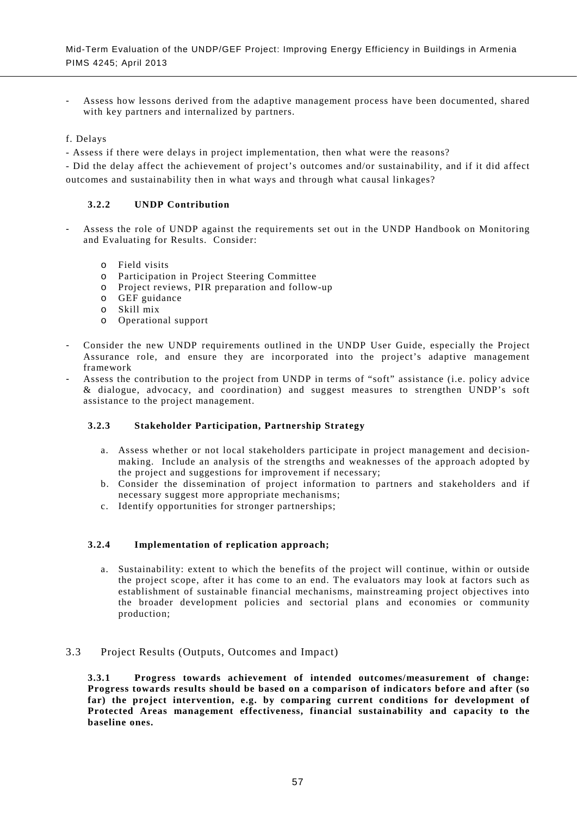- Assess how lessons derived from the adaptive management process have been documented, shared with key partners and internalized by partners.
- f. Delays
- Assess if there were delays in project implementation, then what were the reasons?

- Did the delay affect the achievement of project's outcomes and/or sustainability, and if it did affect outcomes and sustainability then in what ways and through what causal linkages?

#### **3.2.2 UNDP Contribution**

- Assess the role of UNDP against the requirements set out in the UNDP Handbook on Monitoring and Evaluating for Results. Consider:
	- o Field visits
	- o Participation in Project Steering Committee
	- o Project reviews, PIR preparation and follow-up
	- o GEF guidance
	- o Skill mix
	- o Operational support
- Consider the new UNDP requirements outlined in the UNDP User Guide, especially the Project Assurance role, and ensure they are incorporated into the project's adaptive management framework
- Assess the contribution to the project from UNDP in terms of "soft" assistance (i.e. policy advice & dialogue, advocacy, and coordination) and suggest measures to strengthen UNDP's soft assistance to the project management.

#### **3.2.3 Stakeholder Participation, Partnership Strategy**

- a. Assess whether or not local stakeholders participate in project management and decisionmaking. Include an analysis of the strengths and weaknesses of the approach adopted by the project and suggestions for improvement if necessary;
- b. Consider the dissemination of project information to partners and stakeholders and if necessary suggest more appropriate mechanisms;
- c. Identify opportunities for stronger partnerships;

## **3.2.4 Implementation of replication approach;**

a. Sustainability: extent to which the benefits of the project will continue, within or outside the project scope, after it has come to an end. The evaluators may look at factors such as establishment of sustainable financial mechanisms, mainstreaming project objectives into the broader development policies and sectorial plans and economies or community production;

#### 3.3 Project Results (Outputs, Outcomes and Impact)

**3.3.1 Progress towards achievement of intended outcomes/measurement of change: Progress towards results should be based on a comparison of indicators before and after (so far) the project intervention, e.g. by comparing current conditions for development of Protected Areas management effectiveness, financial sustainability and capacity to the baseline ones.**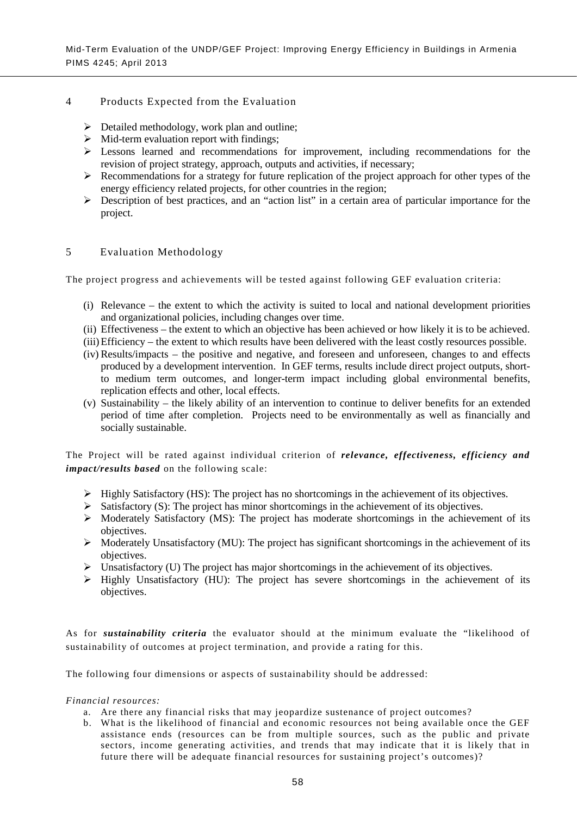## 4 Products Expected from the Evaluation

- $\triangleright$  Detailed methodology, work plan and outline;
- $\triangleright$  Mid-term evaluation report with findings;
- $\triangleright$  Lessons learned and recommendations for improvement, including recommendations for the revision of project strategy, approach, outputs and activities, if necessary;
- $\triangleright$  Recommendations for a strategy for future replication of the project approach for other types of the energy efficiency related projects, for other countries in the region;
- Description of best practices, and an "action list" in a certain area of particular importance for the project.

#### 5 Evaluation Methodology

The project progress and achievements will be tested against following GEF evaluation criteria:

- (i) Relevance the extent to which the activity is suited to local and national development priorities and organizational policies, including changes over time.
- (ii) Effectiveness the extent to which an objective has been achieved or how likely it is to be achieved.
- (iii)Efficiency the extent to which results have been delivered with the least costly resources possible.
- (iv) Results/impacts the positive and negative, and foreseen and unforeseen, changes to and effects produced by a development intervention. In GEF terms, results include direct project outputs, shortto medium term outcomes, and longer-term impact including global environmental benefits, replication effects and other, local effects.
- (v) Sustainability the likely ability of an intervention to continue to deliver benefits for an extended period of time after completion. Projects need to be environmentally as well as financially and socially sustainable.

The Project will be rated against individual criterion of *relevance, effectiveness, efficiency and impact/results based* on the following scale:

- $\triangleright$  Highly Satisfactory (HS): The project has no shortcomings in the achievement of its objectives.
- $\triangleright$  Satisfactory (S): The project has minor shortcomings in the achievement of its objectives.
- $\triangleright$  Moderately Satisfactory (MS): The project has moderate shortcomings in the achievement of its objectives.
- $\triangleright$  Moderately Unsatisfactory (MU): The project has significant shortcomings in the achievement of its objectives.
- $\triangleright$  Unsatisfactory (U) The project has major shortcomings in the achievement of its objectives.
- $\triangleright$  Highly Unsatisfactory (HU): The project has severe shortcomings in the achievement of its objectives.

As for *sustainability criteria* the evaluator should at the minimum evaluate the "likelihood of sustainability of outcomes at project termination, and provide a rating for this.

The following four dimensions or aspects of sustainability should be addressed:

#### *Financial resources:*

- a. Are there any financial risks that may jeopardize sustenance of project outcomes?
- b. What is the likelihood of financial and economic resources not being available once the GEF assistance ends (resources can be from multiple sources, such as the public and private sectors, income generating activities, and trends that may indicate that it is likely that in future there will be adequate financial resources for sustaining project's outcomes)?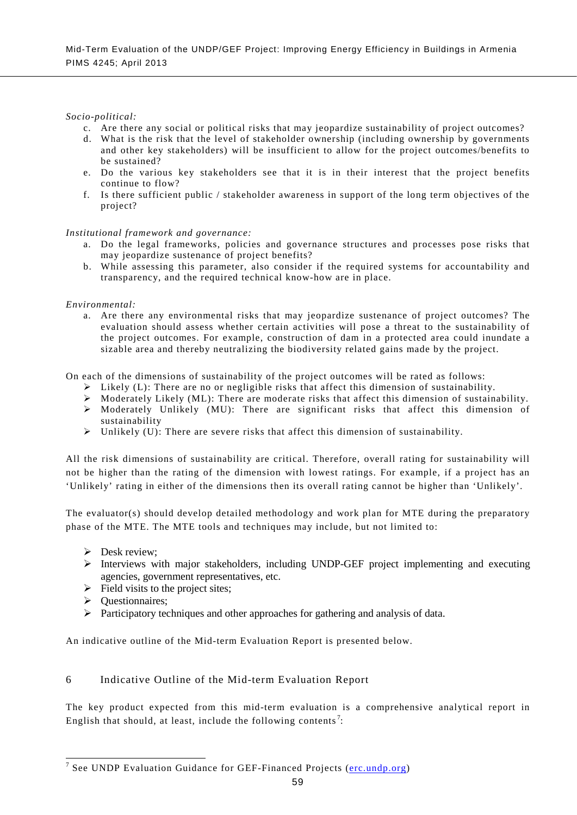# *Socio-political:*

- c. Are there any social or political risks that may jeopardize sustainability of project outcomes?
- d. What is the risk that the level of stakeholder ownership (including ownership by governments and other key stakeholders) will be insufficient to allow for the project outcomes/benefits to be sustained?
- e. Do the various key stakeholders see that it is in their interest that the project benefits continue to flow?
- f. Is there sufficient public / stakeholder awareness in support of the long term objectives of the project?

# *Institutional framework and governance:*

- a. Do the legal frameworks, policies and governance structures and processes pose risks that may jeopardize sustenance of project benefits?
- b. While assessing this parameter, also consider if the required systems for accountability and transparency, and the required technical know-how are in place.

### *Environmental:*

a. Are there any environmental risks that may jeopardize sustenance of project outcomes? The evaluation should assess whether certain activities will pose a threat to the sustainability of the project outcomes. For example, construction of dam in a protected area could inundate a sizable area and thereby neutralizing the biodiversity related gains made by the project.

On each of the dimensions of sustainability of the project outcomes will be rated as follows:

- $\triangleright$  Likely (L): There are no or negligible risks that affect this dimension of sustainability.
- Moderately Likely (ML): There are moderate risks that affect this dimension of sustainability.
- $\triangleright$  Moderately Unlikely (MU): There are significant risks that affect this dimension of sustainability
- $\triangleright$  Unlikely (U): There are severe risks that affect this dimension of sustainability.

All the risk dimensions of sustainability are critical. Therefore, overall rating for sustainability will not be higher than the rating of the dimension with lowest ratings. For example, if a project has an 'Unlikely' rating in either of the dimensions then its overall rating cannot be higher than 'Unlikely'.

The evaluator(s) should develop detailed methodology and work plan for MTE during the preparatory phase of the MTE. The MTE tools and techniques may include, but not limited to:

- $\triangleright$  Desk review:
- Interviews with major stakeholders, including UNDP-GEF project implementing and executing agencies, government representatives, etc.
- $\triangleright$  Field visits to the project sites;
- $\triangleright$  Ouestionnaires:
- $\triangleright$  Participatory techniques and other approaches for gathering and analysis of data.

An indicative outline of the Mid-term Evaluation Report is presented below.

# 6 Indicative Outline of the Mid-term Evaluation Report

The key product expected from this mid-term evaluation is a comprehensive analytical report in English that should, at least, include the following contents<sup>[7](#page-69-0)</sup>:

<span id="page-72-0"></span><sup>&</sup>lt;sup>7</sup> See UNDP Evaluation Guidance for GEF-Financed Projects ( $erc.undp.org$ )</u>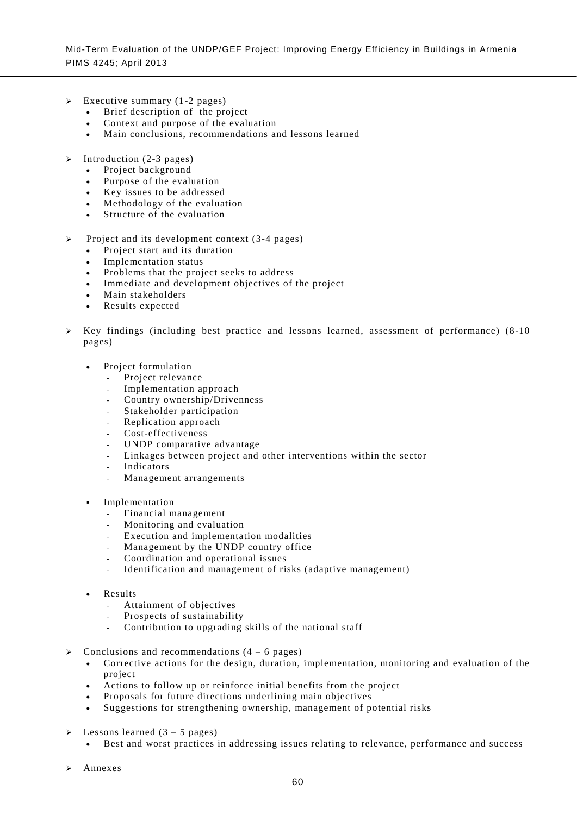- Executive summary (1-2 pages)
	- Brief description of the project
	- Context and purpose of the evaluation
	- Main conclusions, recommendations and lessons learned
- $\triangleright$  Introduction (2-3 pages)
	- Project background
	- Purpose of the evaluation
	- Key issues to be addressed
	- Methodology of the evaluation
	- Structure of the evaluation
- Project and its development context (3-4 pages)
	- Project start and its duration
	- Implementation status
	- Problems that the project seeks to address
	- Immediate and development objectives of the project
	- Main stakeholders
	- Results expected
- $\triangleright$  Key findings (including best practice and lessons learned, assessment of performance) (8-10 pages)
	- Project formulation
		- Project relevance
		- Implementation approach
		- Country ownership/Drivenness
		- Stakeholder participation
		- Replication approach
		- Cost-effectiveness
		- UNDP comparative advantage
		- Linkages between project and other interventions within the sector
		- **Indicators**
		- Management arrangements
	- Implementation
		- Financial management
		- Monitoring and evaluation
		- Execution and implementation modalities
		- Management by the UNDP country office
		- Coordination and operational issues
		- Identification and management of risks (adaptive management)
	- Results
		- Attainment of objectives
		- Prospects of sustainability
		- Contribution to upgrading skills of the national staff
- Conclusions and recommendations (4 6 pages)
	- Corrective actions for the design, duration, implementation, monitoring and evaluation of the project
	- Actions to follow up or reinforce initial benefits from the project
	- Proposals for future directions underlining main objectives
	- Suggestions for strengthening ownership, management of potential risks
- Lessons learned (3 5 pages)
	- Best and worst practices in addressing issues relating to relevance, performance and success
- Annexes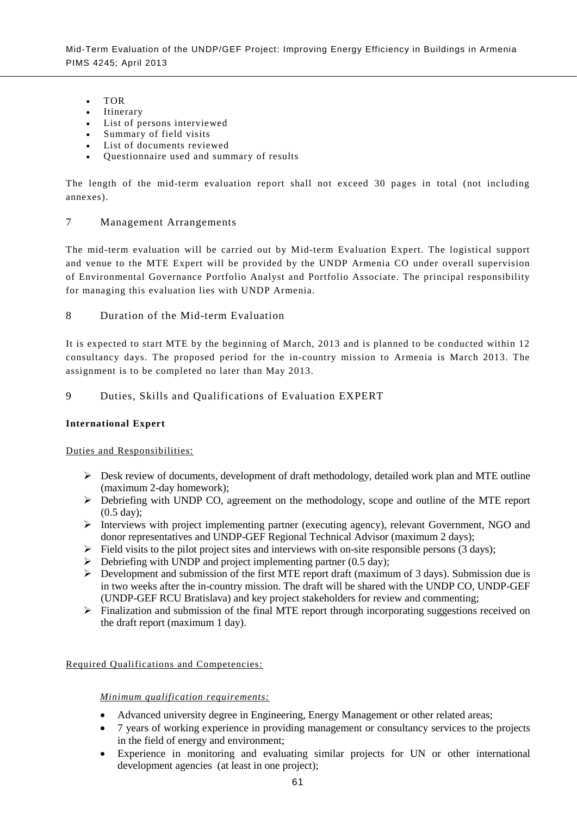- TOR
- **Itinerary**
- List of persons interviewed
- Summary of field visits
- List of documents reviewed
- Questionnaire used and summary of results

The length of the mid-term evaluation report shall not exceed 30 pages in total (not including annexes).

# 7 Management Arrangements

The mid-term evaluation will be carried out by Mid-term Evaluation Expert. The logistical support and venue to the MTE Expert will be provided by the UNDP Armenia CO under overall supervision of Environmental Governance Portfolio Analyst and Portfolio Associate. The principal responsibility for managing this evaluation lies with UNDP Armenia.

8 Duration of the Mid-term Evaluation

It is expected to start MTE by the beginning of March, 2013 and is planned to be conducted within 12 consultancy days. The proposed period for the in-country mission to Armenia is March 2013. The assignment is to be completed no later than May 2013.

9 Duties, Skills and Qualifications of Evaluation EXPERT

# **International Expert**

Duties and Responsibilities:

- Desk review of documents, development of draft methodology, detailed work plan and MTE outline (maximum 2-day homework);
- Debriefing with UNDP CO, agreement on the methodology, scope and outline of the MTE report (0.5 day);
- Interviews with project implementing partner (executing agency), relevant Government, NGO and donor representatives and UNDP-GEF Regional Technical Advisor (maximum 2 days);
- $\triangleright$  Field visits to the pilot project sites and interviews with on-site responsible persons (3 days);
- $\triangleright$  Debriefing with UNDP and project implementing partner (0.5 day);
- $\triangleright$  Development and submission of the first MTE report draft (maximum of 3 days). Submission due is in two weeks after the in-country mission. The draft will be shared with the UNDP CO, UNDP-GEF (UNDP-GEF RCU Bratislava) and key project stakeholders for review and commenting;
- $\triangleright$  Finalization and submission of the final MTE report through incorporating suggestions received on the draft report (maximum 1 day).

# Required Qualifications and Competencies:

# *Minimum qualification requirements:*

- Advanced university degree in Engineering, Energy Management or other related areas;
- 7 years of working experience in providing management or consultancy services to the projects in the field of energy and environment;
- Experience in monitoring and evaluating similar projects for UN or other international development agencies (at least in one project);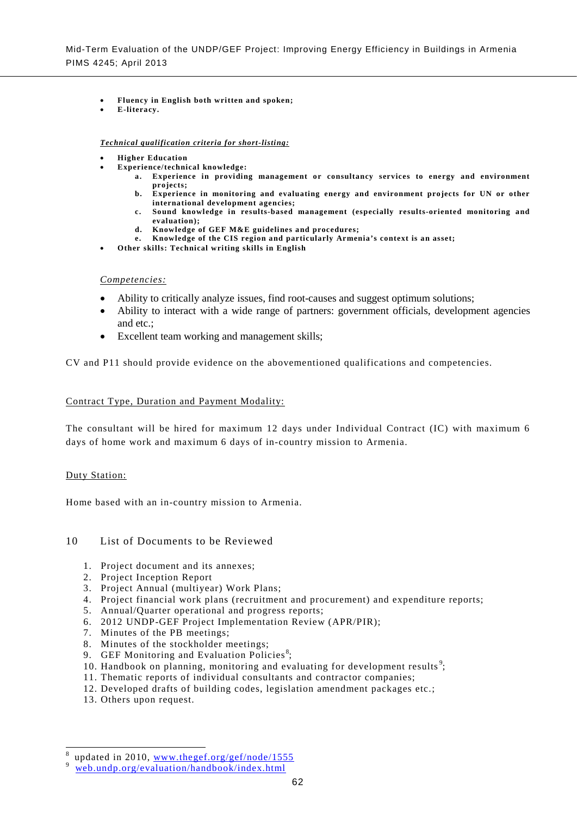- **Fluency in English both written and spoken;**
- **E-literacy.**

#### *Technical qualification criteria for short-listing:*

- **Higher Education**
	- **Experience/technical knowledge:** 
		- **a. Experience in providing management or consultancy services to energy and environment projects;**
		- **b. Experience in monitoring and evaluating energy and environment projects for UN or other international development agencies;**
		- **c. Sound knowledge in results-based management (especially results-oriented monitoring and evaluation);**
		- **d. Knowledge of GEF M&E guidelines and procedures;**
		- **e. Knowledge of the CIS region and particularly Armenia's context is an asset;**
- **Other skills: Technical writing skills in English**

### *Competencies:*

- Ability to critically analyze issues, find root-causes and suggest optimum solutions;
- Ability to interact with a wide range of partners: government officials, development agencies and etc.;
- Excellent team working and management skills;

CV and P11 should provide evidence on the abovementioned qualifications and competencies.

#### Contract Type, Duration and Payment Modality:

The consultant will be hired for maximum 12 days under Individual Contract (IC) with maximum 6 days of home work and maximum 6 days of in-country mission to Armenia.

#### Duty Station:

Home based with an in-country mission to Armenia.

#### 10 List of Documents to be Reviewed

- 1. Project document and its annexes;
- 2. Project Inception Report
- 3. Project Annual (multiyear) Work Plans;
- 4. Project financial work plans (recruitment and procurement) and expenditure reports;
- 5. Annual/Quarter operational and progress reports;
- 6. 2012 UNDP-GEF Project Implementation Review (APR/PIR);
- 7. Minutes of the PB meetings;
- 8. Minutes of the stockholder meetings;
- 9. GEF Monitoring and Evaluation Policies<sup>[8](#page-72-0)</sup>;
- 10. Handbook on planning, monitoring and evaluating for development results<sup>[9](#page-75-0)</sup>;
- 11. Thematic reports of individual consultants and contractor companies;
- 12. Developed drafts of building codes, legislation amendment packages etc.;
- 13. Others upon request.

updated in 2010, [www.thegef.org/gef/node/1555](http://www.thegef.org/gef/node/1555)<br>[web.undp.org/evaluation/handbook/index.html](http://web.undp.org/evaluation/handbook/index.html)

<span id="page-75-0"></span>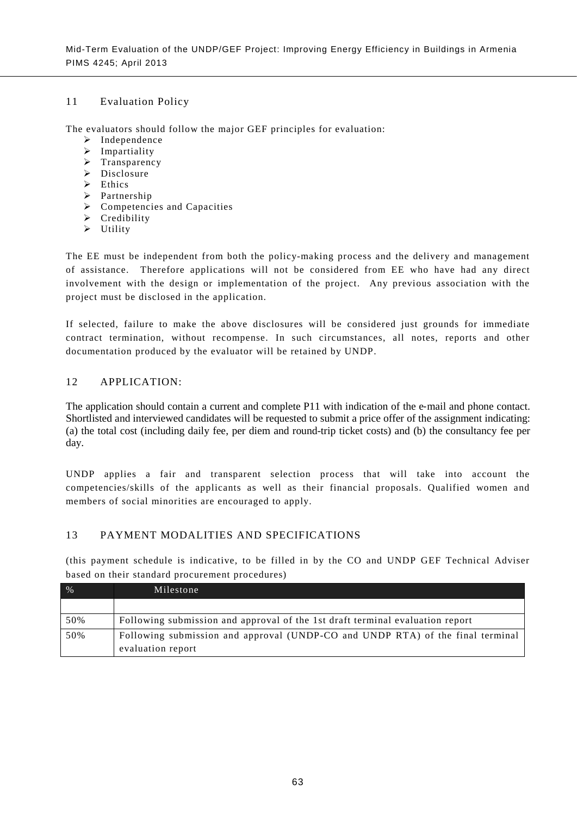# 11 Evaluation Policy

The evaluators should follow the major GEF principles for evaluation:

- $\triangleright$  Independence
- $\triangleright$  Impartiality
- > Transparency
- $\triangleright$  Disclosure
- $\triangleright$  Ethics
- > Partnership
- $\triangleright$  Competencies and Capacities
- $\triangleright$  Credibility
- $\triangleright$  Utility

The EE must be independent from both the policy-making process and the delivery and management of assistance. Therefore applications will not be considered from EE who have had any direct involvement with the design or implementation of the project. Any previous association with the project must be disclosed in the application.

If selected, failure to make the above disclosures will be considered just grounds for immediate contract termination, without recompense. In such circumstances, all notes, reports and other documentation produced by the evaluator will be retained by UNDP.

# 12 APPLICATION:

The application should contain a current and complete P11 with indication of the e-mail and phone contact. Shortlisted and interviewed candidates will be requested to submit a price offer of the assignment indicating: (a) the total cost (including daily fee, per diem and round-trip ticket costs) and (b) the consultancy fee per day.

UNDP applies a fair and transparent selection process that will take into account the competencies/skills of the applicants as well as their financial proposals. Qualified women and members of social minorities are encouraged to apply.

# 13 PAYMENT MODALITIES AND SPECIFICATIONS

(this payment schedule is indicative, to be filled in by the CO and UNDP GEF Technical Adviser based on their standard procurement procedures)

| $\%$ | Milestone                                                                      |
|------|--------------------------------------------------------------------------------|
|      |                                                                                |
| 50%  | Following submission and approval of the 1st draft terminal evaluation report  |
| 50%  | Following submission and approval (UNDP-CO and UNDP RTA) of the final terminal |
|      | evaluation report                                                              |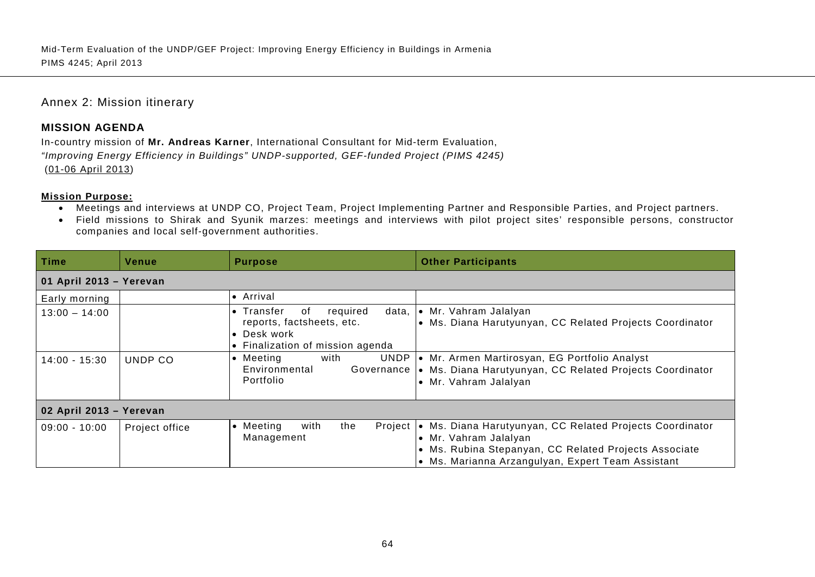# Annex 2: Mission itinerary

# **MISSION AGENDA**

In-country mission of **Mr. Andreas Karner**, International Consultant for Mid-term Evaluation, *"Improving Energy Efficiency in Buildings" UNDP-supported, GEF-funded Project (PIMS 4245)* (01-06 April 2013)

### **Mission Purpose:**

- Meetings and interviews at UNDP CO, Project Team, Project Implementing Partner and Responsible Parties, and Project partners.
- Field missions to Shirak and Syunik marzes: meetings and interviews with pilot project sites' responsible persons, constructor companies and local self-government authorities.

| Time                    | Venue          | <b>Purpose</b>                                                                                                                | <b>Other Participants</b>                                                                                                                                                                       |
|-------------------------|----------------|-------------------------------------------------------------------------------------------------------------------------------|-------------------------------------------------------------------------------------------------------------------------------------------------------------------------------------------------|
| 01 April 2013 - Yerevan |                |                                                                                                                               |                                                                                                                                                                                                 |
| Early morning           |                | • Arrival                                                                                                                     |                                                                                                                                                                                                 |
| $13:00 - 14:00$         |                | required<br>$\bullet$ Transfer<br>data,<br>of<br>reports, factsheets, etc.<br>• Desk work<br>• Finalization of mission agenda | • Mr. Vahram Jalalyan<br>• Ms. Diana Harutyunyan, CC Related Projects Coordinator                                                                                                               |
| $14:00 - 15:30$         | UNDP CO        | UNDP<br>with<br>• Meeting<br>Environmental<br>Governance<br>Portfolio                                                         | • Mr. Armen Martirosyan, EG Portfolio Analyst<br>• Ms. Diana Harutyunyan, CC Related Projects Coordinator<br>• Mr. Vahram Jalalyan                                                              |
| 02 April 2013 - Yerevan |                |                                                                                                                               |                                                                                                                                                                                                 |
| $09:00 - 10:00$         | Project office | with<br>the<br>Project<br>• Meeting<br>Management                                                                             | • Ms. Diana Harutyunyan, CC Related Projects Coordinator<br>• Mr. Vahram Jalalyan<br>• Ms. Rubina Stepanyan, CC Related Projects Associate<br>• Ms. Marianna Arzangulyan, Expert Team Assistant |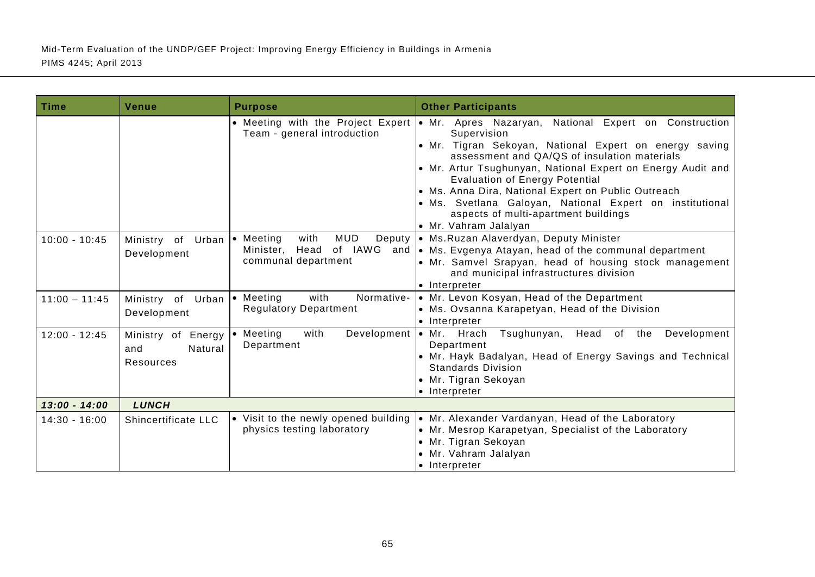| Time            | Venue                                             | <b>Purpose</b>                                                          | <b>Other Participants</b>                                                                                                                                                                                                                                                                                                                                                                                                                                                                                    |
|-----------------|---------------------------------------------------|-------------------------------------------------------------------------|--------------------------------------------------------------------------------------------------------------------------------------------------------------------------------------------------------------------------------------------------------------------------------------------------------------------------------------------------------------------------------------------------------------------------------------------------------------------------------------------------------------|
|                 |                                                   | Team - general introduction                                             | • Meeting with the Project Expert • Mr. Apres Nazaryan, National Expert on Construction<br>Supervision<br>· Mr. Tigran Sekoyan, National Expert on energy saving<br>assessment and QA/QS of insulation materials<br>• Mr. Artur Tsughunyan, National Expert on Energy Audit and<br><b>Evaluation of Energy Potential</b><br>• Ms. Anna Dira, National Expert on Public Outreach<br>· Ms. Svetlana Galoyan, National Expert on institutional<br>aspects of multi-apartment buildings<br>• Mr. Vahram Jalalyan |
| $10:00 - 10:45$ | Ministry of Urban   Meeting<br>Development        | <b>MUD</b><br>with<br>Deputy<br>Minister, Head<br>communal department   | · Ms. Ruzan Alaverdyan, Deputy Minister<br>of IAWG and   • Ms. Evgenya Atayan, head of the communal department<br>• Mr. Samvel Srapyan, head of housing stock management<br>and municipal infrastructures division<br>• Interpreter                                                                                                                                                                                                                                                                          |
| $11:00 - 11:45$ | Ministry of Urban<br>Development                  | with<br>Normative-<br>$\bullet$ Meeting<br><b>Regulatory Department</b> | • Mr. Levon Kosyan, Head of the Department<br>• Ms. Ovsanna Karapetyan, Head of the Division<br>• Interpreter                                                                                                                                                                                                                                                                                                                                                                                                |
| $12:00 - 12:45$ | Ministry of Energy<br>Natural<br>and<br>Resources | $\bullet$ Meeting<br>with<br>Department                                 | Development   Mr. Hrach<br>Tsughunyan,<br>Head of the<br>Development<br>Department<br>• Mr. Hayk Badalyan, Head of Energy Savings and Technical<br><b>Standards Division</b><br>• Mr. Tigran Sekoyan<br>• Interpreter                                                                                                                                                                                                                                                                                        |
| $13:00 - 14:00$ | <b>LUNCH</b>                                      |                                                                         |                                                                                                                                                                                                                                                                                                                                                                                                                                                                                                              |
| $14:30 - 16:00$ | Shincertificate LLC                               | • Visit to the newly opened building<br>physics testing laboratory      | • Mr. Alexander Vardanyan, Head of the Laboratory<br>• Mr. Mesrop Karapetyan, Specialist of the Laboratory<br>• Mr. Tigran Sekoyan<br>• Mr. Vahram Jalalyan<br>• Interpreter                                                                                                                                                                                                                                                                                                                                 |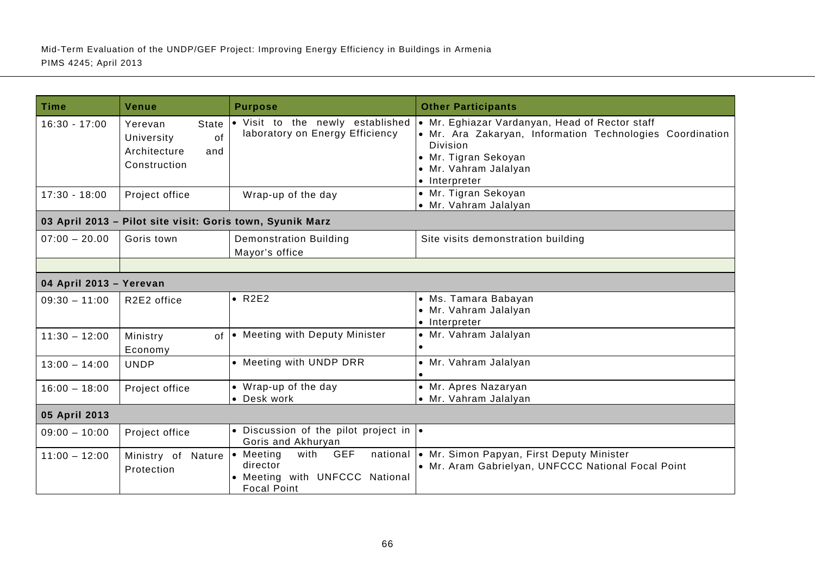| <b>Time</b>             | Venue                                                                              | <b>Purpose</b>                                                                                      | <b>Other Participants</b>                                                                                                                                                                        |
|-------------------------|------------------------------------------------------------------------------------|-----------------------------------------------------------------------------------------------------|--------------------------------------------------------------------------------------------------------------------------------------------------------------------------------------------------|
| $16:30 - 17:00$         | <b>State</b><br>Yerevan<br>of<br>University<br>Architecture<br>and<br>Construction | . Visit to the newly established<br>laboratory on Energy Efficiency                                 | • Mr. Eghiazar Vardanyan, Head of Rector staff<br>• Mr. Ara Zakaryan, Information Technologies Coordination<br><b>Division</b><br>• Mr. Tigran Sekoyan<br>· Mr. Vahram Jalalyan<br>• Interpreter |
| $17:30 - 18:00$         | Project office                                                                     | Wrap-up of the day                                                                                  | • Mr. Tigran Sekoyan<br>• Mr. Vahram Jalalyan                                                                                                                                                    |
|                         | 03 April 2013 - Pilot site visit: Goris town, Syunik Marz                          |                                                                                                     |                                                                                                                                                                                                  |
| $07:00 - 20.00$         | Goris town                                                                         | <b>Demonstration Building</b><br>Mayor's office                                                     | Site visits demonstration building                                                                                                                                                               |
| 04 April 2013 - Yerevan |                                                                                    |                                                                                                     |                                                                                                                                                                                                  |
| $09:30 - 11:00$         | R2E2 office                                                                        | $\bullet$ R2E2                                                                                      | • Ms. Tamara Babayan<br>• Mr. Vahram Jalalyan<br>• Interpreter                                                                                                                                   |
| $11:30 - 12:00$         | Ministry<br>$\Omega$<br>Economy                                                    | • Meeting with Deputy Minister                                                                      | · Mr. Vahram Jalalyan                                                                                                                                                                            |
| $13:00 - 14:00$         | <b>UNDP</b>                                                                        | • Meeting with UNDP DRR                                                                             | • Mr. Vahram Jalalyan                                                                                                                                                                            |
| $16:00 - 18:00$         | Project office                                                                     | • Wrap-up of the day<br>• Desk work                                                                 | • Mr. Apres Nazaryan<br>• Mr. Vahram Jalalyan                                                                                                                                                    |
| 05 April 2013           |                                                                                    |                                                                                                     |                                                                                                                                                                                                  |
| $09:00 - 10:00$         | Project office                                                                     | • Discussion of the pilot project in $\cdot$<br>Goris and Akhuryan                                  |                                                                                                                                                                                                  |
| $11:00 - 12:00$         | Ministry of Nature<br>Protection                                                   | <b>GEF</b><br>• Meeting<br>with<br>director<br>• Meeting with UNFCCC National<br><b>Focal Point</b> | national   Mr. Simon Papyan, First Deputy Minister<br>• Mr. Aram Gabrielyan, UNFCCC National Focal Point                                                                                         |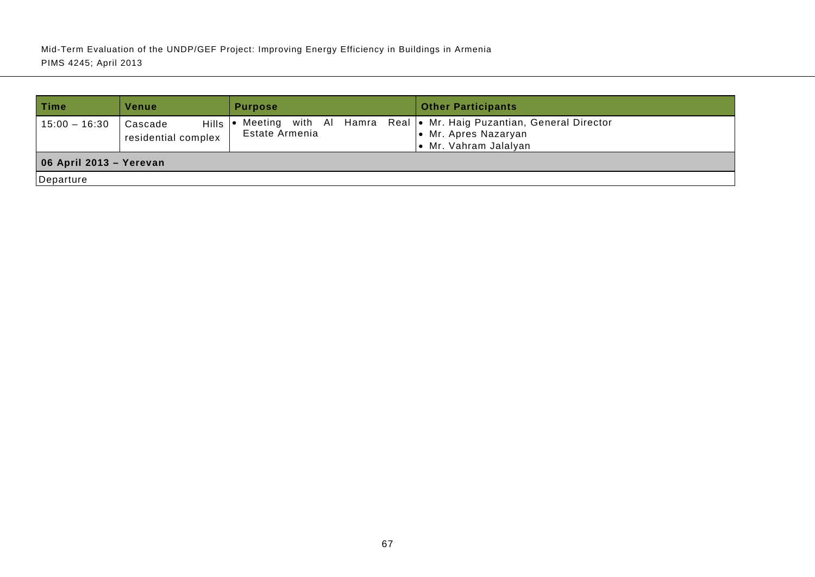| ∣ Time                  | Venue                                          | <b>Purpose</b> | <b>Other Participants</b>                                                                                          |  |  |
|-------------------------|------------------------------------------------|----------------|--------------------------------------------------------------------------------------------------------------------|--|--|
| $15:00 - 16:30$         | <b>Hills</b><br>Cascade<br>residential complex | Estate Armenia | Meeting with Al Hamra Real   Mr. Haig Puzantian, General Director<br>• Mr. Apres Nazaryan<br>• Mr. Vahram Jalalyan |  |  |
| 06 April 2013 - Yerevan |                                                |                |                                                                                                                    |  |  |
| Departure               |                                                |                |                                                                                                                    |  |  |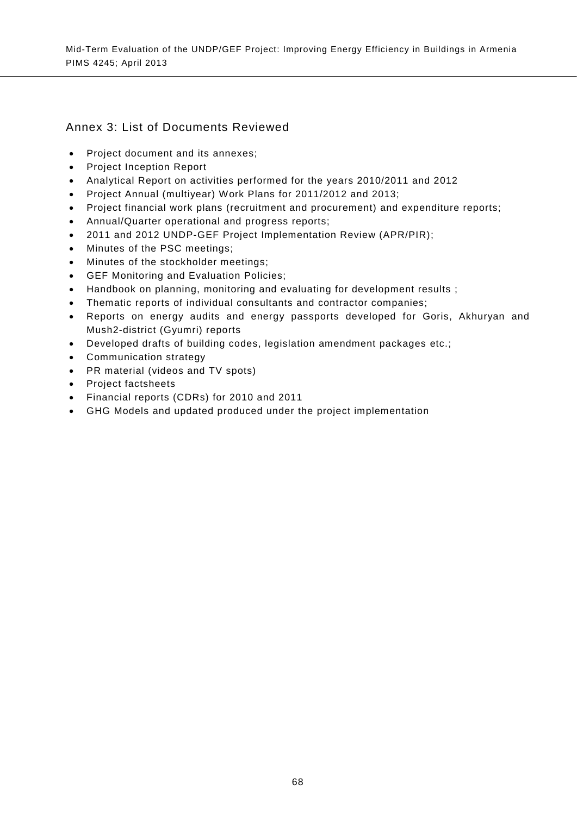# Annex 3: List of Documents Reviewed

- Project document and its annexes;
- Project Inception Report
- Analytical Report on activities performed for the years 2010/2011 and 2012
- Project Annual (multiyear) Work Plans for 2011/2012 and 2013;
- Project financial work plans (recruitment and procurement) and expenditure reports;
- Annual/Quarter operational and progress reports;
- 2011 and 2012 UNDP-GEF Project Implementation Review (APR/PIR);
- Minutes of the PSC meetings;
- Minutes of the stockholder meetings;
- GEF Monitoring and Evaluation Policies;
- Handbook on planning, monitoring and evaluating for development results ;
- Thematic reports of individual consultants and contractor companies;
- Reports on energy audits and energy passports developed for Goris, Akhuryan and Mush2-district (Gyumri) reports
- Developed drafts of building codes, legislation amendment packages etc.;
- Communication strategy
- PR material (videos and TV spots)
- Project factsheets
- Financial reports (CDRs) for 2010 and 2011
- GHG Models and updated produced under the project implementation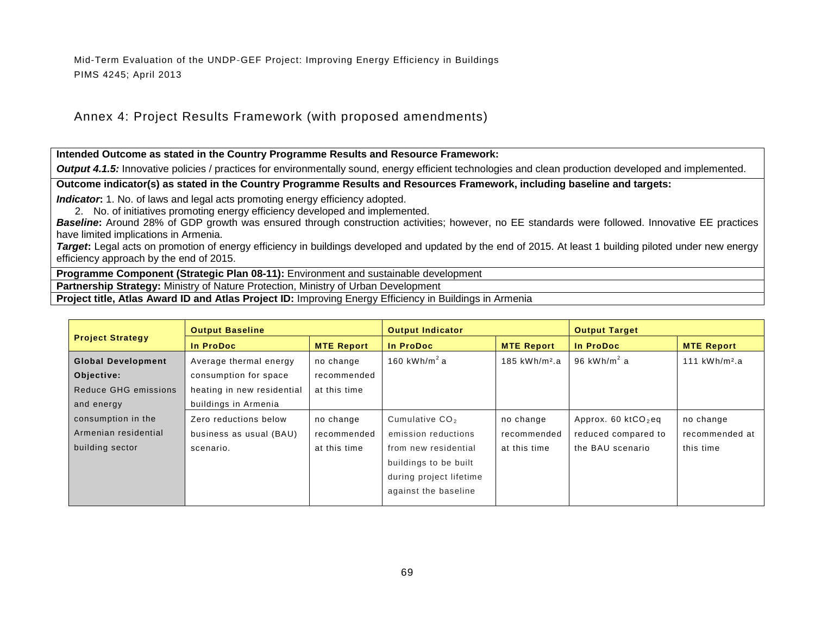# Annex 4: Project Results Framework (with proposed amendments)

### **Intended Outcome as stated in the Country Programme Results and Resource Framework:**

**Output 4.1.5:** Innovative policies / practices for environmentally sound, energy efficient technologies and clean production developed and implemented.

### **Outcome indicator(s) as stated in the Country Programme Results and Resources Framework, including baseline and targets:**

**Indicator:** 1. No. of laws and legal acts promoting energy efficiency adopted.

2. No. of initiatives promoting energy efficiency developed and implemented.

**Baseline:** Around 28% of GDP growth was ensured through construction activities; however, no EE standards were followed. Innovative EE practices have limited implications in Armenia.

**Target:** Legal acts on promotion of energy efficiency in buildings developed and updated by the end of 2015. At least 1 building piloted under new energy efficiency approach by the end of 2015.

**Programme Component (Strategic Plan 08-11):** Environment and sustainable development

**Partnership Strategy:** Ministry of Nature Protection, Ministry of Urban Development

**Project title, Atlas Award ID and Atlas Project ID:** Improving Energy Efficiency in Buildings in Armenia

|                           | <b>Output Baseline</b>     |                   | <b>Output Indicator</b>  |                           | <b>Output Target</b>    |                           |
|---------------------------|----------------------------|-------------------|--------------------------|---------------------------|-------------------------|---------------------------|
| <b>Project Strategy</b>   | In ProDoc                  | <b>MTE Report</b> | In ProDoc                | <b>MTE Report</b>         | In ProDoc               | <b>MTE Report</b>         |
| <b>Global Development</b> | Average thermal energy     | no change         | 160 kWh/m <sup>2</sup> a | 185 kWh/m <sup>2</sup> .a | 96 kWh/m <sup>2</sup> a | 111 kWh/m <sup>2</sup> .a |
| Objective:                | consumption for space      | recommended       |                          |                           |                         |                           |
| Reduce GHG emissions      | heating in new residential | at this time      |                          |                           |                         |                           |
| and energy                | buildings in Armenia       |                   |                          |                           |                         |                           |
| consumption in the        | Zero reductions below      | no change         | Cumulative $CO2$         | no change                 | Approx. 60 $kCO2$ eq    | no change                 |
| Armenian residential      | business as usual (BAU)    | recommended       | emission reductions      | recommended               | reduced compared to     | recommended at            |
| building sector           | scenario.                  | at this time      | from new residential     | at this time              | the BAU scenario        | this time                 |
|                           |                            |                   | buildings to be built    |                           |                         |                           |
|                           |                            |                   | during project lifetime  |                           |                         |                           |
|                           |                            |                   | against the baseline     |                           |                         |                           |
|                           |                            |                   |                          |                           |                         |                           |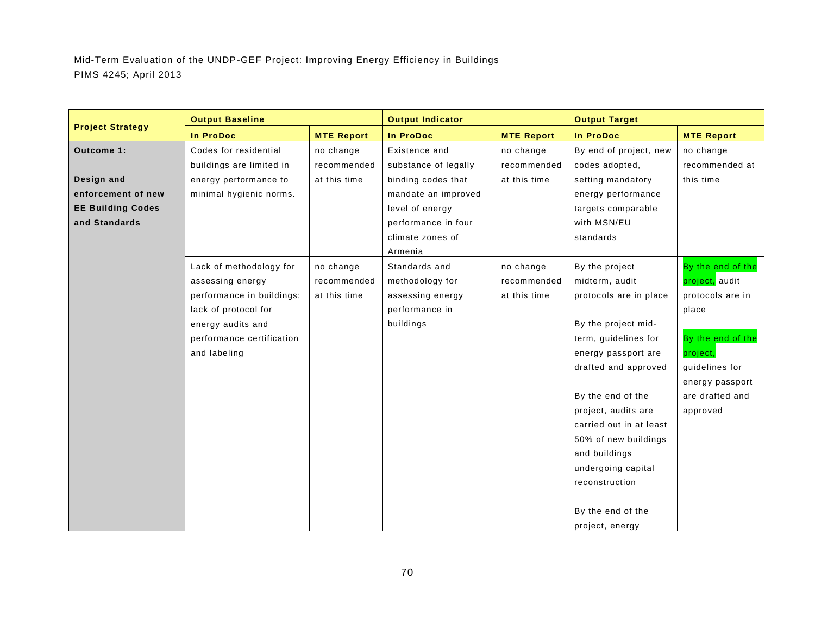|                          | <b>Output Baseline</b>    |                   | <b>Output Indicator</b> |                   | <b>Output Target</b>    |                   |
|--------------------------|---------------------------|-------------------|-------------------------|-------------------|-------------------------|-------------------|
| <b>Project Strategy</b>  | <b>In ProDoc</b>          | <b>MTE Report</b> | <b>In ProDoc</b>        | <b>MTE Report</b> | <b>In ProDoc</b>        | <b>MTE Report</b> |
| Outcome 1:               | Codes for residential     | no change         | Existence and           | no change         | By end of project, new  | no change         |
|                          | buildings are limited in  | recommended       | substance of legally    | recommended       | codes adopted,          | recommended at    |
| Design and               | energy performance to     | at this time      | binding codes that      | at this time      | setting mandatory       | this time         |
| enforcement of new       | minimal hygienic norms.   |                   | mandate an improved     |                   | energy performance      |                   |
| <b>EE Building Codes</b> |                           |                   | level of energy         |                   | targets comparable      |                   |
| and Standards            |                           |                   | performance in four     |                   | with MSN/EU             |                   |
|                          |                           |                   | climate zones of        |                   | standards               |                   |
|                          |                           |                   | Armenia                 |                   |                         |                   |
|                          | Lack of methodology for   | no change         | Standards and           | no change         | By the project          | By the end of the |
|                          | assessing energy          | recommended       | methodology for         | recommended       | midterm, audit          | project, audit    |
|                          | performance in buildings; | at this time      | assessing energy        | at this time      | protocols are in place  | protocols are in  |
|                          | lack of protocol for      |                   | performance in          |                   |                         | place             |
|                          | energy audits and         |                   | buildings               |                   | By the project mid-     |                   |
|                          | performance certification |                   |                         |                   | term, guidelines for    | By the end of the |
|                          | and labeling              |                   |                         |                   | energy passport are     | project.          |
|                          |                           |                   |                         |                   | drafted and approved    | guidelines for    |
|                          |                           |                   |                         |                   |                         | energy passport   |
|                          |                           |                   |                         |                   | By the end of the       | are drafted and   |
|                          |                           |                   |                         |                   | project, audits are     | approved          |
|                          |                           |                   |                         |                   | carried out in at least |                   |
|                          |                           |                   |                         |                   | 50% of new buildings    |                   |
|                          |                           |                   |                         |                   | and buildings           |                   |
|                          |                           |                   |                         |                   | undergoing capital      |                   |
|                          |                           |                   |                         |                   | reconstruction          |                   |
|                          |                           |                   |                         |                   |                         |                   |
|                          |                           |                   |                         |                   | By the end of the       |                   |
|                          |                           |                   |                         |                   | project, energy         |                   |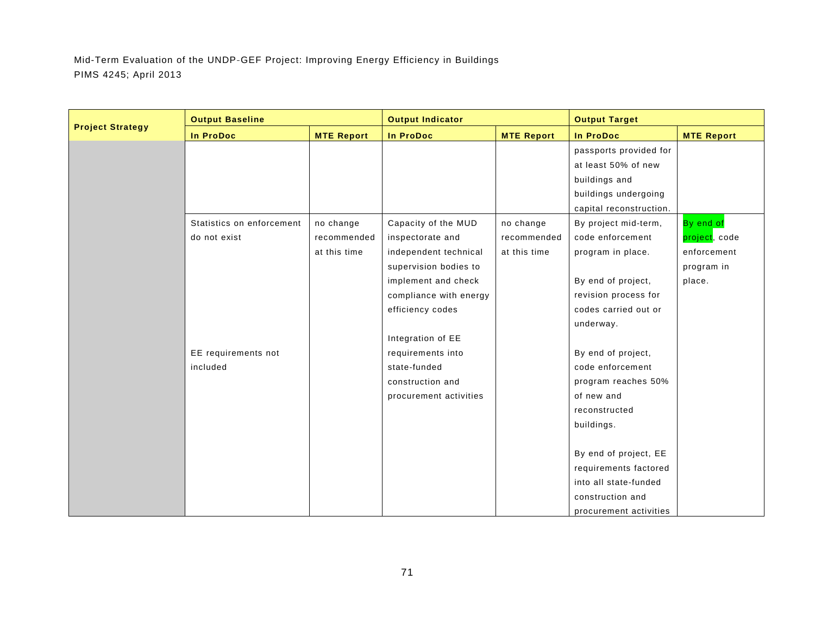|                         | <b>Output Baseline</b>    |                   | <b>Output Indicator</b> |                   | <b>Output Target</b>    |                   |
|-------------------------|---------------------------|-------------------|-------------------------|-------------------|-------------------------|-------------------|
| <b>Project Strategy</b> | In ProDoc                 | <b>MTE Report</b> | <b>In ProDoc</b>        | <b>MTE Report</b> | In ProDoc               | <b>MTE Report</b> |
|                         |                           |                   |                         |                   | passports provided for  |                   |
|                         |                           |                   |                         |                   | at least 50% of new     |                   |
|                         |                           |                   |                         |                   | buildings and           |                   |
|                         |                           |                   |                         |                   | buildings undergoing    |                   |
|                         |                           |                   |                         |                   | capital reconstruction. |                   |
|                         | Statistics on enforcement | no change         | Capacity of the MUD     | no change         | By project mid-term,    | By end of         |
|                         | do not exist              | recommended       | inspectorate and        | recommended       | code enforcement        | project, code     |
|                         |                           | at this time      | independent technical   | at this time      | program in place.       | enforcement       |
|                         |                           |                   | supervision bodies to   |                   |                         | program in        |
|                         |                           |                   | implement and check     |                   | By end of project,      | place.            |
|                         |                           |                   | compliance with energy  |                   | revision process for    |                   |
|                         |                           |                   | efficiency codes        |                   | codes carried out or    |                   |
|                         |                           |                   |                         |                   | underway.               |                   |
|                         |                           |                   | Integration of EE       |                   |                         |                   |
|                         | EE requirements not       |                   | requirements into       |                   | By end of project,      |                   |
|                         | included                  |                   | state-funded            |                   | code enforcement        |                   |
|                         |                           |                   | construction and        |                   | program reaches 50%     |                   |
|                         |                           |                   | procurement activities  |                   | of new and              |                   |
|                         |                           |                   |                         |                   | reconstructed           |                   |
|                         |                           |                   |                         |                   | buildings.              |                   |
|                         |                           |                   |                         |                   |                         |                   |
|                         |                           |                   |                         |                   | By end of project, EE   |                   |
|                         |                           |                   |                         |                   | requirements factored   |                   |
|                         |                           |                   |                         |                   | into all state-funded   |                   |
|                         |                           |                   |                         |                   | construction and        |                   |
|                         |                           |                   |                         |                   | procurement activities  |                   |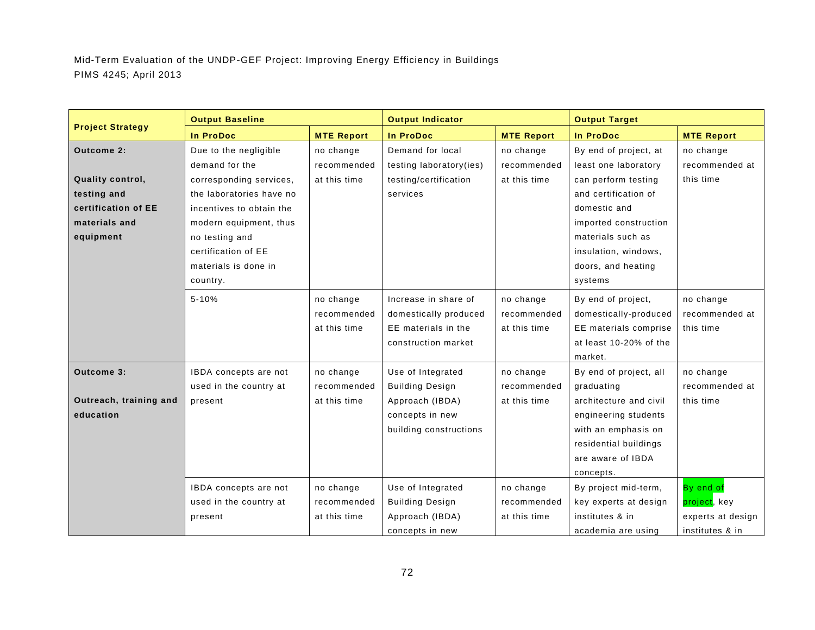|                         | <b>Output Baseline</b>   |                   | <b>Output Indicator</b> |                   | <b>Output Target</b>   |                   |
|-------------------------|--------------------------|-------------------|-------------------------|-------------------|------------------------|-------------------|
| <b>Project Strategy</b> | <b>In ProDoc</b>         | <b>MTE Report</b> | <b>In ProDoc</b>        | <b>MTE Report</b> | <b>In ProDoc</b>       | <b>MTE Report</b> |
| Outcome 2:              | Due to the negligible    | no change         | Demand for local        | no change         | By end of project, at  | no change         |
|                         | demand for the           | recommended       | testing laboratory(ies) | recommended       | least one laboratory   | recommended at    |
| Quality control,        | corresponding services,  | at this time      | testing/certification   | at this time      | can perform testing    | this time         |
| testing and             | the laboratories have no |                   | services                |                   | and certification of   |                   |
| certification of EE     | incentives to obtain the |                   |                         |                   | domestic and           |                   |
| materials and           | modern equipment, thus   |                   |                         |                   | imported construction  |                   |
| equipment               | no testing and           |                   |                         |                   | materials such as      |                   |
|                         | certification of EE      |                   |                         |                   | insulation, windows,   |                   |
|                         | materials is done in     |                   |                         |                   | doors, and heating     |                   |
|                         | country.                 |                   |                         |                   | systems                |                   |
|                         | $5 - 10%$                | no change         | Increase in share of    | no change         | By end of project,     | no change         |
|                         |                          | recommended       | domestically produced   | recommended       | domestically-produced  | recommended at    |
|                         |                          | at this time      | EE materials in the     | at this time      | EE materials comprise  | this time         |
|                         |                          |                   | construction market     |                   | at least 10-20% of the |                   |
|                         |                          |                   |                         |                   | market.                |                   |
| Outcome 3:              | IBDA concepts are not    | no change         | Use of Integrated       | no change         | By end of project, all | no change         |
|                         | used in the country at   | recommended       | <b>Building Design</b>  | recommended       | graduating             | recommended at    |
| Outreach, training and  | present                  | at this time      | Approach (IBDA)         | at this time      | architecture and civil | this time         |
| education               |                          |                   | concepts in new         |                   | engineering students   |                   |
|                         |                          |                   | building constructions  |                   | with an emphasis on    |                   |
|                         |                          |                   |                         |                   | residential buildings  |                   |
|                         |                          |                   |                         |                   | are aware of IBDA      |                   |
|                         |                          |                   |                         |                   | concepts.              |                   |
|                         | IBDA concepts are not    | no change         | Use of Integrated       | no change         | By project mid-term,   | By end of         |
|                         | used in the country at   | recommended       | <b>Building Design</b>  | recommended       | key experts at design  | project, key      |
|                         | present                  | at this time      | Approach (IBDA)         | at this time      | institutes & in        | experts at design |
|                         |                          |                   | concepts in new         |                   | academia are using     | institutes & in   |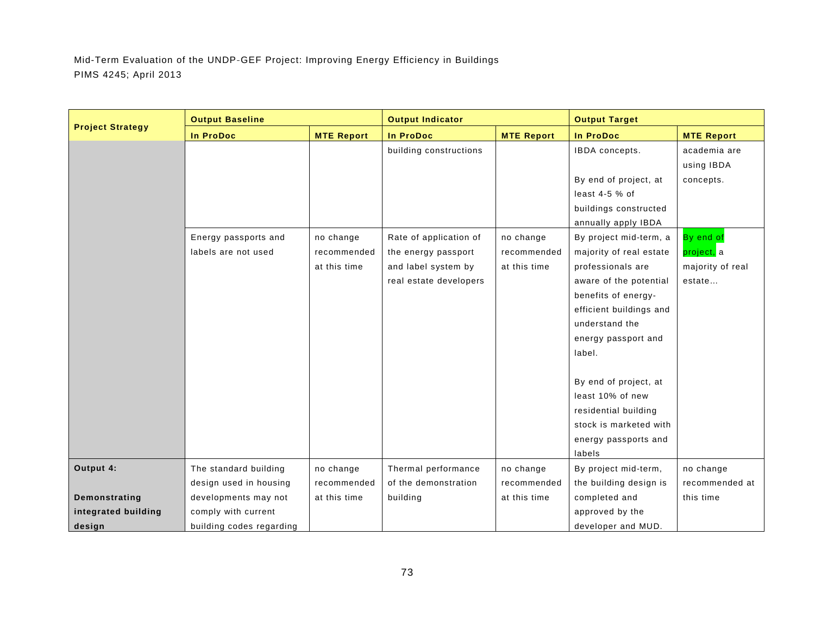|                         | <b>Output Baseline</b>   |                   | <b>Output Indicator</b> |                   | <b>Output Target</b>    |                   |
|-------------------------|--------------------------|-------------------|-------------------------|-------------------|-------------------------|-------------------|
| <b>Project Strategy</b> | <b>In ProDoc</b>         | <b>MTE Report</b> | <b>In ProDoc</b>        | <b>MTE Report</b> | <b>In ProDoc</b>        | <b>MTE Report</b> |
|                         |                          |                   | building constructions  |                   | IBDA concepts.          | academia are      |
|                         |                          |                   |                         |                   |                         | using IBDA        |
|                         |                          |                   |                         |                   | By end of project, at   | concepts.         |
|                         |                          |                   |                         |                   | least $4-5$ % of        |                   |
|                         |                          |                   |                         |                   | buildings constructed   |                   |
|                         |                          |                   |                         |                   | annually apply IBDA     |                   |
|                         | Energy passports and     | no change         | Rate of application of  | no change         | By project mid-term, a  | By end of         |
|                         | labels are not used      | recommended       | the energy passport     | recommended       | majority of real estate | project, a        |
|                         |                          | at this time      | and label system by     | at this time      | professionals are       | majority of real  |
|                         |                          |                   | real estate developers  |                   | aware of the potential  | estate            |
|                         |                          |                   |                         |                   | benefits of energy-     |                   |
|                         |                          |                   |                         |                   | efficient buildings and |                   |
|                         |                          |                   |                         |                   | understand the          |                   |
|                         |                          |                   |                         |                   | energy passport and     |                   |
|                         |                          |                   |                         |                   | label.                  |                   |
|                         |                          |                   |                         |                   |                         |                   |
|                         |                          |                   |                         |                   | By end of project, at   |                   |
|                         |                          |                   |                         |                   | least 10% of new        |                   |
|                         |                          |                   |                         |                   | residential building    |                   |
|                         |                          |                   |                         |                   | stock is marketed with  |                   |
|                         |                          |                   |                         |                   | energy passports and    |                   |
|                         |                          |                   |                         |                   | labels                  |                   |
| Output 4:               | The standard building    | no change         | Thermal performance     | no change         | By project mid-term,    | no change         |
|                         | design used in housing   | recommended       | of the demonstration    | recommended       | the building design is  | recommended at    |
| Demonstrating           | developments may not     | at this time      | building                | at this time      | completed and           | this time         |
| integrated building     | comply with current      |                   |                         |                   | approved by the         |                   |
| design                  | building codes regarding |                   |                         |                   | developer and MUD.      |                   |